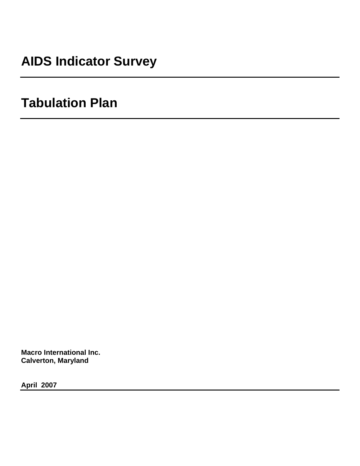# **AIDS Indicator Survey**

# **Tabulation Plan**

**Macro International Inc. Calverton, Maryland** 

**April 2007**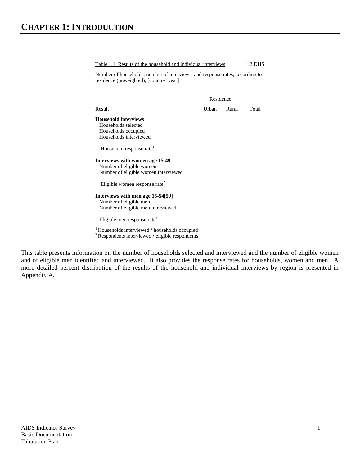| Table 1.1 Results of the household and individual interviews                                                                                                                                                                                                                                    |           |       | 1.2 DHS |
|-------------------------------------------------------------------------------------------------------------------------------------------------------------------------------------------------------------------------------------------------------------------------------------------------|-----------|-------|---------|
| Number of households, number of interviews, and response rates, according to<br>residence (unweighted), [country, year]                                                                                                                                                                         |           |       |         |
|                                                                                                                                                                                                                                                                                                 | Residence |       |         |
| Result                                                                                                                                                                                                                                                                                          | Urban     | Rural | Total   |
| <b>Household interviews</b><br>Households selected<br>Households occupied<br>Households interviewed<br>Household response rate <sup>1</sup><br>Interviews with women age 15-49<br>Number of eligible women<br>Number of eligible women interviewed<br>Eligible women response rate <sup>2</sup> |           |       |         |
| Interviews with men age 15-54[59]<br>Number of eligible men<br>Number of eligible men interviewed<br>Eligible men response rate <sup>2</sup>                                                                                                                                                    |           |       |         |
| Households interviewed / households occupied<br>$2$ Respondents interviewed / eligible respondents                                                                                                                                                                                              |           |       |         |

This table presents information on the number of households selected and interviewed and the number of eligible women and of eligible men identified and interviewed. It also provides the response rates for households, women and men. A more detailed percent distribution of the results of the household and individual interviews by region is presented in Appendix A.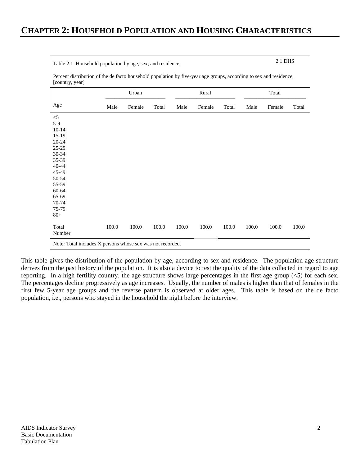| 2.1 DHS<br>Table 2.1 Household population by age, sex, and residence |                                                                                                                    |        |       |       |        |       |       |        |       |
|----------------------------------------------------------------------|--------------------------------------------------------------------------------------------------------------------|--------|-------|-------|--------|-------|-------|--------|-------|
| [country, year]                                                      | Percent distribution of the de facto household population by five-year age groups, according to sex and residence, |        |       |       |        |       |       |        |       |
|                                                                      |                                                                                                                    | Urban  |       |       | Rural  |       |       | Total  |       |
| Age                                                                  | Male                                                                                                               | Female | Total | Male  | Female | Total | Male  | Female | Total |
| $<$ 5                                                                |                                                                                                                    |        |       |       |        |       |       |        |       |
| $5-9$                                                                |                                                                                                                    |        |       |       |        |       |       |        |       |
| $10 - 14$                                                            |                                                                                                                    |        |       |       |        |       |       |        |       |
| $15-19$                                                              |                                                                                                                    |        |       |       |        |       |       |        |       |
| $20 - 24$                                                            |                                                                                                                    |        |       |       |        |       |       |        |       |
| 25-29                                                                |                                                                                                                    |        |       |       |        |       |       |        |       |
| 30-34                                                                |                                                                                                                    |        |       |       |        |       |       |        |       |
| 35-39                                                                |                                                                                                                    |        |       |       |        |       |       |        |       |
| $40 - 44$                                                            |                                                                                                                    |        |       |       |        |       |       |        |       |
| 45-49                                                                |                                                                                                                    |        |       |       |        |       |       |        |       |
| 50-54                                                                |                                                                                                                    |        |       |       |        |       |       |        |       |
| 55-59                                                                |                                                                                                                    |        |       |       |        |       |       |        |       |
| 60-64                                                                |                                                                                                                    |        |       |       |        |       |       |        |       |
| 65-69                                                                |                                                                                                                    |        |       |       |        |       |       |        |       |
| 70-74                                                                |                                                                                                                    |        |       |       |        |       |       |        |       |
| 75-79<br>$80+$                                                       |                                                                                                                    |        |       |       |        |       |       |        |       |
|                                                                      |                                                                                                                    |        |       |       |        |       |       |        |       |
| Total                                                                | 100.0                                                                                                              | 100.0  | 100.0 | 100.0 | 100.0  | 100.0 | 100.0 | 100.0  | 100.0 |
| Number                                                               |                                                                                                                    |        |       |       |        |       |       |        |       |
| Note: Total includes X persons whose sex was not recorded.           |                                                                                                                    |        |       |       |        |       |       |        |       |

This table gives the distribution of the population by age, according to sex and residence. The population age structure derives from the past history of the population. It is also a device to test the quality of the data collected in regard to age reporting. In a high fertility country, the age structure shows large percentages in the first age group  $(5)$  for each sex. The percentages decline progressively as age increases. Usually, the number of males is higher than that of females in the first few 5-year age groups and the reverse pattern is observed at older ages. This table is based on the de facto population, i.e., persons who stayed in the household the night before the interview.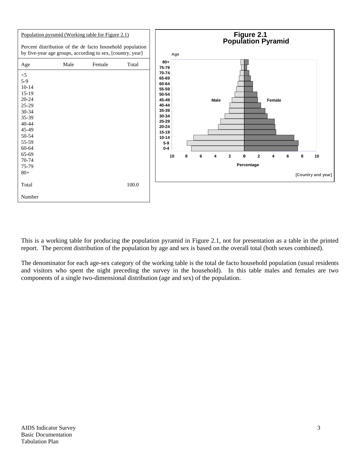

This is a working table for producing the population pyramid in Figure 2.1, not for presentation as a table in the printed report. The percent distribution of the population by age and sex is based on the overall total (both sexes combined).

The denominator for each age-sex category of the working table is the total de facto household population (usual residents and visitors who spent the night preceding the survey in the household). In this table males and females are two components of a single two-dimensional distribution (age and sex) of the population.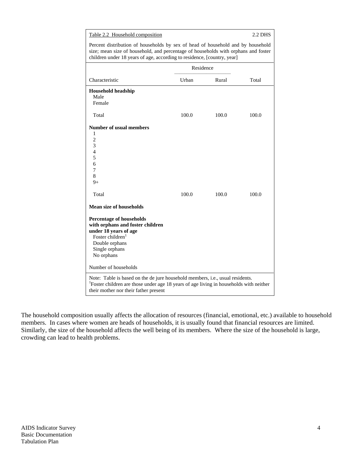| Table 2.2 Household composition                                                                                                                                                                                                                  |           |       | 2.2 DHS |  |  |  |
|--------------------------------------------------------------------------------------------------------------------------------------------------------------------------------------------------------------------------------------------------|-----------|-------|---------|--|--|--|
| Percent distribution of households by sex of head of household and by household<br>size; mean size of household, and percentage of households with orphans and foster<br>children under 18 years of age, according to residence, [country, year] |           |       |         |  |  |  |
|                                                                                                                                                                                                                                                  | Residence |       |         |  |  |  |
| Characteristic                                                                                                                                                                                                                                   | Urban     | Rural | Total   |  |  |  |
| <b>Household headship</b><br>Male<br>Female                                                                                                                                                                                                      |           |       |         |  |  |  |
| Total                                                                                                                                                                                                                                            | 100.0     | 100.0 | 100.0   |  |  |  |
| <b>Number of usual members</b><br>1<br>$\overline{2}$<br>3<br>$\overline{4}$<br>5<br>6<br>7<br>8<br>$9+$                                                                                                                                         |           |       |         |  |  |  |
| Total                                                                                                                                                                                                                                            | 100.0     | 100.0 | 100.0   |  |  |  |
| <b>Mean size of households</b>                                                                                                                                                                                                                   |           |       |         |  |  |  |
| <b>Percentage of households</b><br>with orphans and foster children<br>under 18 years of age<br>Foster children <sup>1</sup><br>Double orphans<br>Single orphans<br>No orphans                                                                   |           |       |         |  |  |  |
| Number of households                                                                                                                                                                                                                             |           |       |         |  |  |  |
| Note: Table is based on the de jure household members, i.e., usual residents.<br><sup>1</sup> Foster children are those under age 18 years of age living in households with neither<br>their mother nor their father present                     |           |       |         |  |  |  |

The household composition usually affects the allocation of resources (financial, emotional, etc.) available to household members. In cases where women are heads of households, it is usually found that financial resources are limited. Similarly, the size of the household affects the well being of its members. Where the size of the household is large, crowding can lead to health problems.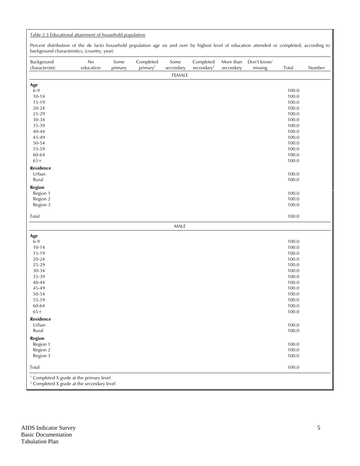### Table 2.3 Educational attainment of household population

Percent distribution of the de facto household population age six and over by highest level of education attended or completed, according to background characteristics, [country, year]

| Background<br>characteristic                                                                                 | No<br>education | Some<br>primary | Completed<br>primary <sup>1</sup> | Some<br>secondary | Completed<br>secondary <sup>2</sup> | More than<br>secondary | Don't know/<br>missing | Total          | Number |
|--------------------------------------------------------------------------------------------------------------|-----------------|-----------------|-----------------------------------|-------------------|-------------------------------------|------------------------|------------------------|----------------|--------|
|                                                                                                              |                 |                 |                                   | FEMALE            |                                     |                        |                        |                |        |
| Age                                                                                                          |                 |                 |                                   |                   |                                     |                        |                        |                |        |
| $6-9$                                                                                                        |                 |                 |                                   |                   |                                     |                        |                        | 100.0          |        |
| $10 - 14$                                                                                                    |                 |                 |                                   |                   |                                     |                        |                        | 100.0          |        |
| 15-19                                                                                                        |                 |                 |                                   |                   |                                     |                        |                        | 100.0          |        |
| $20 - 24$                                                                                                    |                 |                 |                                   |                   |                                     |                        |                        | 100.0          |        |
| 25-29                                                                                                        |                 |                 |                                   |                   |                                     |                        |                        | 100.0          |        |
| $30 - 34$                                                                                                    |                 |                 |                                   |                   |                                     |                        |                        | 100.0          |        |
| 35-39                                                                                                        |                 |                 |                                   |                   |                                     |                        |                        | 100.0          |        |
| $40 - 44$                                                                                                    |                 |                 |                                   |                   |                                     |                        |                        | 100.0          |        |
| 45-49                                                                                                        |                 |                 |                                   |                   |                                     |                        |                        | 100.0          |        |
| $50 - 54$                                                                                                    |                 |                 |                                   |                   |                                     |                        |                        | 100.0          |        |
| 55-59                                                                                                        |                 |                 |                                   |                   |                                     |                        |                        | 100.0          |        |
| 60-64<br>$65+$                                                                                               |                 |                 |                                   |                   |                                     |                        |                        | 100.0<br>100.0 |        |
|                                                                                                              |                 |                 |                                   |                   |                                     |                        |                        |                |        |
| Residence                                                                                                    |                 |                 |                                   |                   |                                     |                        |                        |                |        |
| Urban                                                                                                        |                 |                 |                                   |                   |                                     |                        |                        | 100.0          |        |
| Rural                                                                                                        |                 |                 |                                   |                   |                                     |                        |                        | 100.0          |        |
| Region                                                                                                       |                 |                 |                                   |                   |                                     |                        |                        |                |        |
| Region 1                                                                                                     |                 |                 |                                   |                   |                                     |                        |                        | 100.0          |        |
| Region 2                                                                                                     |                 |                 |                                   |                   |                                     |                        |                        | 100.0          |        |
| Region 3                                                                                                     |                 |                 |                                   |                   |                                     |                        |                        | 100.0          |        |
| Total                                                                                                        |                 |                 |                                   |                   |                                     |                        |                        | 100.0          |        |
|                                                                                                              |                 |                 |                                   | MALE              |                                     |                        |                        |                |        |
| Age                                                                                                          |                 |                 |                                   |                   |                                     |                        |                        |                |        |
| $6-9$                                                                                                        |                 |                 |                                   |                   |                                     |                        |                        | 100.0          |        |
| $10 - 14$                                                                                                    |                 |                 |                                   |                   |                                     |                        |                        | 100.0          |        |
| 15-19                                                                                                        |                 |                 |                                   |                   |                                     |                        |                        | 100.0          |        |
| $20 - 24$                                                                                                    |                 |                 |                                   |                   |                                     |                        |                        | 100.0          |        |
| 25-29                                                                                                        |                 |                 |                                   |                   |                                     |                        |                        | 100.0          |        |
| $30 - 34$                                                                                                    |                 |                 |                                   |                   |                                     |                        |                        | 100.0          |        |
| 35-39                                                                                                        |                 |                 |                                   |                   |                                     |                        |                        | 100.0          |        |
| $40 - 44$                                                                                                    |                 |                 |                                   |                   |                                     |                        |                        | 100.0          |        |
| 45-49                                                                                                        |                 |                 |                                   |                   |                                     |                        |                        | 100.0          |        |
| $50 - 54$                                                                                                    |                 |                 |                                   |                   |                                     |                        |                        | 100.0          |        |
| 55-59                                                                                                        |                 |                 |                                   |                   |                                     |                        |                        | 100.0          |        |
| 60-64                                                                                                        |                 |                 |                                   |                   |                                     |                        |                        | 100.0          |        |
| $65+$                                                                                                        |                 |                 |                                   |                   |                                     |                        |                        | 100.0          |        |
| <b>Residence</b>                                                                                             |                 |                 |                                   |                   |                                     |                        |                        |                |        |
| Urban                                                                                                        |                 |                 |                                   |                   |                                     |                        |                        | 100.0          |        |
| Rural                                                                                                        |                 |                 |                                   |                   |                                     |                        |                        | 100.0          |        |
| <b>Region</b>                                                                                                |                 |                 |                                   |                   |                                     |                        |                        |                |        |
| Region 1                                                                                                     |                 |                 |                                   |                   |                                     |                        |                        | 100.0          |        |
| Region 2                                                                                                     |                 |                 |                                   |                   |                                     |                        |                        | 100.0          |        |
| Region 3                                                                                                     |                 |                 |                                   |                   |                                     |                        |                        | 100.0          |        |
| Total                                                                                                        |                 |                 |                                   |                   |                                     |                        |                        | 100.0          |        |
| <sup>1</sup> Completed X grade at the primary level<br><sup>2</sup> Completed X grade at the secondary level |                 |                 |                                   |                   |                                     |                        |                        |                |        |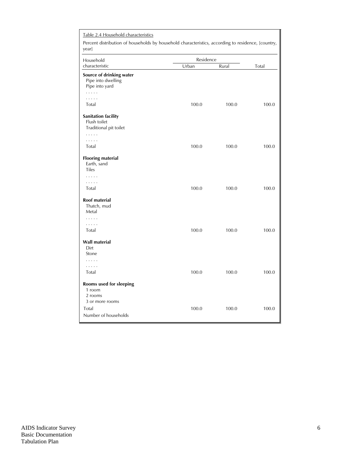| Table 2.4 Household characteristics<br>Percent distribution of households by household characteristics, according to residence, [country,<br>year] |           |       |       |
|----------------------------------------------------------------------------------------------------------------------------------------------------|-----------|-------|-------|
| Household                                                                                                                                          | Residence |       |       |
| characteristic                                                                                                                                     | Urban     | Rural | Total |
| Source of drinking water<br>Pipe into dwelling<br>Pipe into yard<br>.<br>.                                                                         |           |       |       |
| Total                                                                                                                                              | 100.0     | 100.0 | 100.0 |
| <b>Sanitation facility</b><br>Flush toilet<br>Traditional pit toilet<br>.<br>.<br>Total                                                            | 100.0     | 100.0 | 100.0 |
| <b>Flooring material</b><br>Earth, sand<br><b>Tiles</b>                                                                                            |           |       |       |
| .<br>.<br>Total                                                                                                                                    | 100.0     | 100.0 | 100.0 |
| Roof material<br>Thatch, mud<br>Metal<br>.<br>.<br>Total                                                                                           | 100.0     | 100.0 | 100.0 |
| Wall material<br>Dirt<br>Stone                                                                                                                     |           |       |       |
| .<br>.<br>Total                                                                                                                                    | 100.0     | 100.0 | 100.0 |
| Rooms used for sleeping<br>1 room<br>2 rooms<br>3 or more rooms<br>Total<br>Number of households                                                   | 100.0     | 100.0 | 100.0 |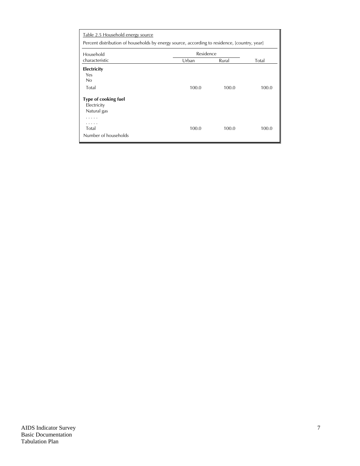| Table 2.5 Household energy source                                                              |           |       |       |  |  |  |  |  |
|------------------------------------------------------------------------------------------------|-----------|-------|-------|--|--|--|--|--|
| Percent distribution of households by energy source, according to residence, [country, year]   |           |       |       |  |  |  |  |  |
| Household                                                                                      | Residence |       |       |  |  |  |  |  |
| characteristic                                                                                 | Urban     | Rural | Total |  |  |  |  |  |
| <b>Electricity</b><br>Yes<br>No<br>Total<br>Type of cooking fuel<br>Electricity<br>Natural gas | 100.0     | 100.0 | 100.0 |  |  |  |  |  |
| .<br>.<br>Total<br>Number of households                                                        | 100.0     | 100.0 | 100.0 |  |  |  |  |  |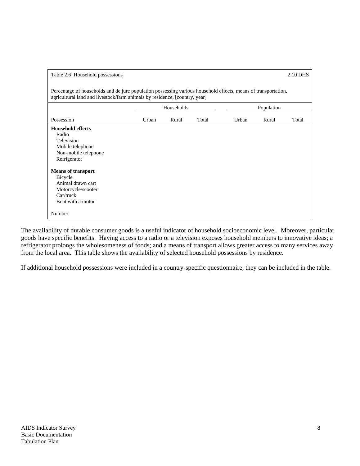| Table 2.6 Household possessions                                                                                                                                                              |            |       |       |       |            | 2.10 DHS |  |
|----------------------------------------------------------------------------------------------------------------------------------------------------------------------------------------------|------------|-------|-------|-------|------------|----------|--|
| Percentage of households and de jure population possessing various household effects, means of transportation,<br>agricultural land and livestock/farm animals by residence, [country, year] |            |       |       |       |            |          |  |
|                                                                                                                                                                                              | Households |       |       |       | Population |          |  |
| Possession                                                                                                                                                                                   | Urban      | Rural | Total | Urban | Rural      | Total    |  |
| <b>Household effects</b><br>Radio<br>Television<br>Mobile telephone<br>Non-mobile telephone<br>Refrigerator                                                                                  |            |       |       |       |            |          |  |
| <b>Means of transport</b><br>Bicycle<br>Animal drawn cart<br>Motorcycle/scooter<br>$Car/$ truck<br>Boat with a motor                                                                         |            |       |       |       |            |          |  |
| Number                                                                                                                                                                                       |            |       |       |       |            |          |  |

The availability of durable consumer goods is a useful indicator of household socioeconomic level. Moreover, particular goods have specific benefits. Having access to a radio or a television exposes household members to innovative ideas; a refrigerator prolongs the wholesomeness of foods; and a means of transport allows greater access to many services away from the local area. This table shows the availability of selected household possessions by residence.

If additional household possessions were included in a country-specific questionnaire, they can be included in the table.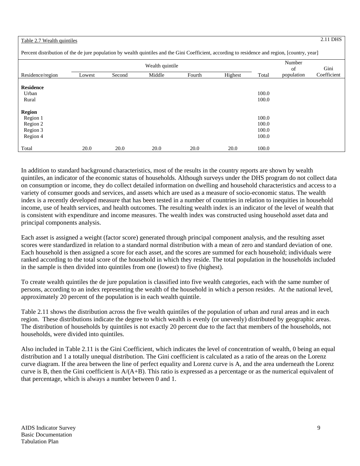# Table 2.7 Wealth quintiles 2.11 DHS

| Percent distribution of the de jure population by wealth quintiles and the Gini Coefficient, according to residence and region, [country, year] |  |  |
|-------------------------------------------------------------------------------------------------------------------------------------------------|--|--|
|                                                                                                                                                 |  |  |

| Wealth quintile  |        |        |        |        |         |       | Number     |             |
|------------------|--------|--------|--------|--------|---------|-------|------------|-------------|
|                  |        |        |        |        |         |       | of         | Gini        |
| Residence/region | Lowest | Second | Middle | Fourth | Highest | Total | population | Coefficient |
|                  |        |        |        |        |         |       |            |             |
| <b>Residence</b> |        |        |        |        |         |       |            |             |
| Urban            |        |        |        |        |         | 100.0 |            |             |
| Rural            |        |        |        |        |         | 100.0 |            |             |
|                  |        |        |        |        |         |       |            |             |
| <b>Region</b>    |        |        |        |        |         |       |            |             |
| Region 1         |        |        |        |        |         | 100.0 |            |             |
| Region 2         |        |        |        |        |         | 100.0 |            |             |
| Region 3         |        |        |        |        |         | 100.0 |            |             |
| Region 4         |        |        |        |        |         | 100.0 |            |             |
|                  |        |        |        |        |         |       |            |             |
| Total            | 20.0   | 20.0   | 20.0   | 20.0   | 20.0    | 100.0 |            |             |

In addition to standard background characteristics, most of the results in the country reports are shown by wealth quintiles, an indicator of the economic status of households. Although surveys under the DHS program do not collect data on consumption or income, they do collect detailed information on dwelling and household characteristics and access to a variety of consumer goods and services, and assets which are used as a measure of socio-economic status. The wealth index is a recently developed measure that has been tested in a number of countries in relation to inequities in household income, use of health services, and health outcomes. The resulting wealth index is an indicator of the level of wealth that is consistent with expenditure and income measures. The wealth index was constructed using household asset data and principal components analysis.

Each asset is assigned a weight (factor score) generated through principal component analysis, and the resulting asset scores were standardized in relation to a standard normal distribution with a mean of zero and standard deviation of one. Each household is then assigned a score for each asset, and the scores are summed for each household; individuals were ranked according to the total score of the household in which they reside. The total population in the households included in the sample is then divided into quintiles from one (lowest) to five (highest).

To create wealth quintiles the de jure population is classified into five wealth categories, each with the same number of persons, according to an index representing the wealth of the household in which a person resides. At the national level, approximately 20 percent of the population is in each wealth quintile.

Table 2.11 shows the distribution across the five wealth quintiles of the population of urban and rural areas and in each region. These distributions indicate the degree to which wealth is evenly (or unevenly) distributed by geographic areas. The distribution of households by quintiles is not exactly 20 percent due to the fact that members of the households, not households, were divided into quintiles.

Also included in Table 2.11 is the Gini Coefficient, which indicates the level of concentration of wealth, 0 being an equal distribution and 1 a totally unequal distribution. The Gini coefficient is calculated as a ratio of the areas on the Lorenz curve diagram. If the area between the line of perfect equality and Lorenz curve is A, and the area underneath the Lorenz curve is B, then the Gini coefficient is  $A/(A+B)$ . This ratio is expressed as a percentage or as the numerical equivalent of that percentage, which is always a number between 0 and 1.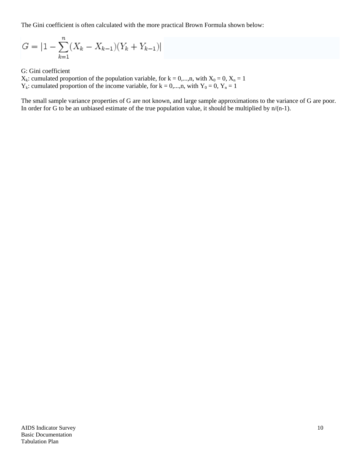The Gini coefficient is often calculated with the more practical Brown Formula shown below:

$$
G = |1 - \sum_{k=1}^{n} (X_k - X_{k-1})(Y_k + Y_{k-1})|
$$

G: Gini coefficient

 $X_k$ : cumulated proportion of the population variable, for  $k = 0,...,n$ , with  $X_0 = 0$ ,  $X_n = 1$  $Y_k$ : cumulated proportion of the income variable, for  $k = 0,...,n$ , with  $Y_0 = 0$ ,  $Y_n = 1$ 

The small sample variance properties of G are not known, and large sample approximations to the variance of G are poor. In order for G to be an unbiased estimate of the true population value, it should be multiplied by  $n/(n-1)$ .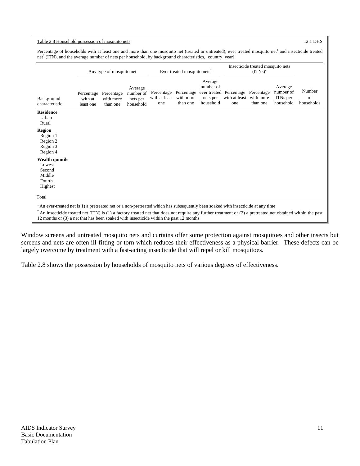|                                                                           |                                    | Any type of mosquito net            |                                               |                                    | Ever treated mosquito nets <sup>1</sup> |                                                               | Insecticide treated mosquito nets<br>$(TTNs)^2$ |                        |                                               |                            |
|---------------------------------------------------------------------------|------------------------------------|-------------------------------------|-----------------------------------------------|------------------------------------|-----------------------------------------|---------------------------------------------------------------|-------------------------------------------------|------------------------|-----------------------------------------------|----------------------------|
| Background<br>characteristic                                              | Percentage<br>with at<br>least one | Percentage<br>with more<br>than one | Average<br>number of<br>nets per<br>household | Percentage<br>with at least<br>one | Percentage<br>with more<br>than one     | Average<br>number of<br>ever treated<br>nets per<br>household | Percentage<br>with at least with more<br>one    | Percentage<br>than one | Average<br>number of<br>ITNs per<br>household | Number<br>of<br>households |
| <b>Residence</b><br>Urban<br>Rural                                        |                                    |                                     |                                               |                                    |                                         |                                                               |                                                 |                        |                                               |                            |
| <b>Region</b><br>Region 1<br>Region 2<br>Region 3<br>Region 4             |                                    |                                     |                                               |                                    |                                         |                                                               |                                                 |                        |                                               |                            |
| <b>Wealth quintile</b><br>Lowest<br>Second<br>Middle<br>Fourth<br>Highest |                                    |                                     |                                               |                                    |                                         |                                                               |                                                 |                        |                                               |                            |
| Total                                                                     |                                    |                                     |                                               |                                    |                                         |                                                               |                                                 |                        |                                               |                            |

Window screens and untreated mosquito nets and curtains offer some protection against mosquitoes and other insects but screens and nets are often ill-fitting or torn which reduces their effectiveness as a physical barrier. These defects can be largely overcome by treatment with a fast-acting insecticide that will repel or kill mosquitoes.

Table 2.8 shows the possession by households of mosquito nets of various degrees of effectiveness.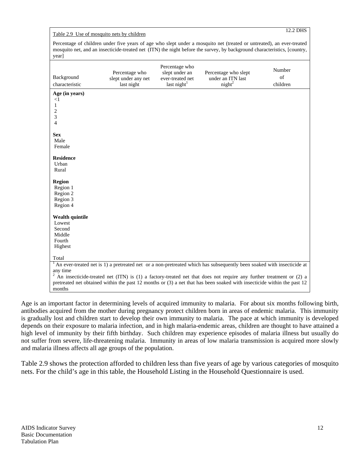# Table 2.9 Use of mosquito nets by children 12.2 DHS

Percentage of children under five years of age who slept under a mosquito net (treated or untreated), an ever-treated mosquito net, and an insecticide-treated net (ITN) the night before the survey, by background characteristics, [country, year]

| Background<br>characteristic | Percentage who<br>slept under any net<br>last night | Percentage who<br>slept under an<br>ever-treated net<br>last night $1$ | Percentage who slept<br>under an ITN last<br>night <sup>2</sup>                                                           | Number<br>of<br>children |
|------------------------------|-----------------------------------------------------|------------------------------------------------------------------------|---------------------------------------------------------------------------------------------------------------------------|--------------------------|
| Age (in years)               |                                                     |                                                                        |                                                                                                                           |                          |
| $\leq$ 1                     |                                                     |                                                                        |                                                                                                                           |                          |
| 1                            |                                                     |                                                                        |                                                                                                                           |                          |
| 2                            |                                                     |                                                                        |                                                                                                                           |                          |
| 3<br>$\overline{4}$          |                                                     |                                                                        |                                                                                                                           |                          |
|                              |                                                     |                                                                        |                                                                                                                           |                          |
| <b>Sex</b>                   |                                                     |                                                                        |                                                                                                                           |                          |
| Male                         |                                                     |                                                                        |                                                                                                                           |                          |
| Female                       |                                                     |                                                                        |                                                                                                                           |                          |
|                              |                                                     |                                                                        |                                                                                                                           |                          |
| <b>Residence</b>             |                                                     |                                                                        |                                                                                                                           |                          |
| Urban                        |                                                     |                                                                        |                                                                                                                           |                          |
| Rural                        |                                                     |                                                                        |                                                                                                                           |                          |
| <b>Region</b>                |                                                     |                                                                        |                                                                                                                           |                          |
| Region 1                     |                                                     |                                                                        |                                                                                                                           |                          |
| Region 2                     |                                                     |                                                                        |                                                                                                                           |                          |
| Region 3                     |                                                     |                                                                        |                                                                                                                           |                          |
| Region 4                     |                                                     |                                                                        |                                                                                                                           |                          |
|                              |                                                     |                                                                        |                                                                                                                           |                          |
| <b>Wealth quintile</b>       |                                                     |                                                                        |                                                                                                                           |                          |
| Lowest                       |                                                     |                                                                        |                                                                                                                           |                          |
| Second                       |                                                     |                                                                        |                                                                                                                           |                          |
| Middle<br>Fourth             |                                                     |                                                                        |                                                                                                                           |                          |
| Highest                      |                                                     |                                                                        |                                                                                                                           |                          |
|                              |                                                     |                                                                        |                                                                                                                           |                          |
| Total                        |                                                     |                                                                        |                                                                                                                           |                          |
|                              |                                                     |                                                                        | $1$ An ever-treated net is 1) a pretreated net or a non-pretreated which has subsequently been soaked with insecticide at |                          |
| any time                     |                                                     |                                                                        |                                                                                                                           |                          |
|                              |                                                     |                                                                        | $2$ An insecticide-treated net (ITN) is (1) a factory-treated net that does not require any further treatment or (2) a    |                          |
|                              |                                                     |                                                                        | pretreated net obtained within the past 12 months or (3) a net that has been soaked with insecticide within the past 12   |                          |
| months                       |                                                     |                                                                        |                                                                                                                           |                          |

Age is an important factor in determining levels of acquired immunity to malaria. For about six months following birth, antibodies acquired from the mother during pregnancy protect children born in areas of endemic malaria. This immunity is gradually lost and children start to develop their own immunity to malaria. The pace at which immunity is developed depends on their exposure to malaria infection, and in high malaria-endemic areas, children are thought to have attained a high level of immunity by their fifth birthday. Such children may experience episodes of malaria illness but usually do not suffer from severe, life-threatening malaria. Immunity in areas of low malaria transmission is acquired more slowly and malaria illness affects all age groups of the population.

Table 2.9 shows the protection afforded to children less than five years of age by various categories of mosquito nets. For the child's age in this table, the Household Listing in the Household Questionnaire is used.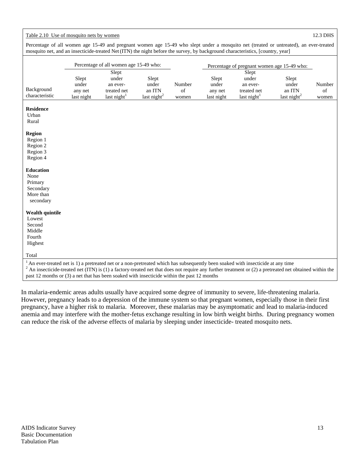# Table 2.10 Use of mosquito nets by women 12.3 DHS

Percentage of all women age 15-49 and pregnant women age 15-49 who slept under a mosquito net (treated or untreated), an ever-treated mosquito net, and an insecticide-treated Net(ITN) the night before the survey, by background characteristics, [country, year]

|                                                                                                                                    |                  | Percentage of all women age 15-49 who: |                         |              | Percentage of pregnant women age 15-49 who: |                         |                                                                                                                                                           |              |
|------------------------------------------------------------------------------------------------------------------------------------|------------------|----------------------------------------|-------------------------|--------------|---------------------------------------------|-------------------------|-----------------------------------------------------------------------------------------------------------------------------------------------------------|--------------|
|                                                                                                                                    |                  | Slept                                  |                         |              |                                             | Slept                   |                                                                                                                                                           |              |
|                                                                                                                                    | Slept            | under                                  | Slept                   |              | Slept                                       | under                   | Slept                                                                                                                                                     |              |
| Background                                                                                                                         | under<br>any net | an ever-<br>treated net                | under<br>an ITN         | Number<br>of | under<br>any net                            | an ever-<br>treated net | under<br>an ITN                                                                                                                                           | Number<br>of |
| characteristic                                                                                                                     | last night       | last night $1$                         | last night <sup>2</sup> | women        | last night                                  | last night $1$          | last night $2$                                                                                                                                            | women        |
|                                                                                                                                    |                  |                                        |                         |              |                                             |                         |                                                                                                                                                           |              |
| <b>Residence</b>                                                                                                                   |                  |                                        |                         |              |                                             |                         |                                                                                                                                                           |              |
| Urban                                                                                                                              |                  |                                        |                         |              |                                             |                         |                                                                                                                                                           |              |
| Rural                                                                                                                              |                  |                                        |                         |              |                                             |                         |                                                                                                                                                           |              |
| <b>Region</b>                                                                                                                      |                  |                                        |                         |              |                                             |                         |                                                                                                                                                           |              |
| Region 1                                                                                                                           |                  |                                        |                         |              |                                             |                         |                                                                                                                                                           |              |
| Region 2                                                                                                                           |                  |                                        |                         |              |                                             |                         |                                                                                                                                                           |              |
| Region 3                                                                                                                           |                  |                                        |                         |              |                                             |                         |                                                                                                                                                           |              |
| Region 4                                                                                                                           |                  |                                        |                         |              |                                             |                         |                                                                                                                                                           |              |
|                                                                                                                                    |                  |                                        |                         |              |                                             |                         |                                                                                                                                                           |              |
| <b>Education</b>                                                                                                                   |                  |                                        |                         |              |                                             |                         |                                                                                                                                                           |              |
| None                                                                                                                               |                  |                                        |                         |              |                                             |                         |                                                                                                                                                           |              |
| Primary                                                                                                                            |                  |                                        |                         |              |                                             |                         |                                                                                                                                                           |              |
| Secondary                                                                                                                          |                  |                                        |                         |              |                                             |                         |                                                                                                                                                           |              |
| More than                                                                                                                          |                  |                                        |                         |              |                                             |                         |                                                                                                                                                           |              |
| secondary                                                                                                                          |                  |                                        |                         |              |                                             |                         |                                                                                                                                                           |              |
| <b>Wealth quintile</b>                                                                                                             |                  |                                        |                         |              |                                             |                         |                                                                                                                                                           |              |
| Lowest                                                                                                                             |                  |                                        |                         |              |                                             |                         |                                                                                                                                                           |              |
| Second                                                                                                                             |                  |                                        |                         |              |                                             |                         |                                                                                                                                                           |              |
| Middle                                                                                                                             |                  |                                        |                         |              |                                             |                         |                                                                                                                                                           |              |
| Fourth                                                                                                                             |                  |                                        |                         |              |                                             |                         |                                                                                                                                                           |              |
| Highest                                                                                                                            |                  |                                        |                         |              |                                             |                         |                                                                                                                                                           |              |
| Total                                                                                                                              |                  |                                        |                         |              |                                             |                         |                                                                                                                                                           |              |
|                                                                                                                                    |                  |                                        |                         |              |                                             |                         |                                                                                                                                                           |              |
| $1$ An ever-treated net is 1) a pretreated net or a non-pretreated which has subsequently been soaked with insecticide at any time |                  |                                        |                         |              |                                             |                         |                                                                                                                                                           |              |
|                                                                                                                                    |                  |                                        |                         |              |                                             |                         | $2$ An insecticide-treated net (ITN) is (1) a factory-treated net that does not require any further treatment or (2) a pretreated net obtained within the |              |
| past 12 months or (3) a net that has been soaked with insecticide within the past 12 months                                        |                  |                                        |                         |              |                                             |                         |                                                                                                                                                           |              |

In malaria-endemic areas adults usually have acquired some degree of immunity to severe, life-threatening malaria. However, pregnancy leads to a depression of the immune system so that pregnant women, especially those in their first pregnancy, have a higher risk to malaria. Moreover, these malarias may be asymptomatic and lead to malaria-induced anemia and may interfere with the mother-fetus exchange resulting in low birth weight births. During pregnancy women can reduce the risk of the adverse effects of malaria by sleeping under insecticide- treated mosquito nets.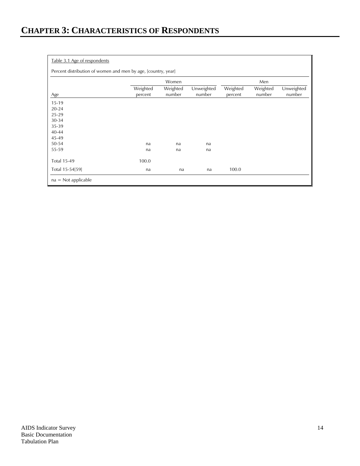### Table 3.1 Age of respondents

Percent distribution of women and men by age, [country, year]

|                    |                     | Women              | Men                  |                     |                    |                      |
|--------------------|---------------------|--------------------|----------------------|---------------------|--------------------|----------------------|
| Age                | Weighted<br>percent | Weighted<br>number | Unweighted<br>number | Weighted<br>percent | Weighted<br>number | Unweighted<br>number |
| $15-19$            |                     |                    |                      |                     |                    |                      |
| $20 - 24$          |                     |                    |                      |                     |                    |                      |
| 25-29              |                     |                    |                      |                     |                    |                      |
| $30 - 34$          |                     |                    |                      |                     |                    |                      |
| 35-39              |                     |                    |                      |                     |                    |                      |
| $40 - 44$          |                     |                    |                      |                     |                    |                      |
| 45-49              |                     |                    |                      |                     |                    |                      |
| 50-54              | na                  | na                 | na                   |                     |                    |                      |
| 55-59              | na                  | na                 | na                   |                     |                    |                      |
| <b>Total 15-49</b> | 100.0               |                    |                      |                     |                    |                      |
| Total 15-54[59]    | na                  | na                 | na                   | 100.0               |                    |                      |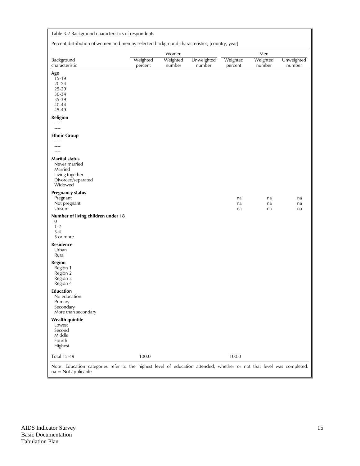| Table 3.2 Background characteristics of respondents |
|-----------------------------------------------------|
|-----------------------------------------------------|

Percent distribution of women and men by selected background characteristics, [country, year]

|                                                                                                                                                | ,                   | O                  |                      | $\prime$ $\prime$   |                    |                      |
|------------------------------------------------------------------------------------------------------------------------------------------------|---------------------|--------------------|----------------------|---------------------|--------------------|----------------------|
|                                                                                                                                                |                     | Women              |                      |                     | Men                |                      |
| Background<br>characteristic                                                                                                                   | Weighted<br>percent | Weighted<br>number | Unweighted<br>number | Weighted<br>percent | Weighted<br>number | Unweighted<br>number |
|                                                                                                                                                |                     |                    |                      |                     |                    |                      |
| Age<br>15-19                                                                                                                                   |                     |                    |                      |                     |                    |                      |
| $20 - 24$                                                                                                                                      |                     |                    |                      |                     |                    |                      |
| 25-29                                                                                                                                          |                     |                    |                      |                     |                    |                      |
| 30-34                                                                                                                                          |                     |                    |                      |                     |                    |                      |
| 35-39                                                                                                                                          |                     |                    |                      |                     |                    |                      |
| 40-44                                                                                                                                          |                     |                    |                      |                     |                    |                      |
| 45-49                                                                                                                                          |                     |                    |                      |                     |                    |                      |
| Religion                                                                                                                                       |                     |                    |                      |                     |                    |                      |
| $\cdots$<br>$\cdots$                                                                                                                           |                     |                    |                      |                     |                    |                      |
|                                                                                                                                                |                     |                    |                      |                     |                    |                      |
| <b>Ethnic Group</b><br>$- - - -$                                                                                                               |                     |                    |                      |                     |                    |                      |
| $---$                                                                                                                                          |                     |                    |                      |                     |                    |                      |
| $---$                                                                                                                                          |                     |                    |                      |                     |                    |                      |
| <b>Marital status</b>                                                                                                                          |                     |                    |                      |                     |                    |                      |
| Never married                                                                                                                                  |                     |                    |                      |                     |                    |                      |
| Married                                                                                                                                        |                     |                    |                      |                     |                    |                      |
| Living together                                                                                                                                |                     |                    |                      |                     |                    |                      |
| Divorced/separated<br>Widowed                                                                                                                  |                     |                    |                      |                     |                    |                      |
|                                                                                                                                                |                     |                    |                      |                     |                    |                      |
| <b>Pregnancy status</b>                                                                                                                        |                     |                    |                      |                     |                    |                      |
| Pregnant                                                                                                                                       |                     |                    |                      | na                  | na                 | na                   |
| Not pregnant<br>Unsure                                                                                                                         |                     |                    |                      | na<br>na            | na<br>na           | na<br>na             |
| Number of living children under 18<br>0<br>$1 - 2$                                                                                             |                     |                    |                      |                     |                    |                      |
| $3 - 4$                                                                                                                                        |                     |                    |                      |                     |                    |                      |
| 5 or more                                                                                                                                      |                     |                    |                      |                     |                    |                      |
| Residence                                                                                                                                      |                     |                    |                      |                     |                    |                      |
| Urban                                                                                                                                          |                     |                    |                      |                     |                    |                      |
| Rural                                                                                                                                          |                     |                    |                      |                     |                    |                      |
| <b>Region</b>                                                                                                                                  |                     |                    |                      |                     |                    |                      |
| Region 1                                                                                                                                       |                     |                    |                      |                     |                    |                      |
| Region 2                                                                                                                                       |                     |                    |                      |                     |                    |                      |
| Region 3<br>Region 4                                                                                                                           |                     |                    |                      |                     |                    |                      |
|                                                                                                                                                |                     |                    |                      |                     |                    |                      |
| <b>Education</b><br>No education                                                                                                               |                     |                    |                      |                     |                    |                      |
| Primary                                                                                                                                        |                     |                    |                      |                     |                    |                      |
| Secondary                                                                                                                                      |                     |                    |                      |                     |                    |                      |
| More than secondary                                                                                                                            |                     |                    |                      |                     |                    |                      |
| <b>Wealth quintile</b>                                                                                                                         |                     |                    |                      |                     |                    |                      |
| Lowest                                                                                                                                         |                     |                    |                      |                     |                    |                      |
| Second                                                                                                                                         |                     |                    |                      |                     |                    |                      |
| Middle                                                                                                                                         |                     |                    |                      |                     |                    |                      |
| Fourth<br>Highest                                                                                                                              |                     |                    |                      |                     |                    |                      |
|                                                                                                                                                |                     |                    |                      |                     |                    |                      |
| <b>Total 15-49</b>                                                                                                                             | 100.0               |                    |                      | 100.0               |                    |                      |
| Note: Education categories refer to the highest level of education attended, whether or not that level was completed.<br>$na = Not applicable$ |                     |                    |                      |                     |                    |                      |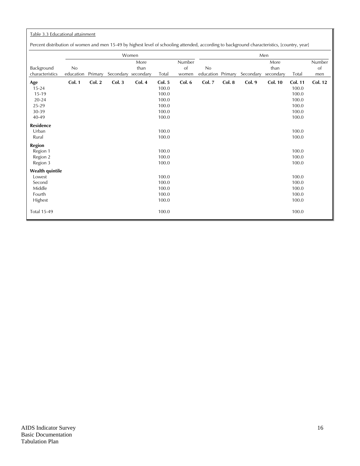# Table 3.3 Educational attainment

Percent distribution of women and men 15-49 by highest level of schooling attended, according to background characteristics, [country, year]

|                                                                           |                 |         |           | Women                     |                                                              |                       |                 |         |           | Men                       |                                                                      |                     |
|---------------------------------------------------------------------------|-----------------|---------|-----------|---------------------------|--------------------------------------------------------------|-----------------------|-----------------|---------|-----------|---------------------------|----------------------------------------------------------------------|---------------------|
| Background<br>characteristics                                             | No<br>education | Primary | Secondary | More<br>than<br>secondary | Total                                                        | Number<br>of<br>women | No<br>education | Primary | Secondary | More<br>than<br>secondary | Total                                                                | Number<br>of<br>men |
| Age<br>$15 - 24$<br>15-19<br>$20 - 24$<br>25-29<br>30-39<br>40-49         | Col. 1          | Col. 2  | Col.3     | Col. 4                    | Col. 5<br>100.0<br>100.0<br>100.0<br>100.0<br>100.0<br>100.0 | Col. 6                | <b>Col. 7</b>   | Col. 8  | Col. 9    | <b>Col. 10</b>            | <b>Col. 11</b><br>100.0<br>100.0<br>100.0<br>100.0<br>100.0<br>100.0 | <b>Col. 12</b>      |
| <b>Residence</b><br>Urban<br>Rural<br><b>Region</b>                       |                 |         |           |                           | 100.0<br>100.0                                               |                       |                 |         |           |                           | 100.0<br>100.0                                                       |                     |
| Region 1<br>Region 2<br>Region 3                                          |                 |         |           |                           | 100.0<br>100.0<br>100.0                                      |                       |                 |         |           |                           | 100.0<br>100.0<br>100.0                                              |                     |
| <b>Wealth quintile</b><br>Lowest<br>Second<br>Middle<br>Fourth<br>Highest |                 |         |           |                           | 100.0<br>100.0<br>100.0<br>100.0<br>100.0                    |                       |                 |         |           |                           | 100.0<br>100.0<br>100.0<br>100.0<br>100.0                            |                     |
| <b>Total 15-49</b>                                                        |                 |         |           |                           | 100.0                                                        |                       |                 |         |           |                           | 100.0                                                                |                     |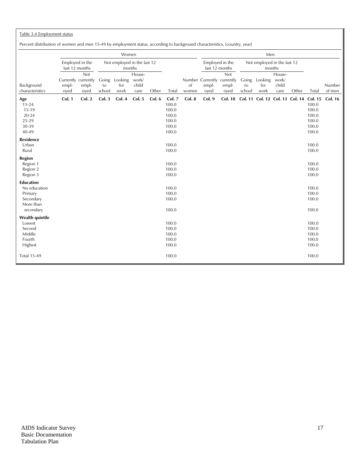# Table 3.4 Employment status

Percent distribution of women and men 15-49 by employment status, according to background characteristics, [country, year]

| recent abandatori or women and men 15-15 by employment batts, according to background enaracteribats, jeodini $\gamma$ , year |                                      |                      |                       | Women                                 |                                  |        |                                                              |                        |                                             |                                   |              | Men                                     |                                  |       |                                                    |                  |
|-------------------------------------------------------------------------------------------------------------------------------|--------------------------------------|----------------------|-----------------------|---------------------------------------|----------------------------------|--------|--------------------------------------------------------------|------------------------|---------------------------------------------|-----------------------------------|--------------|-----------------------------------------|----------------------------------|-------|----------------------------------------------------|------------------|
|                                                                                                                               | Employed in the<br>last 12 months    |                      |                       | Not employed in the last 12<br>months |                                  |        |                                                              |                        |                                             | Employed in the<br>last 12 months |              | Not employed in the last 12             | months                           |       |                                                    |                  |
| Background<br>characteristics                                                                                                 | Currently currently<br>empl-<br>oyed | Not<br>empl-<br>oyed | Going<br>to<br>school | Looking<br>for<br>work                | House-<br>work/<br>child<br>care | Other  | Total                                                        | <sub>of</sub><br>women | Number Currently currently<br>empl-<br>oyed | <b>Not</b><br>empl-<br>oyed       | to<br>school | Going Looking<br>for<br>work            | House-<br>work/<br>child<br>care | Other | Total                                              | Number<br>of men |
| Age<br>$15 - 24$<br>15-19<br>$20 - 24$<br>25-29<br>30-39<br>40-49                                                             | Col. 1                               | Col. 2               | Col.3                 | Col. 4                                | Col. 5                           | Col. 6 | Col. 7<br>100.0<br>100.0<br>100.0<br>100.0<br>100.0<br>100.0 | Col. 8                 | Col. 9                                      | <b>Col. 10</b>                    |              | Col. 11 Col. 12 Col. 13 Col. 14 Col. 15 |                                  |       | 100.0<br>100.0<br>100.0<br>100.0<br>100.0<br>100.0 | <b>Col. 16</b>   |
| Residence<br>Urban<br>Rural                                                                                                   |                                      |                      |                       |                                       |                                  |        | 100.0<br>100.0                                               |                        |                                             |                                   |              |                                         |                                  |       | 100.0<br>100.0                                     |                  |
| Region<br>Region 1<br>Region 2<br>Region 3                                                                                    |                                      |                      |                       |                                       |                                  |        | 100.0<br>100.0<br>100.0                                      |                        |                                             |                                   |              |                                         |                                  |       | 100.0<br>100.0<br>100.0                            |                  |
| <b>Education</b><br>No education<br>Primary<br>Secondary<br>More than<br>secondary                                            |                                      |                      |                       |                                       |                                  |        | 100.0<br>100.0<br>100.0<br>100.0                             |                        |                                             |                                   |              |                                         |                                  |       | 100.0<br>100.0<br>100.0<br>100.0                   |                  |
| Wealth quintile<br>Lowest<br>Second<br>Middle<br>Fourth<br>Highest                                                            |                                      |                      |                       |                                       |                                  |        | 100.0<br>100.0<br>100.0<br>100.0<br>100.0                    |                        |                                             |                                   |              |                                         |                                  |       | 100.0<br>100.0<br>100.0<br>100.0<br>100.0          |                  |
| <b>Total 15-49</b>                                                                                                            |                                      |                      |                       |                                       |                                  |        | 100.0                                                        |                        |                                             |                                   |              |                                         |                                  |       | 100.0                                              |                  |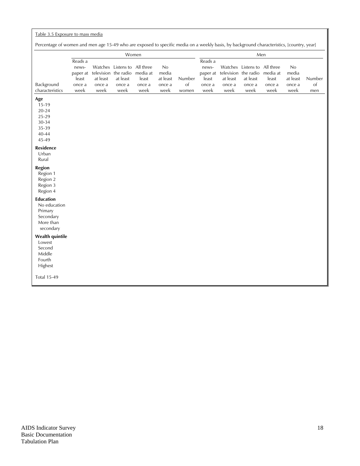# Table 3.5 Exposure to mass media

Percentage of women and men age 15-49 who are exposed to specific media on a weekly basis, by background characteristics, [country, year]

|                                                                                    | Women                                                   |                                          |                                                                         |                                     |                                           |                              | Men                                                     |                            |                                                                          |                                                  |                                           |                     |
|------------------------------------------------------------------------------------|---------------------------------------------------------|------------------------------------------|-------------------------------------------------------------------------|-------------------------------------|-------------------------------------------|------------------------------|---------------------------------------------------------|----------------------------|--------------------------------------------------------------------------|--------------------------------------------------|-------------------------------------------|---------------------|
| Background<br>characteristics                                                      | Reads a<br>news-<br>paper at<br>least<br>once a<br>week | television<br>at least<br>once a<br>week | Watches Listens to All three<br>the radio<br>at least<br>once a<br>week | media at<br>least<br>once a<br>week | No<br>media<br>at least<br>once a<br>week | Number<br>$\circ$ f<br>women | Reads a<br>news-<br>paper at<br>least<br>once a<br>week | at least<br>once a<br>week | Watches Listens to<br>television the radio<br>at least<br>once a<br>week | All three<br>media at<br>least<br>once a<br>week | No<br>media<br>at least<br>once a<br>week | Number<br>of<br>men |
| Age<br>15-19<br>$20 - 24$<br>25-29<br>30-34<br>35-39<br>40-44<br>45-49             |                                                         |                                          |                                                                         |                                     |                                           |                              |                                                         |                            |                                                                          |                                                  |                                           |                     |
| <b>Residence</b><br>Urban<br>Rural                                                 |                                                         |                                          |                                                                         |                                     |                                           |                              |                                                         |                            |                                                                          |                                                  |                                           |                     |
| <b>Region</b><br>Region 1<br>Region 2<br>Region 3<br>Region 4                      |                                                         |                                          |                                                                         |                                     |                                           |                              |                                                         |                            |                                                                          |                                                  |                                           |                     |
| <b>Education</b><br>No education<br>Primary<br>Secondary<br>More than<br>secondary |                                                         |                                          |                                                                         |                                     |                                           |                              |                                                         |                            |                                                                          |                                                  |                                           |                     |
| Wealth quintile<br>Lowest<br>Second<br>Middle<br>Fourth<br>Highest                 |                                                         |                                          |                                                                         |                                     |                                           |                              |                                                         |                            |                                                                          |                                                  |                                           |                     |
| <b>Total 15-49</b>                                                                 |                                                         |                                          |                                                                         |                                     |                                           |                              |                                                         |                            |                                                                          |                                                  |                                           |                     |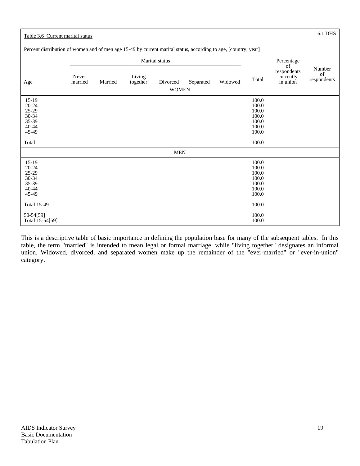| Table 3.6 Current marital status                                                                                |                  |         |                    |              |           |         |                                                                      |                                      | 6.1 DHS                     |
|-----------------------------------------------------------------------------------------------------------------|------------------|---------|--------------------|--------------|-----------|---------|----------------------------------------------------------------------|--------------------------------------|-----------------------------|
| Percent distribution of women and of men age 15-49 by current marital status, according to age, [country, year] |                  |         |                    |              |           |         |                                                                      |                                      |                             |
|                                                                                                                 | Marital status   |         |                    |              |           |         |                                                                      | Percentage<br>of                     |                             |
| Age                                                                                                             | Never<br>married | Married | Living<br>together | Divorced     | Separated | Widowed | Total                                                                | respondents<br>currently<br>in union | Number<br>of<br>respondents |
|                                                                                                                 |                  |         |                    | <b>WOMEN</b> |           |         |                                                                      |                                      |                             |
| $15-19$<br>$20 - 24$<br>25-29<br>30-34<br>35-39<br>40-44<br>45-49                                               |                  |         |                    |              |           |         | 100.0<br>100.0<br>100.0<br>100.0<br>100.0<br>100.0<br>100.0          |                                      |                             |
| Total                                                                                                           |                  |         |                    |              |           |         | 100.0                                                                |                                      |                             |
|                                                                                                                 |                  |         |                    | <b>MEN</b>   |           |         |                                                                      |                                      |                             |
| $15-19$<br>$20 - 24$<br>25-29<br>30-34<br>35-39<br>$40 - 44$<br>45-49<br><b>Total 15-49</b>                     |                  |         |                    |              |           |         | 100.0<br>100.0<br>100.0<br>100.0<br>100.0<br>100.0<br>100.0<br>100.0 |                                      |                             |
| 50-54[59]<br>Total 15-54[59]                                                                                    |                  |         |                    |              |           |         | 100.0<br>100.0                                                       |                                      |                             |

This is a descriptive table of basic importance in defining the population base for many of the subsequent tables. In this table, the term "married" is intended to mean legal or formal marriage, while "living together" designates an informal union. Widowed, divorced, and separated women make up the remainder of the "ever-married" or "ever-in-union" category.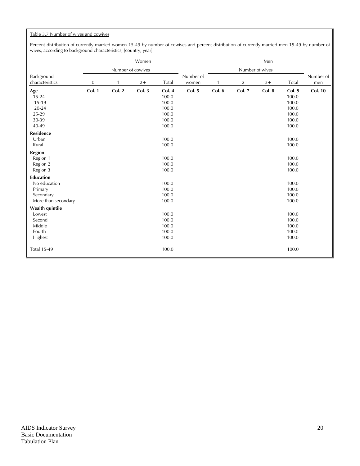# Table 3.7 Number of wives and cowives

Percent distribution of currently married women 15-49 by number of cowives and percent distribution of currently married men 15-49 by number of wives, according to background characteristics, [country, year]

|                               |                  |              | Women             |                 |                    |        |                | Men             |                 |                  |
|-------------------------------|------------------|--------------|-------------------|-----------------|--------------------|--------|----------------|-----------------|-----------------|------------------|
|                               |                  |              | Number of cowives |                 |                    |        |                | Number of wives |                 |                  |
| Background<br>characteristics | $\boldsymbol{0}$ | $\mathbf{1}$ | $2+$              | Total           | Number of<br>women |        | $\overline{c}$ | $3+$            | Total           | Number of<br>men |
|                               |                  |              |                   |                 |                    |        |                |                 |                 |                  |
| Age<br>$15 - 24$              | Col. 1           | Col. 2       | Col. 3            | Col. 4<br>100.0 | Col. 5             | Col. 6 | Col. 7         | Col. 8          | Col. 9<br>100.0 | <b>Col. 10</b>   |
| 15-19                         |                  |              |                   | 100.0           |                    |        |                |                 | 100.0           |                  |
| 20-24                         |                  |              |                   | 100.0           |                    |        |                |                 | 100.0           |                  |
| 25-29                         |                  |              |                   | 100.0           |                    |        |                |                 | 100.0           |                  |
| 30-39                         |                  |              |                   | 100.0           |                    |        |                |                 | 100.0           |                  |
| 40-49                         |                  |              |                   | 100.0           |                    |        |                |                 | 100.0           |                  |
| <b>Residence</b>              |                  |              |                   |                 |                    |        |                |                 |                 |                  |
| Urban                         |                  |              |                   | 100.0           |                    |        |                |                 | 100.0           |                  |
| Rural                         |                  |              |                   | 100.0           |                    |        |                |                 | 100.0           |                  |
| <b>Region</b>                 |                  |              |                   |                 |                    |        |                |                 |                 |                  |
| Region 1                      |                  |              |                   | 100.0           |                    |        |                |                 | 100.0           |                  |
| Region 2                      |                  |              |                   | 100.0           |                    |        |                |                 | 100.0           |                  |
| Region 3                      |                  |              |                   | 100.0           |                    |        |                |                 | 100.0           |                  |
| <b>Education</b>              |                  |              |                   |                 |                    |        |                |                 |                 |                  |
| No education                  |                  |              |                   | 100.0           |                    |        |                |                 | 100.0           |                  |
| Primary                       |                  |              |                   | 100.0           |                    |        |                |                 | 100.0           |                  |
| Secondary                     |                  |              |                   | 100.0           |                    |        |                |                 | 100.0           |                  |
| More than secondary           |                  |              |                   | 100.0           |                    |        |                |                 | 100.0           |                  |
| <b>Wealth quintile</b>        |                  |              |                   |                 |                    |        |                |                 |                 |                  |
| Lowest                        |                  |              |                   | 100.0           |                    |        |                |                 | 100.0           |                  |
| Second                        |                  |              |                   | 100.0           |                    |        |                |                 | 100.0           |                  |
| Middle<br>Fourth              |                  |              |                   | 100.0<br>100.0  |                    |        |                |                 | 100.0<br>100.0  |                  |
| Highest                       |                  |              |                   | 100.0           |                    |        |                |                 | 100.0           |                  |
|                               |                  |              |                   |                 |                    |        |                |                 |                 |                  |
| <b>Total 15-49</b>            |                  |              |                   | 100.0           |                    |        |                |                 | 100.0           |                  |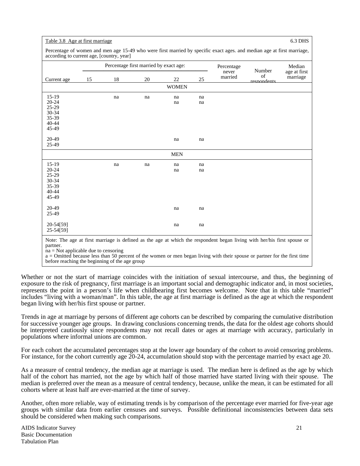## Table 3.8 Age at first marriage 6.3 DHS

Percentage of women and men age 15-49 who were first married by specific exact ages. and median age at first marriage, according to current age, [country, year]

|                |    |    | Percentage first married by exact age: |              |    | Percentage<br>never | Number            | Median<br>age at first |
|----------------|----|----|----------------------------------------|--------------|----|---------------------|-------------------|------------------------|
| Current age    | 15 | 18 | 20                                     | 22           | 25 | married             | of<br>respondents | marriage               |
|                |    |    |                                        | <b>WOMEN</b> |    |                     |                   |                        |
| $15-19$        |    | na | na                                     | na           | na |                     |                   |                        |
| $20 - 24$      |    |    |                                        | na           | na |                     |                   |                        |
| $25-29$        |    |    |                                        |              |    |                     |                   |                        |
| 30-34          |    |    |                                        |              |    |                     |                   |                        |
| 35-39          |    |    |                                        |              |    |                     |                   |                        |
| 40-44<br>45-49 |    |    |                                        |              |    |                     |                   |                        |
|                |    |    |                                        |              |    |                     |                   |                        |
| 20-49          |    |    |                                        | na           | na |                     |                   |                        |
| 25-49          |    |    |                                        |              |    |                     |                   |                        |
|                |    |    |                                        | <b>MEN</b>   |    |                     |                   |                        |
| $15-19$        |    | na | na                                     | na           | na |                     |                   |                        |
| $20 - 24$      |    |    |                                        | na           | na |                     |                   |                        |
| $25-29$        |    |    |                                        |              |    |                     |                   |                        |
| 30-34          |    |    |                                        |              |    |                     |                   |                        |
| 35-39          |    |    |                                        |              |    |                     |                   |                        |
| $40 - 44$      |    |    |                                        |              |    |                     |                   |                        |
| 45-49          |    |    |                                        |              |    |                     |                   |                        |
| 20-49          |    |    |                                        | na           | na |                     |                   |                        |
| 25-49          |    |    |                                        |              |    |                     |                   |                        |
| 20-54[59]      |    |    |                                        | na           | na |                     |                   |                        |
| 25-54[59]      |    |    |                                        |              |    |                     |                   |                        |

a = Omitted because less than 50 percent of the women or men began living with their spouse or partner for the first time before reaching the beginning of the age group

Whether or not the start of marriage coincides with the initiation of sexual intercourse, and thus, the beginning of exposure to the risk of pregnancy, first marriage is an important social and demographic indicator and, in most societies, represents the point in a person's life when childbearing first becomes welcome. Note that in this table "married" includes "living with a woman/man". In this table, the age at first marriage is defined as the age at which the respondent began living with her/his first spouse or partner.

Trends in age at marriage by persons of different age cohorts can be described by comparing the cumulative distribution for successive younger age groups. In drawing conclusions concerning trends, the data for the oldest age cohorts should be interpreted cautiously since respondents may not recall dates or ages at marriage with accuracy, particularly in populations where informal unions are common.

For each cohort the accumulated percentages stop at the lower age boundary of the cohort to avoid censoring problems. For instance, for the cohort currently age 20-24, accumulation should stop with the percentage married by exact age 20.

As a measure of central tendency, the median age at marriage is used. The median here is defined as the age by which half of the cohort has married, not the age by which half of those married have started living with their spouse. The median is preferred over the mean as a measure of central tendency, because, unlike the mean, it can be estimated for all cohorts where at least half are ever-married at the time of survey.

Another, often more reliable, way of estimating trends is by comparison of the percentage ever married for five-year age groups with similar data from earlier censuses and surveys. Possible definitional inconsistencies between data sets should be considered when making such comparisons.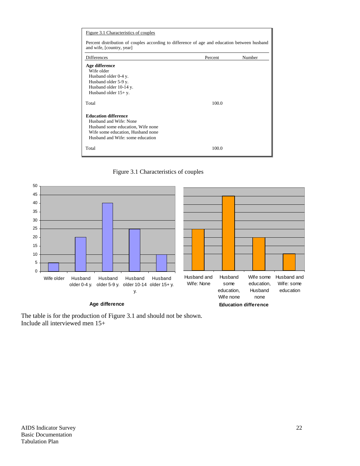| Figure 3.1 Characteristics of couples                                                                                     |         |        |
|---------------------------------------------------------------------------------------------------------------------------|---------|--------|
| Percent distribution of couples according to difference of age and education between husband<br>and wife, [country, year] |         |        |
| <b>Differences</b>                                                                                                        | Percent | Number |
| Age difference                                                                                                            |         |        |
| Wife older                                                                                                                |         |        |
| Husband older 0-4 y.                                                                                                      |         |        |
| Husband older 5-9 y.                                                                                                      |         |        |
| Husband older 10-14 y.                                                                                                    |         |        |
| Husband older $15 + y$ .                                                                                                  |         |        |
| Total                                                                                                                     | 100.0   |        |
| <b>Education difference</b>                                                                                               |         |        |
| Husband and Wife: None                                                                                                    |         |        |
| Husband some education, Wife none                                                                                         |         |        |
| Wife some education, Husband none                                                                                         |         |        |
| Husband and Wife: some education                                                                                          |         |        |
| Total                                                                                                                     | 100.0   |        |





The table is for the production of Figure 3.1 and should not be shown. Include all interviewed men 15+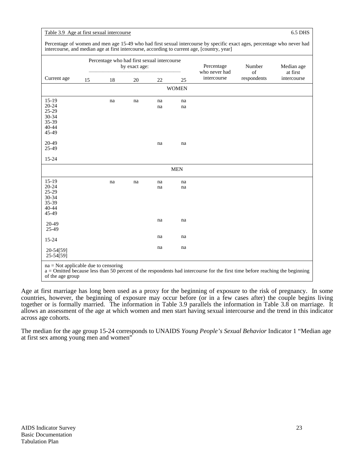| Table 3.9 Age at first sexual intercourse | 6.5 DHS |
|-------------------------------------------|---------|
|-------------------------------------------|---------|

| Percentage of women and men age 15-49 who had first sexual intercourse by specific exact ages, percentage who never had |
|-------------------------------------------------------------------------------------------------------------------------|
| intercourse, and median age at first intercourse, according to current age, [country, year]                             |

|                        |    | Percentage who had first sexual intercourse | by exact age: |    |              | Percentage<br>who never had | Number<br>of                    | Median age<br>at first |
|------------------------|----|---------------------------------------------|---------------|----|--------------|-----------------------------|---------------------------------|------------------------|
| Current age            | 15 | 18                                          | $20\,$        | 22 | 25           | intercourse                 | $\mathop{\mathsf{respondents}}$ | intercourse            |
|                        |    |                                             |               |    | <b>WOMEN</b> |                             |                                 |                        |
| $15-19$                |    | na                                          | na            | na | na           |                             |                                 |                        |
| $20 - 24$              |    |                                             |               | na | na           |                             |                                 |                        |
| $25-29$                |    |                                             |               |    |              |                             |                                 |                        |
| 30-34                  |    |                                             |               |    |              |                             |                                 |                        |
| 35-39                  |    |                                             |               |    |              |                             |                                 |                        |
| 40-44                  |    |                                             |               |    |              |                             |                                 |                        |
| 45-49                  |    |                                             |               |    |              |                             |                                 |                        |
| 20-49                  |    |                                             |               | na | na           |                             |                                 |                        |
| 25-49                  |    |                                             |               |    |              |                             |                                 |                        |
| 15-24                  |    |                                             |               |    |              |                             |                                 |                        |
|                        |    |                                             |               |    | <b>MEN</b>   |                             |                                 |                        |
| $15-19$                |    | na                                          | na            | na | na           |                             |                                 |                        |
| $20 - 24$              |    |                                             |               | na | na           |                             |                                 |                        |
| 25-29                  |    |                                             |               |    |              |                             |                                 |                        |
| 30-34                  |    |                                             |               |    |              |                             |                                 |                        |
| 35-39                  |    |                                             |               |    |              |                             |                                 |                        |
| 40-44                  |    |                                             |               |    |              |                             |                                 |                        |
| 45-49                  |    |                                             |               |    |              |                             |                                 |                        |
|                        |    |                                             |               | na | na           |                             |                                 |                        |
| 20-49                  |    |                                             |               |    |              |                             |                                 |                        |
| 25-49                  |    |                                             |               |    |              |                             |                                 |                        |
| 15-24                  |    |                                             |               | na | na           |                             |                                 |                        |
| 20-54[59]<br>25-54[59] |    |                                             |               | na | na           |                             |                                 |                        |

a = Omitted because less than 50 percent of the respondents had intercourse for the first time before reaching the beginning of the age group

Age at first marriage has long been used as a proxy for the beginning of exposure to the risk of pregnancy. In some countries, however, the beginning of exposure may occur before (or in a few cases after) the couple begins living together or is formally married. The information in Table 3.9 parallels the information in Table 3.8 on marriage. It allows an assessment of the age at which women and men start having sexual intercourse and the trend in this indicator across age cohorts.

The median for the age group 15-24 corresponds to UNAIDS *Young People's Sexual Behavior* Indicator 1 "Median age at first sex among young men and women"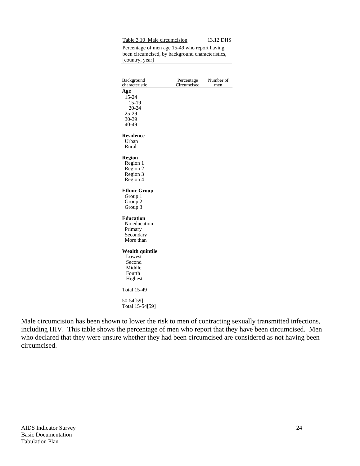| Table 3.10 Male circumcision                     |                                               | 13.12 DHS |  |  |  |  |  |  |  |
|--------------------------------------------------|-----------------------------------------------|-----------|--|--|--|--|--|--|--|
|                                                  | Percentage of men age 15-49 who report having |           |  |  |  |  |  |  |  |
| been circumcised, by background characteristics, |                                               |           |  |  |  |  |  |  |  |
| [country, year]                                  |                                               |           |  |  |  |  |  |  |  |
|                                                  |                                               |           |  |  |  |  |  |  |  |
|                                                  |                                               |           |  |  |  |  |  |  |  |
| Background                                       | Percentage                                    | Number of |  |  |  |  |  |  |  |
| characteristic                                   | Circumcised                                   | men       |  |  |  |  |  |  |  |
| Age                                              |                                               |           |  |  |  |  |  |  |  |
| 15-24                                            |                                               |           |  |  |  |  |  |  |  |
| $15-19$                                          |                                               |           |  |  |  |  |  |  |  |
| 20-24                                            |                                               |           |  |  |  |  |  |  |  |
| 25-29<br>30-39                                   |                                               |           |  |  |  |  |  |  |  |
| 40-49                                            |                                               |           |  |  |  |  |  |  |  |
|                                                  |                                               |           |  |  |  |  |  |  |  |
| <b>Residence</b>                                 |                                               |           |  |  |  |  |  |  |  |
| Urban                                            |                                               |           |  |  |  |  |  |  |  |
| Rural                                            |                                               |           |  |  |  |  |  |  |  |
|                                                  |                                               |           |  |  |  |  |  |  |  |
| <b>Region</b>                                    |                                               |           |  |  |  |  |  |  |  |
| Region 1                                         |                                               |           |  |  |  |  |  |  |  |
| Region 2                                         |                                               |           |  |  |  |  |  |  |  |
| Region 3                                         |                                               |           |  |  |  |  |  |  |  |
| Region 4                                         |                                               |           |  |  |  |  |  |  |  |
| <b>Ethnic Group</b>                              |                                               |           |  |  |  |  |  |  |  |
| Group 1                                          |                                               |           |  |  |  |  |  |  |  |
| Group 2                                          |                                               |           |  |  |  |  |  |  |  |
| Group 3                                          |                                               |           |  |  |  |  |  |  |  |
|                                                  |                                               |           |  |  |  |  |  |  |  |
| <b>Education</b>                                 |                                               |           |  |  |  |  |  |  |  |
| No education<br>Primary                          |                                               |           |  |  |  |  |  |  |  |
| Secondary                                        |                                               |           |  |  |  |  |  |  |  |
| More than                                        |                                               |           |  |  |  |  |  |  |  |
|                                                  |                                               |           |  |  |  |  |  |  |  |
| Wealth quintile                                  |                                               |           |  |  |  |  |  |  |  |
| Lowest                                           |                                               |           |  |  |  |  |  |  |  |
| Second                                           |                                               |           |  |  |  |  |  |  |  |
| Middle                                           |                                               |           |  |  |  |  |  |  |  |
| Fourth                                           |                                               |           |  |  |  |  |  |  |  |
| Highest                                          |                                               |           |  |  |  |  |  |  |  |
| Total 15-49                                      |                                               |           |  |  |  |  |  |  |  |
| 50-54[59]                                        |                                               |           |  |  |  |  |  |  |  |
| Total 15-54[59]                                  |                                               |           |  |  |  |  |  |  |  |

Male circumcision has been shown to lower the risk to men of contracting sexually transmitted infections, including HIV. This table shows the percentage of men who report that they have been circumcised. Men who declared that they were unsure whether they had been circumcised are considered as not having been circumcised.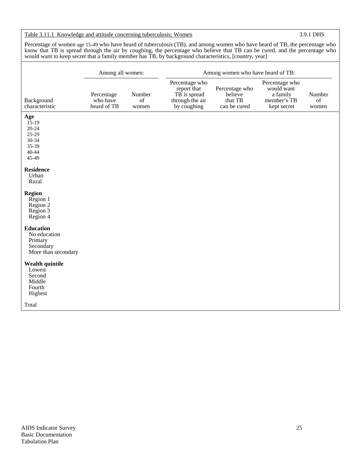# Table 3.11.1 Knowledge and attitude concerning tuberculosis: Women 3.9.1 DHS

Percentage of women age 15-49 who have heard of tuberculosis (TB), and among women who have heard of TB, the percentage who know that TB is spread through the air by coughing, the percentage who believe that TB can be cured, and the percentage who would want to keep secret that a family member has TB, by background characteristics, [country, year]

|                                                                                 | Among all women:                      |                       | Among women who have heard of TB:                                               |                                                      |                                                                        |                       |  |  |
|---------------------------------------------------------------------------------|---------------------------------------|-----------------------|---------------------------------------------------------------------------------|------------------------------------------------------|------------------------------------------------------------------------|-----------------------|--|--|
| Background<br>characteristic                                                    | Percentage<br>who have<br>heard of TB | Number<br>of<br>women | Percentage who<br>report that<br>TB is spread<br>through the air<br>by coughing | Percentage who<br>believe<br>that TB<br>can be cured | Percentage who<br>would want<br>a family<br>member's TB<br>kept secret | Number<br>of<br>women |  |  |
| Age<br>$15-19$<br>$20 - 24$<br>25-29<br>30-34<br>35-39<br>40-44<br>45-49        |                                       |                       |                                                                                 |                                                      |                                                                        |                       |  |  |
| <b>Residence</b><br>Urban<br>Rural                                              |                                       |                       |                                                                                 |                                                      |                                                                        |                       |  |  |
| <b>Region</b><br>Region 1<br>Region 2<br>Region 3<br>Region 4                   |                                       |                       |                                                                                 |                                                      |                                                                        |                       |  |  |
| <b>Education</b><br>No education<br>Primary<br>Secondary<br>More than secondary |                                       |                       |                                                                                 |                                                      |                                                                        |                       |  |  |
| <b>Wealth quintile</b><br>Lowest<br>Second<br>Middle<br>Fourth<br>Highest       |                                       |                       |                                                                                 |                                                      |                                                                        |                       |  |  |
| Total                                                                           |                                       |                       |                                                                                 |                                                      |                                                                        |                       |  |  |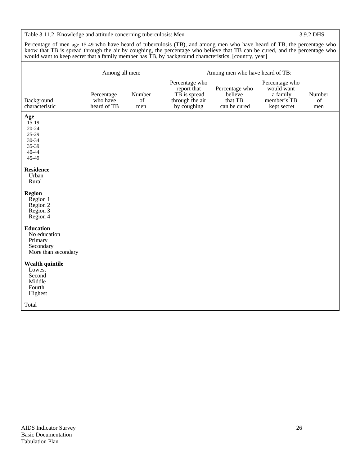# Table 3.11.2 Knowledge and attitude concerning tuberculosis: Men 3.9.2 DHS

Percentage of men age 15-49 who have heard of tuberculosis (TB), and among men who have heard of TB, the percentage who know that TB is spread through the air by coughing, the percentage who believe that TB can be cured, and the percentage who would want to keep secret that a family member has TB, by background characteristics, [country, year]

|                                                                                 | Among all men:                        |                     | Among men who have heard of TB:                                                 |                                                      |                                                                        |                     |  |  |
|---------------------------------------------------------------------------------|---------------------------------------|---------------------|---------------------------------------------------------------------------------|------------------------------------------------------|------------------------------------------------------------------------|---------------------|--|--|
| Background<br>characteristic                                                    | Percentage<br>who have<br>heard of TB | Number<br>of<br>men | Percentage who<br>report that<br>TB is spread<br>through the air<br>by coughing | Percentage who<br>believe<br>that TB<br>can be cured | Percentage who<br>would want<br>a family<br>member's TB<br>kept secret | Number<br>of<br>men |  |  |
| Age<br>$15-19$<br>$20 - 24$<br>25-29<br>30-34<br>35-39<br>$40 - 44$<br>45-49    |                                       |                     |                                                                                 |                                                      |                                                                        |                     |  |  |
| <b>Residence</b><br>Urban<br>Rural                                              |                                       |                     |                                                                                 |                                                      |                                                                        |                     |  |  |
| <b>Region</b><br>Region 1<br>Region 2<br>Region 3<br>Region 4                   |                                       |                     |                                                                                 |                                                      |                                                                        |                     |  |  |
| <b>Education</b><br>No education<br>Primary<br>Secondary<br>More than secondary |                                       |                     |                                                                                 |                                                      |                                                                        |                     |  |  |
| <b>Wealth quintile</b><br>Lowest<br>Second<br>Middle<br>Fourth<br>Highest       |                                       |                     |                                                                                 |                                                      |                                                                        |                     |  |  |
| Total                                                                           |                                       |                     |                                                                                 |                                                      |                                                                        |                     |  |  |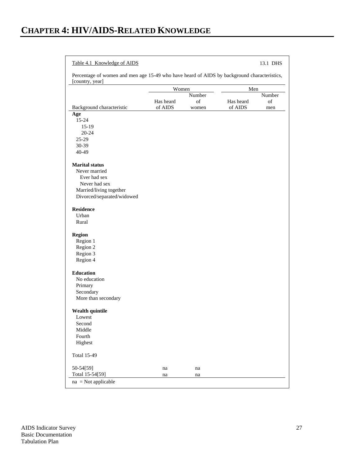# Table 4.1 Knowledge of AIDS 13.1 DHS

Percentage of women and men age 15-49 who have heard of AIDS by background characteristics, [country, year]

|                            | Women     |        | Men       |        |  |
|----------------------------|-----------|--------|-----------|--------|--|
|                            |           | Number |           | Number |  |
|                            | Has heard | of     | Has heard | of     |  |
| Background characteristic  | of AIDS   | women  | of AIDS   | men    |  |
| Age                        |           |        |           |        |  |
| 15-24                      |           |        |           |        |  |
| $15-19$                    |           |        |           |        |  |
| $20 - 24$                  |           |        |           |        |  |
| 25-29                      |           |        |           |        |  |
| 30-39                      |           |        |           |        |  |
| $40 - 49$                  |           |        |           |        |  |
| <b>Marital</b> status      |           |        |           |        |  |
| Never married              |           |        |           |        |  |
| Ever had sex               |           |        |           |        |  |
| Never had sex              |           |        |           |        |  |
| Married/living together    |           |        |           |        |  |
| Divorced/separated/widowed |           |        |           |        |  |
|                            |           |        |           |        |  |
| <b>Residence</b>           |           |        |           |        |  |
| Urban                      |           |        |           |        |  |
| Rural                      |           |        |           |        |  |
| Region                     |           |        |           |        |  |
| Region 1                   |           |        |           |        |  |
| Region 2                   |           |        |           |        |  |
| Region 3                   |           |        |           |        |  |
| Region 4                   |           |        |           |        |  |
| <b>Education</b>           |           |        |           |        |  |
| No education               |           |        |           |        |  |
| Primary                    |           |        |           |        |  |
| Secondary                  |           |        |           |        |  |
| More than secondary        |           |        |           |        |  |
|                            |           |        |           |        |  |
| Wealth quintile            |           |        |           |        |  |
| Lowest                     |           |        |           |        |  |
| Second                     |           |        |           |        |  |
| Middle                     |           |        |           |        |  |
| Fourth                     |           |        |           |        |  |
| Highest                    |           |        |           |        |  |
| <b>Total 15-49</b>         |           |        |           |        |  |
| 50-54[59]                  | na        | na     |           |        |  |
| Total 15-54[59]            | na        | na     |           |        |  |
| $na = Not applicable$      |           |        |           |        |  |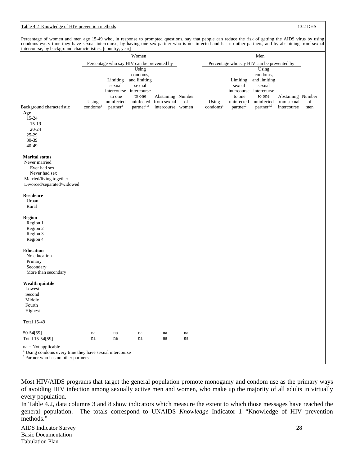# Table 4.2 Knowledge of HIV prevention methods 13.2 DHS 13.2 DHS

Percentage of women and men age 15-49 who, in response to prompted questions, say that people can reduce the risk of getting the AIDS virus by using condoms every time they have sexual intercourse, by having one sex partner who is not infected and has no other partners, and by abstaining from sexual intercourse, by background characteristics, [country, year]

|                                                                                             | mercoarse, by background characteristics, pound y, year<br>Women |                      |                        |                   |    | Men                           |                                            |                        |                   |     |  |
|---------------------------------------------------------------------------------------------|------------------------------------------------------------------|----------------------|------------------------|-------------------|----|-------------------------------|--------------------------------------------|------------------------|-------------------|-----|--|
|                                                                                             | Percentage who say HIV can be prevented by                       |                      |                        |                   |    |                               | Percentage who say HIV can be prevented by |                        |                   |     |  |
|                                                                                             |                                                                  |                      | Using                  |                   |    |                               |                                            | Using                  |                   |     |  |
|                                                                                             |                                                                  |                      | condoms,               |                   |    |                               |                                            | condoms,               |                   |     |  |
|                                                                                             |                                                                  | Limiting<br>sexual   | and limiting           |                   |    |                               | Limiting<br>sexual                         | and limiting<br>sexual |                   |     |  |
|                                                                                             |                                                                  | intercourse          | sexual<br>intercourse  |                   |    |                               | intercourse                                | intercourse            |                   |     |  |
|                                                                                             |                                                                  | to one               | to one                 | Abstaining Number |    |                               | to one                                     | to one                 | Abstaining Number |     |  |
|                                                                                             | Using                                                            | uninfected           | uninfected             | from sexual       | of | Using                         | uninfected                                 | uninfected             | from sexual       | of  |  |
| Background characteristic                                                                   | condoms <sup>1</sup>                                             | partner <sup>2</sup> | partner <sup>1,2</sup> | intercourse women |    | $\overline{\text{condoms}}^1$ | partner <sup>2</sup>                       | partner <sup>1,2</sup> | intercourse       | men |  |
| Age                                                                                         |                                                                  |                      |                        |                   |    |                               |                                            |                        |                   |     |  |
| 15-24                                                                                       |                                                                  |                      |                        |                   |    |                               |                                            |                        |                   |     |  |
| $15-19$                                                                                     |                                                                  |                      |                        |                   |    |                               |                                            |                        |                   |     |  |
| $20 - 24$<br>25-29                                                                          |                                                                  |                      |                        |                   |    |                               |                                            |                        |                   |     |  |
| 30-39                                                                                       |                                                                  |                      |                        |                   |    |                               |                                            |                        |                   |     |  |
| 40-49                                                                                       |                                                                  |                      |                        |                   |    |                               |                                            |                        |                   |     |  |
|                                                                                             |                                                                  |                      |                        |                   |    |                               |                                            |                        |                   |     |  |
| <b>Marital</b> status                                                                       |                                                                  |                      |                        |                   |    |                               |                                            |                        |                   |     |  |
| Never married                                                                               |                                                                  |                      |                        |                   |    |                               |                                            |                        |                   |     |  |
| Ever had sex                                                                                |                                                                  |                      |                        |                   |    |                               |                                            |                        |                   |     |  |
| Never had sex                                                                               |                                                                  |                      |                        |                   |    |                               |                                            |                        |                   |     |  |
| Married/living together<br>Divorced/separated/widowed                                       |                                                                  |                      |                        |                   |    |                               |                                            |                        |                   |     |  |
|                                                                                             |                                                                  |                      |                        |                   |    |                               |                                            |                        |                   |     |  |
| <b>Residence</b>                                                                            |                                                                  |                      |                        |                   |    |                               |                                            |                        |                   |     |  |
| Urban                                                                                       |                                                                  |                      |                        |                   |    |                               |                                            |                        |                   |     |  |
| Rural                                                                                       |                                                                  |                      |                        |                   |    |                               |                                            |                        |                   |     |  |
|                                                                                             |                                                                  |                      |                        |                   |    |                               |                                            |                        |                   |     |  |
| <b>Region</b>                                                                               |                                                                  |                      |                        |                   |    |                               |                                            |                        |                   |     |  |
| Region 1                                                                                    |                                                                  |                      |                        |                   |    |                               |                                            |                        |                   |     |  |
| Region 2                                                                                    |                                                                  |                      |                        |                   |    |                               |                                            |                        |                   |     |  |
| Region 3<br>Region 4                                                                        |                                                                  |                      |                        |                   |    |                               |                                            |                        |                   |     |  |
|                                                                                             |                                                                  |                      |                        |                   |    |                               |                                            |                        |                   |     |  |
| <b>Education</b>                                                                            |                                                                  |                      |                        |                   |    |                               |                                            |                        |                   |     |  |
| No education                                                                                |                                                                  |                      |                        |                   |    |                               |                                            |                        |                   |     |  |
| Primary                                                                                     |                                                                  |                      |                        |                   |    |                               |                                            |                        |                   |     |  |
| Secondary                                                                                   |                                                                  |                      |                        |                   |    |                               |                                            |                        |                   |     |  |
| More than secondary                                                                         |                                                                  |                      |                        |                   |    |                               |                                            |                        |                   |     |  |
|                                                                                             |                                                                  |                      |                        |                   |    |                               |                                            |                        |                   |     |  |
| Wealth quintile<br>Lowest                                                                   |                                                                  |                      |                        |                   |    |                               |                                            |                        |                   |     |  |
| Second                                                                                      |                                                                  |                      |                        |                   |    |                               |                                            |                        |                   |     |  |
| Middle                                                                                      |                                                                  |                      |                        |                   |    |                               |                                            |                        |                   |     |  |
| Fourth                                                                                      |                                                                  |                      |                        |                   |    |                               |                                            |                        |                   |     |  |
| Highest                                                                                     |                                                                  |                      |                        |                   |    |                               |                                            |                        |                   |     |  |
|                                                                                             |                                                                  |                      |                        |                   |    |                               |                                            |                        |                   |     |  |
| <b>Total 15-49</b>                                                                          |                                                                  |                      |                        |                   |    |                               |                                            |                        |                   |     |  |
| 50-54[59]                                                                                   | na                                                               | $\operatorname{na}$  | na                     | na                | na |                               |                                            |                        |                   |     |  |
| Total 15-54[59]                                                                             | na                                                               | na                   | na                     | na                | na |                               |                                            |                        |                   |     |  |
|                                                                                             |                                                                  |                      |                        |                   |    |                               |                                            |                        |                   |     |  |
| $na = Not applicable$<br><sup>1</sup> Using condoms every time they have sexual intercourse |                                                                  |                      |                        |                   |    |                               |                                            |                        |                   |     |  |
| <sup>2</sup> Partner who has no other partners                                              |                                                                  |                      |                        |                   |    |                               |                                            |                        |                   |     |  |

Most HIV/AIDS programs that target the general population promote monogamy and condom use as the primary ways of avoiding HIV infection among sexually active men and women, who make up the majority of all adults in virtually every population.

In Table 4.2, data columns 3 and 8 show indicators which measure the extent to which those messages have reached the general population. The totals correspond to UNAIDS *Knowledge* Indicator 1 "Knowledge of HIV prevention methods."

AIDS Indicator Survey 28 Basic Documentation Tabulation Plan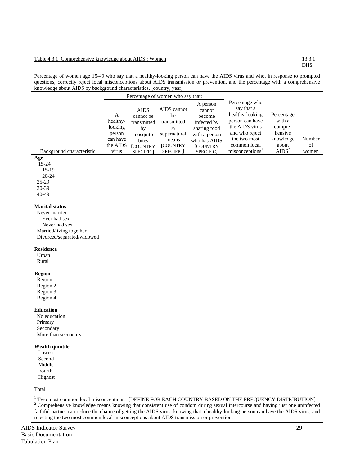# Table 4.3.1 Comprehensive knowledge about AIDS : Women 13.3.1

Percentage of women age 15-49 who say that a healthy-looking person can have the AIDS virus and who, in response to prompted questions, correctly reject local misconceptions about AIDS transmission or prevention, and the percentage with a comprehensive knowledge about AIDS by background characteristics, [country, year]

| Knowledge about AIDS by background characteristics, [country, year]                                                                                                                                                                                                                                                                                                                          |                          |                                         |                                        |                                             |                                                                                      |                                 |        |
|----------------------------------------------------------------------------------------------------------------------------------------------------------------------------------------------------------------------------------------------------------------------------------------------------------------------------------------------------------------------------------------------|--------------------------|-----------------------------------------|----------------------------------------|---------------------------------------------|--------------------------------------------------------------------------------------|---------------------------------|--------|
|                                                                                                                                                                                                                                                                                                                                                                                              |                          |                                         | Percentage of women who say that:      |                                             |                                                                                      |                                 |        |
|                                                                                                                                                                                                                                                                                                                                                                                              | A<br>healthy-<br>looking | <b>AIDS</b><br>cannot be<br>transmitted | AIDS cannot<br>be<br>transmitted<br>by | A person<br>cannot<br>become<br>infected by | Percentage who<br>say that a<br>healthy-looking<br>person can have<br>the AIDS virus | Percentage<br>with a<br>compre- |        |
|                                                                                                                                                                                                                                                                                                                                                                                              | person                   | by<br>mosquito                          | supernatural                           | sharing food<br>with a person               | and who reject                                                                       | hensive                         |        |
|                                                                                                                                                                                                                                                                                                                                                                                              | can have                 | bites                                   | means                                  | who has AIDS                                | the two most                                                                         | knowledge                       | Number |
|                                                                                                                                                                                                                                                                                                                                                                                              | the AIDS                 | <b>[COUNTRY</b>                         | [COUNTRY                               | [COUNTRY                                    | common local                                                                         | about                           | of     |
| Background characteristic                                                                                                                                                                                                                                                                                                                                                                    | virus                    | <b>SPECIFIC</b>                         | SPECIFIC]                              | SPECIFIC]                                   | misconceptions <sup>1</sup>                                                          | AIDS <sup>2</sup>               | women  |
| Age<br>15-24<br>$15-19$<br>$20 - 24$                                                                                                                                                                                                                                                                                                                                                         |                          |                                         |                                        |                                             |                                                                                      |                                 |        |
| 25-29                                                                                                                                                                                                                                                                                                                                                                                        |                          |                                         |                                        |                                             |                                                                                      |                                 |        |
| 30-39                                                                                                                                                                                                                                                                                                                                                                                        |                          |                                         |                                        |                                             |                                                                                      |                                 |        |
| 40-49                                                                                                                                                                                                                                                                                                                                                                                        |                          |                                         |                                        |                                             |                                                                                      |                                 |        |
| <b>Marital status</b><br>Never married<br>Ever had sex<br>Never had sex<br>Married/living together<br>Divorced/separated/widowed<br><b>Residence</b><br>Urban<br>Rural<br><b>Region</b><br>Region 1<br>Region 2                                                                                                                                                                              |                          |                                         |                                        |                                             |                                                                                      |                                 |        |
| Region 3<br>Region 4                                                                                                                                                                                                                                                                                                                                                                         |                          |                                         |                                        |                                             |                                                                                      |                                 |        |
| <b>Education</b><br>No education<br>Primary<br>Secondary<br>More than secondary                                                                                                                                                                                                                                                                                                              |                          |                                         |                                        |                                             |                                                                                      |                                 |        |
| <b>Wealth quintile</b><br>Lowest                                                                                                                                                                                                                                                                                                                                                             |                          |                                         |                                        |                                             |                                                                                      |                                 |        |
| Second                                                                                                                                                                                                                                                                                                                                                                                       |                          |                                         |                                        |                                             |                                                                                      |                                 |        |
| Middle                                                                                                                                                                                                                                                                                                                                                                                       |                          |                                         |                                        |                                             |                                                                                      |                                 |        |
| Fourth                                                                                                                                                                                                                                                                                                                                                                                       |                          |                                         |                                        |                                             |                                                                                      |                                 |        |
| Highest                                                                                                                                                                                                                                                                                                                                                                                      |                          |                                         |                                        |                                             |                                                                                      |                                 |        |
| Total                                                                                                                                                                                                                                                                                                                                                                                        |                          |                                         |                                        |                                             |                                                                                      |                                 |        |
| <sup>1</sup> Two most common local misconceptions: [DEFINE FOR EACH COUNTRY BASED ON THE FREQUENCY DISTRIBUTION]<br>$2$ Comprehensive knowledge means knowing that consistent use of condom during sexual intercourse and having just one uninfected<br>faithful partner can reduce the chance of getting the AIDS virus, knowing that a healthy-looking person can have the AIDS virus, and |                          |                                         |                                        |                                             |                                                                                      |                                 |        |

rejecting the two most common local misconceptions about AIDS transmission or prevention.

DHS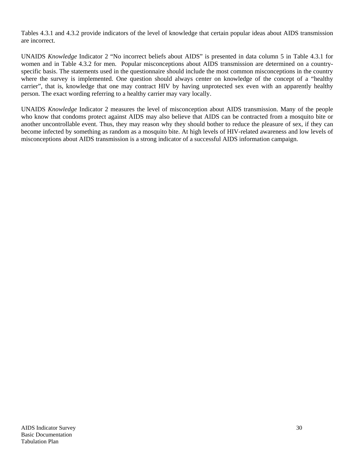Tables 4.3.1 and 4.3.2 provide indicators of the level of knowledge that certain popular ideas about AIDS transmission are incorrect.

UNAIDS *Knowledge* Indicator 2 "No incorrect beliefs about AIDS" is presented in data column 5 in Table 4.3.1 for women and in Table 4.3.2 for men. Popular misconceptions about AIDS transmission are determined on a countryspecific basis. The statements used in the questionnaire should include the most common misconceptions in the country where the survey is implemented. One question should always center on knowledge of the concept of a "healthy" carrier", that is, knowledge that one may contract HIV by having unprotected sex even with an apparently healthy person. The exact wording referring to a healthy carrier may vary locally.

UNAIDS *Knowledge* Indicator 2 measures the level of misconception about AIDS transmission. Many of the people who know that condoms protect against AIDS may also believe that AIDS can be contracted from a mosquito bite or another uncontrollable event. Thus, they may reason why they should bother to reduce the pleasure of sex, if they can become infected by something as random as a mosquito bite. At high levels of HIV-related awareness and low levels of misconceptions about AIDS transmission is a strong indicator of a successful AIDS information campaign.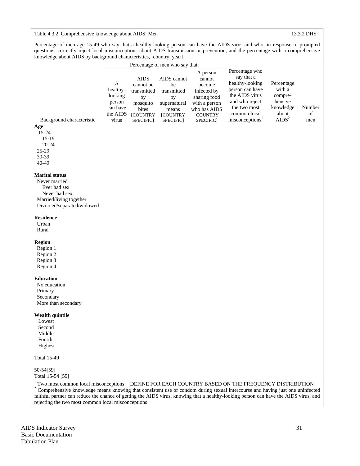# Table 4.3.2 Comprehensive knowledge about AIDS: Men 13.3.2 DHS

Percentage of men age 15-49 who say that a healthy-looking person can have the AIDS virus and who, in response to prompted questions, correctly reject local misconceptions about AIDS transmission or prevention, and the percentage with a comprehensive knowledge about AIDS by background characteristics, [country, year]

|                                                                                                                                      |                                                                     |                                                                                                    | Percentage of men who say that:                                             |                                                                                                                              |                                                                                                                                                                       |                                                                                       |                     |
|--------------------------------------------------------------------------------------------------------------------------------------|---------------------------------------------------------------------|----------------------------------------------------------------------------------------------------|-----------------------------------------------------------------------------|------------------------------------------------------------------------------------------------------------------------------|-----------------------------------------------------------------------------------------------------------------------------------------------------------------------|---------------------------------------------------------------------------------------|---------------------|
| Background characteristic                                                                                                            | A<br>healthy-<br>looking<br>person<br>can have<br>the AIDS<br>virus | <b>AIDS</b><br>cannot be<br>transmitted<br>by<br>mosquito<br>bites<br><b>[COUNTRY</b><br>SPECIFIC] | AIDS cannot<br>be<br>transmitted<br>by<br>supernatural<br>means<br>[COUNTRY | A person<br>cannot<br>become<br>infected by<br>sharing food<br>with a person<br>who has AIDS<br><b>[COUNTRY</b><br>SPECIFIC] | Percentage who<br>say that a<br>healthy-looking<br>person can have<br>the AIDS virus<br>and who reject<br>the two most<br>common local<br>misconceptions <sup>1</sup> | Percentage<br>with a<br>compre-<br>hensive<br>knowledge<br>about<br>AIDS <sup>2</sup> | Number<br>of<br>men |
| Age                                                                                                                                  |                                                                     |                                                                                                    | SPECIFIC]                                                                   |                                                                                                                              |                                                                                                                                                                       |                                                                                       |                     |
| 15-24<br>$15-19$<br>20-24<br>25-29<br>30-39<br>40-49                                                                                 |                                                                     |                                                                                                    |                                                                             |                                                                                                                              |                                                                                                                                                                       |                                                                                       |                     |
| <b>Marital status</b>                                                                                                                |                                                                     |                                                                                                    |                                                                             |                                                                                                                              |                                                                                                                                                                       |                                                                                       |                     |
| Never married                                                                                                                        |                                                                     |                                                                                                    |                                                                             |                                                                                                                              |                                                                                                                                                                       |                                                                                       |                     |
| Ever had sex                                                                                                                         |                                                                     |                                                                                                    |                                                                             |                                                                                                                              |                                                                                                                                                                       |                                                                                       |                     |
| Never had sex                                                                                                                        |                                                                     |                                                                                                    |                                                                             |                                                                                                                              |                                                                                                                                                                       |                                                                                       |                     |
| Married/living together<br>Divorced/separated/widowed                                                                                |                                                                     |                                                                                                    |                                                                             |                                                                                                                              |                                                                                                                                                                       |                                                                                       |                     |
|                                                                                                                                      |                                                                     |                                                                                                    |                                                                             |                                                                                                                              |                                                                                                                                                                       |                                                                                       |                     |
| <b>Residence</b>                                                                                                                     |                                                                     |                                                                                                    |                                                                             |                                                                                                                              |                                                                                                                                                                       |                                                                                       |                     |
| Urban                                                                                                                                |                                                                     |                                                                                                    |                                                                             |                                                                                                                              |                                                                                                                                                                       |                                                                                       |                     |
| Rural                                                                                                                                |                                                                     |                                                                                                    |                                                                             |                                                                                                                              |                                                                                                                                                                       |                                                                                       |                     |
| <b>Region</b><br>Region 1<br>Region 2<br>Region 3<br>Region 4                                                                        |                                                                     |                                                                                                    |                                                                             |                                                                                                                              |                                                                                                                                                                       |                                                                                       |                     |
| <b>Education</b>                                                                                                                     |                                                                     |                                                                                                    |                                                                             |                                                                                                                              |                                                                                                                                                                       |                                                                                       |                     |
| No education                                                                                                                         |                                                                     |                                                                                                    |                                                                             |                                                                                                                              |                                                                                                                                                                       |                                                                                       |                     |
| Primary                                                                                                                              |                                                                     |                                                                                                    |                                                                             |                                                                                                                              |                                                                                                                                                                       |                                                                                       |                     |
| Secondary                                                                                                                            |                                                                     |                                                                                                    |                                                                             |                                                                                                                              |                                                                                                                                                                       |                                                                                       |                     |
| More than secondary                                                                                                                  |                                                                     |                                                                                                    |                                                                             |                                                                                                                              |                                                                                                                                                                       |                                                                                       |                     |
| <b>Wealth quintile</b><br>Lowest                                                                                                     |                                                                     |                                                                                                    |                                                                             |                                                                                                                              |                                                                                                                                                                       |                                                                                       |                     |
| Second                                                                                                                               |                                                                     |                                                                                                    |                                                                             |                                                                                                                              |                                                                                                                                                                       |                                                                                       |                     |
| Middle                                                                                                                               |                                                                     |                                                                                                    |                                                                             |                                                                                                                              |                                                                                                                                                                       |                                                                                       |                     |
| Fourth                                                                                                                               |                                                                     |                                                                                                    |                                                                             |                                                                                                                              |                                                                                                                                                                       |                                                                                       |                     |
| Highest                                                                                                                              |                                                                     |                                                                                                    |                                                                             |                                                                                                                              |                                                                                                                                                                       |                                                                                       |                     |
| <b>Total 15-49</b>                                                                                                                   |                                                                     |                                                                                                    |                                                                             |                                                                                                                              |                                                                                                                                                                       |                                                                                       |                     |
| 50-54[59]                                                                                                                            |                                                                     |                                                                                                    |                                                                             |                                                                                                                              |                                                                                                                                                                       |                                                                                       |                     |
| Total 15-54 [59]                                                                                                                     |                                                                     |                                                                                                    |                                                                             |                                                                                                                              |                                                                                                                                                                       |                                                                                       |                     |
| <sup>1</sup> Two most common local misconceptions: [DEFINE FOR EACH COUNTRY BASED ON THE FREQUENCY DISTRIBUTION                      |                                                                     |                                                                                                    |                                                                             |                                                                                                                              |                                                                                                                                                                       |                                                                                       |                     |
| $2$ Comprehensive knowledge means knowing that consistent use of condom during sexual intercourse and having just one uninfected     |                                                                     |                                                                                                    |                                                                             |                                                                                                                              |                                                                                                                                                                       |                                                                                       |                     |
| faithful partner can reduce the chance of getting the AIDS virus, knowing that a healthy-looking person can have the AIDS virus, and |                                                                     |                                                                                                    |                                                                             |                                                                                                                              |                                                                                                                                                                       |                                                                                       |                     |
| rejecting the two most common local misconceptions                                                                                   |                                                                     |                                                                                                    |                                                                             |                                                                                                                              |                                                                                                                                                                       |                                                                                       |                     |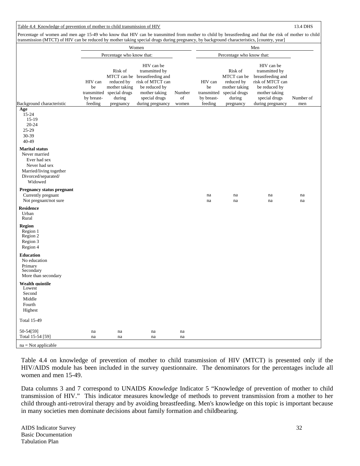# Table 4.4 Knowledge of prevention of mother to child transmission of HIV 13.4 DHS

Percentage of women and men age 15-49 who know that HIV can be transmitted from mother to child by breastfeeding and that the risk of mother to child transmission (MTCT) of HIV can be reduced by mother taking special drugs during pregnancy, by background characteristics, [country, year]

|                                                                                                                                      |                                            |                                                                   | Women                                                                                                                                |              |                                            |                                                                                  | Men                                                                                                                      |           |
|--------------------------------------------------------------------------------------------------------------------------------------|--------------------------------------------|-------------------------------------------------------------------|--------------------------------------------------------------------------------------------------------------------------------------|--------------|--------------------------------------------|----------------------------------------------------------------------------------|--------------------------------------------------------------------------------------------------------------------------|-----------|
|                                                                                                                                      |                                            | Percentage who know that:                                         |                                                                                                                                      |              |                                            | Percentage who know that:                                                        |                                                                                                                          |           |
| Background characteristic                                                                                                            | HIV can<br>be<br>transmitted<br>by breast- | Risk of<br>reduced by<br>mother taking<br>special drugs<br>during | HIV can be<br>transmitted by<br>MTCT can be breastfeeding and<br>risk of MTCT can<br>be reduced by<br>mother taking<br>special drugs | Number<br>of | HIV can<br>be<br>transmitted<br>by breast- | Risk of<br>MTCT can be<br>reduced by<br>mother taking<br>special drugs<br>during | HIV can be<br>transmitted by<br>breastfeeding and<br>risk of MTCT can<br>be reduced by<br>mother taking<br>special drugs | Number of |
| Age                                                                                                                                  | feeding                                    | pregnancy                                                         | during pregnancy                                                                                                                     | women        | feeding                                    | pregnancy                                                                        | during pregnancy                                                                                                         | men       |
| 15-24<br>15-19<br>20-24<br>25-29<br>30-39<br>40-49                                                                                   |                                            |                                                                   |                                                                                                                                      |              |                                            |                                                                                  |                                                                                                                          |           |
| <b>Marital status</b><br>Never married<br>Ever had sex<br>Never had sex<br>Married/living together<br>Divorced/separated/<br>Widowed |                                            |                                                                   |                                                                                                                                      |              |                                            |                                                                                  |                                                                                                                          |           |
| <b>Pregnancy status pregnant</b><br>Currently pregnant<br>Not pregnant/not sure                                                      |                                            |                                                                   |                                                                                                                                      |              | na<br>na                                   | na<br>na                                                                         | na<br>na                                                                                                                 | na<br>na  |
| <b>Residence</b><br>Urban<br>Rural                                                                                                   |                                            |                                                                   |                                                                                                                                      |              |                                            |                                                                                  |                                                                                                                          |           |
| <b>Region</b><br>Region 1<br>Region 2<br>Region 3<br>Region 4                                                                        |                                            |                                                                   |                                                                                                                                      |              |                                            |                                                                                  |                                                                                                                          |           |
| <b>Education</b><br>No education<br>Primary<br>Secondary<br>More than secondary                                                      |                                            |                                                                   |                                                                                                                                      |              |                                            |                                                                                  |                                                                                                                          |           |
| <b>Wealth quintile</b><br>Lowest<br>Second<br>Middle<br>Fourth<br>Highest                                                            |                                            |                                                                   |                                                                                                                                      |              |                                            |                                                                                  |                                                                                                                          |           |
| <b>Total 15-49</b>                                                                                                                   |                                            |                                                                   |                                                                                                                                      |              |                                            |                                                                                  |                                                                                                                          |           |
| 50-54[59]<br>Total 15-54 [59]                                                                                                        | na<br>na                                   | na<br>na                                                          | na<br>na                                                                                                                             | na<br>na     |                                            |                                                                                  |                                                                                                                          |           |
| $na = Not applicable$                                                                                                                |                                            |                                                                   |                                                                                                                                      |              |                                            |                                                                                  |                                                                                                                          |           |

Table 4.4 on knowledge of prevention of mother to child transmission of HIV (MTCT) is presented only if the HIV/AIDS module has been included in the survey questionnaire. The denominators for the percentages include all women and men 15-49.

Data columns 3 and 7 correspond to UNAIDS *Knowledge* Indicator 5 "Knowledge of prevention of mother to child transmission of HIV." This indicator measures knowledge of methods to prevent transmission from a mother to her child through anti-retroviral therapy and by avoiding breastfeeding. Men's knowledge on this topic is important because in many societies men dominate decisions about family formation and childbearing.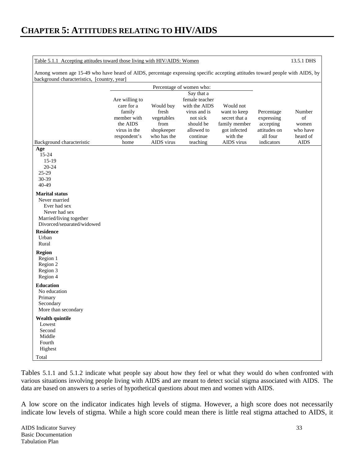| Table 5.1.1 Accepting attitudes toward those living with HIV/AIDS: Women                                                     |                              | 13.5.1 DHS  |                                 |               |              |             |
|------------------------------------------------------------------------------------------------------------------------------|------------------------------|-------------|---------------------------------|---------------|--------------|-------------|
| Among women age 15-49 who have heard of AIDS, percentage expressing specific accepting attitudes toward people with AIDS, by |                              |             |                                 |               |              |             |
| background characteristics, [country, year]                                                                                  |                              |             |                                 |               |              |             |
|                                                                                                                              |                              |             | Percentage of women who:        |               |              |             |
|                                                                                                                              |                              |             | Say that a                      |               |              |             |
|                                                                                                                              | Are willing to<br>care for a | Would buy   | female teacher<br>with the AIDS | Would not     |              |             |
|                                                                                                                              | family                       | fresh       | virus and is                    | want to keep  | Percentage   | Number      |
|                                                                                                                              | member with                  | vegetables  | not sick                        | secret that a | expressing   | of          |
|                                                                                                                              | the AIDS                     | from        | should be                       | family member | accepting    | women       |
|                                                                                                                              | virus in the                 | shopkeeper  | allowed to                      | got infected  | attitudes on | who have    |
|                                                                                                                              | respondent's                 | who has the | continue                        | with the      | all four     | heard of    |
| Background characteristic                                                                                                    | home                         | AIDS virus  | teaching                        | AIDS virus    | indicators   | <b>AIDS</b> |
| Age                                                                                                                          |                              |             |                                 |               |              |             |
| 15-24                                                                                                                        |                              |             |                                 |               |              |             |
| $15-19$                                                                                                                      |                              |             |                                 |               |              |             |
| $20 - 24$<br>25-29                                                                                                           |                              |             |                                 |               |              |             |
| 30-39                                                                                                                        |                              |             |                                 |               |              |             |
| 40-49                                                                                                                        |                              |             |                                 |               |              |             |
|                                                                                                                              |                              |             |                                 |               |              |             |
| <b>Marital status</b><br>Never married                                                                                       |                              |             |                                 |               |              |             |
| Ever had sex                                                                                                                 |                              |             |                                 |               |              |             |
| Never had sex                                                                                                                |                              |             |                                 |               |              |             |
| Married/living together                                                                                                      |                              |             |                                 |               |              |             |
| Divorced/senarated/widowed                                                                                                   |                              |             |                                 |               |              |             |
| <b>Residence</b>                                                                                                             |                              |             |                                 |               |              |             |
| Urban                                                                                                                        |                              |             |                                 |               |              |             |
| Rural                                                                                                                        |                              |             |                                 |               |              |             |
| Region                                                                                                                       |                              |             |                                 |               |              |             |
| Region 1                                                                                                                     |                              |             |                                 |               |              |             |
| Region 2                                                                                                                     |                              |             |                                 |               |              |             |
| Region 3                                                                                                                     |                              |             |                                 |               |              |             |
| Region 4                                                                                                                     |                              |             |                                 |               |              |             |
| <b>Education</b>                                                                                                             |                              |             |                                 |               |              |             |
| No education                                                                                                                 |                              |             |                                 |               |              |             |
| Primary                                                                                                                      |                              |             |                                 |               |              |             |
| Secondary                                                                                                                    |                              |             |                                 |               |              |             |
| More than secondary                                                                                                          |                              |             |                                 |               |              |             |
| Wealth quintile                                                                                                              |                              |             |                                 |               |              |             |
| Lowest                                                                                                                       |                              |             |                                 |               |              |             |
| Second                                                                                                                       |                              |             |                                 |               |              |             |
| Middle                                                                                                                       |                              |             |                                 |               |              |             |
| Fourth<br>Highest                                                                                                            |                              |             |                                 |               |              |             |
|                                                                                                                              |                              |             |                                 |               |              |             |
| Total                                                                                                                        |                              |             |                                 |               |              |             |

Tables 5.1.1 and 5.1.2 indicate what people say about how they feel or what they would do when confronted with various situations involving people living with AIDS and are meant to detect social stigma associated with AIDS. The data are based on answers to a series of hypothetical questions about men and women with AIDS.

A low score on the indicator indicates high levels of stigma. However, a high score does not necessarily indicate low levels of stigma. While a high score could mean there is little real stigma attached to AIDS, it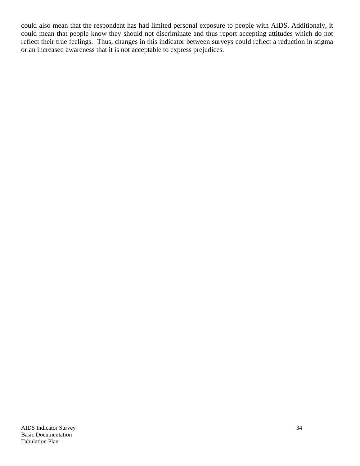could also mean that the respondent has had limited personal exposure to people with AIDS. Additionaly, it could mean that people know they should not discriminate and thus report accepting attitudes which do not reflect their true feelings. Thus, changes in this indicator between surveys could reflect a reduction in stigma or an increased awareness that it is not acceptable to express prejudices.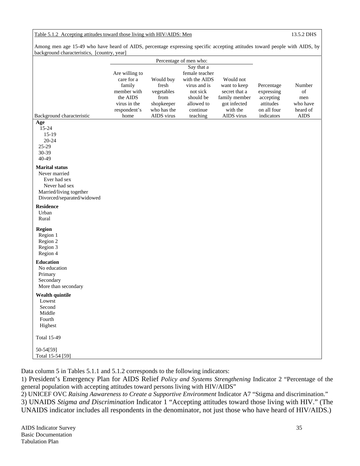# Table 5.1.2 Accepting attitudes toward those living with HIV/AIDS: Men 13.5.2 DHS

Among men age 15-49 who have heard of AIDS, percentage expressing specific accepting attitudes toward people with AIDS, by background characteristics, [country, year]

|                                                                                                                                  |                                                                                                           | Percentage of men who:                                                                      |                                                                                                                              |                                                                                                       |                                                                                 |                                                            |
|----------------------------------------------------------------------------------------------------------------------------------|-----------------------------------------------------------------------------------------------------------|---------------------------------------------------------------------------------------------|------------------------------------------------------------------------------------------------------------------------------|-------------------------------------------------------------------------------------------------------|---------------------------------------------------------------------------------|------------------------------------------------------------|
| Background characteristic                                                                                                        | Are willing to<br>care for a<br>family<br>member with<br>the AIDS<br>virus in the<br>respondent's<br>home | Would buy<br>fresh<br>vegetables<br>${\rm from}$<br>shopkeeper<br>who has the<br>AIDS virus | Say that a<br>female teacher<br>with the AIDS<br>virus and is<br>not sick<br>should be<br>allowed to<br>continue<br>teaching | Would not<br>want to keep<br>secret that a<br>family member<br>got infected<br>with the<br>AIDS virus | Percentage<br>expressing<br>accepting<br>attitudes<br>on all four<br>indicators | Number<br>of<br>men<br>who have<br>heard of<br><b>AIDS</b> |
| Age<br>15-24<br>$15-19$<br>$20 - 24$<br>25-29<br>30-39<br>40-49                                                                  |                                                                                                           |                                                                                             |                                                                                                                              |                                                                                                       |                                                                                 |                                                            |
| <b>Marital status</b><br>Never married<br>Ever had sex<br>Never had sex<br>Married/living together<br>Divorced/separated/widowed |                                                                                                           |                                                                                             |                                                                                                                              |                                                                                                       |                                                                                 |                                                            |
| <b>Residence</b><br>Urban<br>Rural                                                                                               |                                                                                                           |                                                                                             |                                                                                                                              |                                                                                                       |                                                                                 |                                                            |
| <b>Region</b><br>Region 1<br>Region 2<br>Region 3<br>Region 4                                                                    |                                                                                                           |                                                                                             |                                                                                                                              |                                                                                                       |                                                                                 |                                                            |
| <b>Education</b><br>No education<br>Primary<br>Secondary<br>More than secondary                                                  |                                                                                                           |                                                                                             |                                                                                                                              |                                                                                                       |                                                                                 |                                                            |
| Wealth quintile<br>Lowest<br>Second<br>Middle<br>Fourth<br>Highest                                                               |                                                                                                           |                                                                                             |                                                                                                                              |                                                                                                       |                                                                                 |                                                            |
| <b>Total 15-49</b>                                                                                                               |                                                                                                           |                                                                                             |                                                                                                                              |                                                                                                       |                                                                                 |                                                            |
| 50-54[59]<br>Total 15-54 [59]                                                                                                    |                                                                                                           |                                                                                             |                                                                                                                              |                                                                                                       |                                                                                 |                                                            |

Data column 5 in Tables 5.1.1 and 5.1.2 corresponds to the following indicators:

1) President's Emergency Plan for AIDS Relief *Policy and Systems Strengthening* Indicator 2 "Percentage of the general population with accepting attitudes toward persons living with HIV/AIDS"

2) UNICEF OVC *Raising Aawareness to Create a Supportive Environment* Indicator A7 "Stigma and discrimination." 3) UNAIDS *Stigma and Discrimination* Indicator 1 "Accepting attitudes toward those living with HIV." (The UNAIDS indicator includes all respondents in the denominator, not just those who have heard of HIV/AIDS.)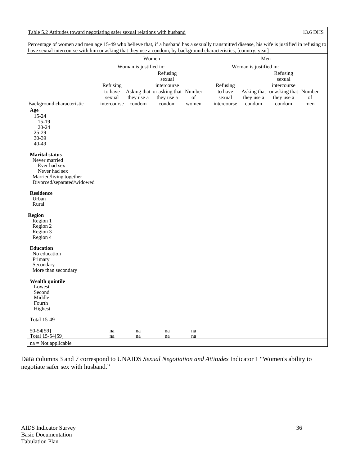## Table 5.2 Attitudes toward negotiating safer sexual relations with husband 13.6 DHS

Percentage of women and men age 15-49 who believe that, if a husband has a sexually transmitted disease, his wife is justified in refusing to have sexual intercourse with him or asking that they use a condom, by background characteristics, [country, year]

|                                                                                                                                  |                   |                        | Women                                           |          |                   | Men                    |                                                 |     |
|----------------------------------------------------------------------------------------------------------------------------------|-------------------|------------------------|-------------------------------------------------|----------|-------------------|------------------------|-------------------------------------------------|-----|
|                                                                                                                                  |                   | Woman is justified in: |                                                 |          |                   | Woman is justified in: |                                                 |     |
|                                                                                                                                  | Refusing          |                        | Refusing<br>sexual<br>intercourse               |          | Refusing          |                        | Refusing<br>sexual<br>intercourse               |     |
|                                                                                                                                  | to have<br>sexual | they use a             | Asking that or asking that Number<br>they use a | of       | to have<br>sexual | they use a             | Asking that or asking that Number<br>they use a | of  |
| Background characteristic                                                                                                        | intercourse       | condom                 | condom                                          | women    | intercourse       | condom                 | condom                                          | men |
| Age<br>15-24<br>$15-19$<br>$20 - 24$<br>$25-29$<br>30-39<br>40-49                                                                |                   |                        |                                                 |          |                   |                        |                                                 |     |
| <b>Marital status</b><br>Never married<br>Ever had sex<br>Never had sex<br>Married/living together<br>Divorced/separated/widowed |                   |                        |                                                 |          |                   |                        |                                                 |     |
| <b>Residence</b><br>Urban<br>Rural                                                                                               |                   |                        |                                                 |          |                   |                        |                                                 |     |
| Region<br>Region 1<br>Region 2<br>Region 3<br>Region 4                                                                           |                   |                        |                                                 |          |                   |                        |                                                 |     |
| <b>Education</b><br>No education<br>Primary<br>Secondary<br>More than secondary                                                  |                   |                        |                                                 |          |                   |                        |                                                 |     |
| <b>Wealth quintile</b><br>Lowest<br>Second<br>Middle<br>Fourth<br>Highest                                                        |                   |                        |                                                 |          |                   |                        |                                                 |     |
| <b>Total 15-49</b>                                                                                                               |                   |                        |                                                 |          |                   |                        |                                                 |     |
| 50-54[59]<br>Total 15-54[59]                                                                                                     | na<br>na          | na<br>na               | na<br>na                                        | na<br>na |                   |                        |                                                 |     |
| $na = Not applicable$                                                                                                            |                   |                        |                                                 |          |                   |                        |                                                 |     |

Data columns 3 and 7 correspond to UNAIDS *Sexual Negotiation and Attitudes* Indicator 1 "Women's ability to negotiate safer sex with husband."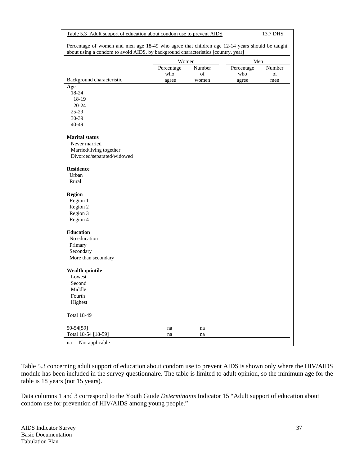| Percentage of women and men age 18-49 who agree that children age 12-14 years should be taught<br>about using a condom to avoid AIDS, by background characteristics [country, year]<br>Men<br>Women<br>Number<br>Number<br>Percentage<br>Percentage<br>of<br>who<br>of<br>who<br>Background characteristic<br>agree<br>women<br>agree<br>men<br>Age<br>18-24<br>18-19<br>$20 - 24$<br>$25-29$<br>30-39<br>40-49<br><b>Marital status</b><br>Never married<br>Married/living together<br>Divorced/separated/widowed<br><b>Residence</b><br>Urban<br>Rural<br><b>Region</b><br>Region 1<br>Region 2<br>Region 3<br>Region 4<br><b>Education</b><br>No education<br>Primary<br>Secondary<br>More than secondary<br><b>Wealth quintile</b><br>Lowest<br>Second<br>Middle<br>Fourth<br>Highest<br><b>Total 18-49</b><br>50-54[59]<br>na<br>na<br>Total 18-54 [18-59]<br>na<br>na<br>$na = Not applicable$ | Table 5.3 Adult support of education about condom use to prevent AIDS |  | 13.7 DHS |  |  |  |
|------------------------------------------------------------------------------------------------------------------------------------------------------------------------------------------------------------------------------------------------------------------------------------------------------------------------------------------------------------------------------------------------------------------------------------------------------------------------------------------------------------------------------------------------------------------------------------------------------------------------------------------------------------------------------------------------------------------------------------------------------------------------------------------------------------------------------------------------------------------------------------------------------|-----------------------------------------------------------------------|--|----------|--|--|--|
|                                                                                                                                                                                                                                                                                                                                                                                                                                                                                                                                                                                                                                                                                                                                                                                                                                                                                                      |                                                                       |  |          |  |  |  |
|                                                                                                                                                                                                                                                                                                                                                                                                                                                                                                                                                                                                                                                                                                                                                                                                                                                                                                      |                                                                       |  |          |  |  |  |
|                                                                                                                                                                                                                                                                                                                                                                                                                                                                                                                                                                                                                                                                                                                                                                                                                                                                                                      |                                                                       |  |          |  |  |  |
|                                                                                                                                                                                                                                                                                                                                                                                                                                                                                                                                                                                                                                                                                                                                                                                                                                                                                                      |                                                                       |  |          |  |  |  |
|                                                                                                                                                                                                                                                                                                                                                                                                                                                                                                                                                                                                                                                                                                                                                                                                                                                                                                      |                                                                       |  |          |  |  |  |
|                                                                                                                                                                                                                                                                                                                                                                                                                                                                                                                                                                                                                                                                                                                                                                                                                                                                                                      |                                                                       |  |          |  |  |  |
|                                                                                                                                                                                                                                                                                                                                                                                                                                                                                                                                                                                                                                                                                                                                                                                                                                                                                                      |                                                                       |  |          |  |  |  |
|                                                                                                                                                                                                                                                                                                                                                                                                                                                                                                                                                                                                                                                                                                                                                                                                                                                                                                      |                                                                       |  |          |  |  |  |
|                                                                                                                                                                                                                                                                                                                                                                                                                                                                                                                                                                                                                                                                                                                                                                                                                                                                                                      |                                                                       |  |          |  |  |  |
|                                                                                                                                                                                                                                                                                                                                                                                                                                                                                                                                                                                                                                                                                                                                                                                                                                                                                                      |                                                                       |  |          |  |  |  |
|                                                                                                                                                                                                                                                                                                                                                                                                                                                                                                                                                                                                                                                                                                                                                                                                                                                                                                      |                                                                       |  |          |  |  |  |
|                                                                                                                                                                                                                                                                                                                                                                                                                                                                                                                                                                                                                                                                                                                                                                                                                                                                                                      |                                                                       |  |          |  |  |  |
|                                                                                                                                                                                                                                                                                                                                                                                                                                                                                                                                                                                                                                                                                                                                                                                                                                                                                                      |                                                                       |  |          |  |  |  |
|                                                                                                                                                                                                                                                                                                                                                                                                                                                                                                                                                                                                                                                                                                                                                                                                                                                                                                      |                                                                       |  |          |  |  |  |
|                                                                                                                                                                                                                                                                                                                                                                                                                                                                                                                                                                                                                                                                                                                                                                                                                                                                                                      |                                                                       |  |          |  |  |  |
|                                                                                                                                                                                                                                                                                                                                                                                                                                                                                                                                                                                                                                                                                                                                                                                                                                                                                                      |                                                                       |  |          |  |  |  |
|                                                                                                                                                                                                                                                                                                                                                                                                                                                                                                                                                                                                                                                                                                                                                                                                                                                                                                      |                                                                       |  |          |  |  |  |
|                                                                                                                                                                                                                                                                                                                                                                                                                                                                                                                                                                                                                                                                                                                                                                                                                                                                                                      |                                                                       |  |          |  |  |  |
|                                                                                                                                                                                                                                                                                                                                                                                                                                                                                                                                                                                                                                                                                                                                                                                                                                                                                                      |                                                                       |  |          |  |  |  |
|                                                                                                                                                                                                                                                                                                                                                                                                                                                                                                                                                                                                                                                                                                                                                                                                                                                                                                      |                                                                       |  |          |  |  |  |
|                                                                                                                                                                                                                                                                                                                                                                                                                                                                                                                                                                                                                                                                                                                                                                                                                                                                                                      |                                                                       |  |          |  |  |  |
|                                                                                                                                                                                                                                                                                                                                                                                                                                                                                                                                                                                                                                                                                                                                                                                                                                                                                                      |                                                                       |  |          |  |  |  |
|                                                                                                                                                                                                                                                                                                                                                                                                                                                                                                                                                                                                                                                                                                                                                                                                                                                                                                      |                                                                       |  |          |  |  |  |
|                                                                                                                                                                                                                                                                                                                                                                                                                                                                                                                                                                                                                                                                                                                                                                                                                                                                                                      |                                                                       |  |          |  |  |  |
|                                                                                                                                                                                                                                                                                                                                                                                                                                                                                                                                                                                                                                                                                                                                                                                                                                                                                                      |                                                                       |  |          |  |  |  |
|                                                                                                                                                                                                                                                                                                                                                                                                                                                                                                                                                                                                                                                                                                                                                                                                                                                                                                      |                                                                       |  |          |  |  |  |
|                                                                                                                                                                                                                                                                                                                                                                                                                                                                                                                                                                                                                                                                                                                                                                                                                                                                                                      |                                                                       |  |          |  |  |  |
|                                                                                                                                                                                                                                                                                                                                                                                                                                                                                                                                                                                                                                                                                                                                                                                                                                                                                                      |                                                                       |  |          |  |  |  |
|                                                                                                                                                                                                                                                                                                                                                                                                                                                                                                                                                                                                                                                                                                                                                                                                                                                                                                      |                                                                       |  |          |  |  |  |
|                                                                                                                                                                                                                                                                                                                                                                                                                                                                                                                                                                                                                                                                                                                                                                                                                                                                                                      |                                                                       |  |          |  |  |  |
|                                                                                                                                                                                                                                                                                                                                                                                                                                                                                                                                                                                                                                                                                                                                                                                                                                                                                                      |                                                                       |  |          |  |  |  |
|                                                                                                                                                                                                                                                                                                                                                                                                                                                                                                                                                                                                                                                                                                                                                                                                                                                                                                      |                                                                       |  |          |  |  |  |
|                                                                                                                                                                                                                                                                                                                                                                                                                                                                                                                                                                                                                                                                                                                                                                                                                                                                                                      |                                                                       |  |          |  |  |  |
|                                                                                                                                                                                                                                                                                                                                                                                                                                                                                                                                                                                                                                                                                                                                                                                                                                                                                                      |                                                                       |  |          |  |  |  |
|                                                                                                                                                                                                                                                                                                                                                                                                                                                                                                                                                                                                                                                                                                                                                                                                                                                                                                      |                                                                       |  |          |  |  |  |
|                                                                                                                                                                                                                                                                                                                                                                                                                                                                                                                                                                                                                                                                                                                                                                                                                                                                                                      |                                                                       |  |          |  |  |  |
|                                                                                                                                                                                                                                                                                                                                                                                                                                                                                                                                                                                                                                                                                                                                                                                                                                                                                                      |                                                                       |  |          |  |  |  |
|                                                                                                                                                                                                                                                                                                                                                                                                                                                                                                                                                                                                                                                                                                                                                                                                                                                                                                      |                                                                       |  |          |  |  |  |
|                                                                                                                                                                                                                                                                                                                                                                                                                                                                                                                                                                                                                                                                                                                                                                                                                                                                                                      |                                                                       |  |          |  |  |  |

Table 5.3 concerning adult support of education about condom use to prevent AIDS is shown only where the HIV/AIDS module has been included in the survey questionnaire. The table is limited to adult opinion, so the minimum age for the table is 18 years (not 15 years).

Data columns 1 and 3 correspond to the Youth Guide *Determinants* Indicator 15 "Adult support of education about condom use for prevention of HIV/AIDS among young people."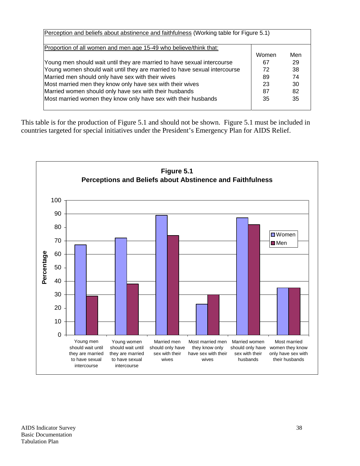| Proportion of all women and men age 15-49 who believe/think that:         |       |     |
|---------------------------------------------------------------------------|-------|-----|
|                                                                           | Women | Men |
| Young men should wait until they are married to have sexual intercourse   | 67    | 29  |
| Young women should wait until they are married to have sexual intercourse | 72    | 38  |
| Married men should only have sex with their wives                         | 89    | 74  |
| Most married men they know only have sex with their wives                 | 23    | 30  |
| Married women should only have sex with their husbands                    | 87    | 82  |
| Most married women they know only have sex with their husbands            | 35    | 35  |

This table is for the production of Figure 5.1 and should not be shown. Figure 5.1 must be included in countries targeted for special initiatives under the President's Emergency Plan for AIDS Relief.

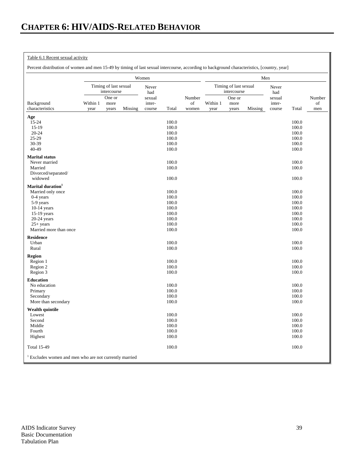## Table 6.1 Recent sexual activity

Percent distribution of women and men 15-49 by timing of last sexual intercourse, according to background characteristics, [country, year]

|                                                                   |                  |                                      |         | Women            |                |             |                  |                                      | Men     |                  |                |           |
|-------------------------------------------------------------------|------------------|--------------------------------------|---------|------------------|----------------|-------------|------------------|--------------------------------------|---------|------------------|----------------|-----------|
|                                                                   |                  | Timing of last sexual<br>intercourse |         | Never<br>had     |                |             |                  | Timing of last sexual<br>intercourse |         | Never<br>had     |                |           |
|                                                                   |                  | One or                               |         | sexual           |                | Number      |                  | One or                               |         | sexual           |                | Number    |
| Background<br>characteristics                                     | Within 1<br>year | more<br>years                        | Missing | inter-<br>course | Total          | of<br>women | Within 1<br>year | more<br>years                        | Missing | inter-<br>course | Total          | of<br>men |
|                                                                   |                  |                                      |         |                  |                |             |                  |                                      |         |                  |                |           |
| Age<br>15-24                                                      |                  |                                      |         |                  | 100.0          |             |                  |                                      |         |                  | 100.0          |           |
| $15-19$                                                           |                  |                                      |         |                  | 100.0          |             |                  |                                      |         |                  | 100.0          |           |
| $20 - 24$                                                         |                  |                                      |         |                  | 100.0          |             |                  |                                      |         |                  | 100.0          |           |
| $25-29$                                                           |                  |                                      |         |                  | 100.0          |             |                  |                                      |         |                  | 100.0          |           |
| 30-39                                                             |                  |                                      |         |                  | 100.0          |             |                  |                                      |         |                  | 100.0          |           |
| 40-49                                                             |                  |                                      |         |                  | 100.0          |             |                  |                                      |         |                  | 100.0          |           |
| <b>Marital</b> status                                             |                  |                                      |         |                  |                |             |                  |                                      |         |                  |                |           |
| Never married                                                     |                  |                                      |         |                  | 100.0          |             |                  |                                      |         |                  | 100.0          |           |
| Married<br>Divorced/separated/                                    |                  |                                      |         |                  | 100.0          |             |                  |                                      |         |                  | 100.0          |           |
| widowed                                                           |                  |                                      |         |                  | 100.0          |             |                  |                                      |         |                  | 100.0          |           |
| Marital duration <sup>1</sup>                                     |                  |                                      |         |                  |                |             |                  |                                      |         |                  |                |           |
| Married only once                                                 |                  |                                      |         |                  | 100.0          |             |                  |                                      |         |                  | 100.0          |           |
| $0-4$ years                                                       |                  |                                      |         |                  | 100.0          |             |                  |                                      |         |                  | 100.0          |           |
| 5-9 years                                                         |                  |                                      |         |                  | 100.0          |             |                  |                                      |         |                  | 100.0          |           |
| $10-14$ years                                                     |                  |                                      |         |                  | 100.0          |             |                  |                                      |         |                  | 100.0          |           |
| 15-19 years                                                       |                  |                                      |         |                  | 100.0          |             |                  |                                      |         |                  | 100.0          |           |
| $20-24$ years                                                     |                  |                                      |         |                  | 100.0          |             |                  |                                      |         |                  | 100.0          |           |
| $25+ \text{years}$<br>Married more than once                      |                  |                                      |         |                  | 100.0<br>100.0 |             |                  |                                      |         |                  | 100.0<br>100.0 |           |
|                                                                   |                  |                                      |         |                  |                |             |                  |                                      |         |                  |                |           |
| <b>Residence</b><br>Urban                                         |                  |                                      |         |                  | 100.0          |             |                  |                                      |         |                  | 100.0          |           |
| Rural                                                             |                  |                                      |         |                  | 100.0          |             |                  |                                      |         |                  | 100.0          |           |
|                                                                   |                  |                                      |         |                  |                |             |                  |                                      |         |                  |                |           |
| <b>Region</b><br>Region 1                                         |                  |                                      |         |                  | 100.0          |             |                  |                                      |         |                  | 100.0          |           |
| Region 2                                                          |                  |                                      |         |                  | 100.0          |             |                  |                                      |         |                  | 100.0          |           |
| Region 3                                                          |                  |                                      |         |                  | 100.0          |             |                  |                                      |         |                  | 100.0          |           |
| <b>Education</b>                                                  |                  |                                      |         |                  |                |             |                  |                                      |         |                  |                |           |
| No education                                                      |                  |                                      |         |                  | 100.0          |             |                  |                                      |         |                  | 100.0          |           |
| Primary                                                           |                  |                                      |         |                  | 100.0          |             |                  |                                      |         |                  | 100.0          |           |
| Secondary                                                         |                  |                                      |         |                  | 100.0          |             |                  |                                      |         |                  | 100.0          |           |
| More than secondary                                               |                  |                                      |         |                  | 100.0          |             |                  |                                      |         |                  | 100.0          |           |
| Wealth quintile                                                   |                  |                                      |         |                  |                |             |                  |                                      |         |                  |                |           |
| Lowest                                                            |                  |                                      |         |                  | 100.0          |             |                  |                                      |         |                  | 100.0          |           |
| Second<br>Middle                                                  |                  |                                      |         |                  | 100.0<br>100.0 |             |                  |                                      |         |                  | 100.0<br>100.0 |           |
| Fourth                                                            |                  |                                      |         |                  | 100.0          |             |                  |                                      |         |                  | 100.0          |           |
| Highest                                                           |                  |                                      |         |                  | 100.0          |             |                  |                                      |         |                  | 100.0          |           |
| <b>Total 15-49</b>                                                |                  |                                      |         |                  | 100.0          |             |                  |                                      |         |                  | 100.0          |           |
| <sup>1</sup> Excludes women and men who are not currently married |                  |                                      |         |                  |                |             |                  |                                      |         |                  |                |           |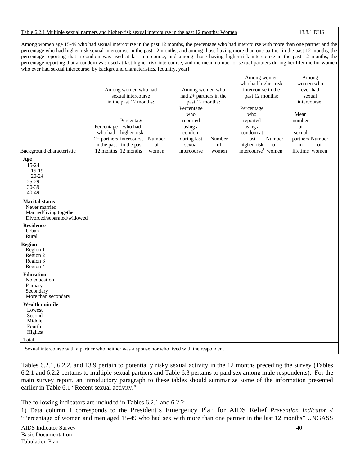## Table 6.2.1 Multiple sexual partners and higher-risk sexual intercourse in the past 12 months: Women 13.8.1 DHS

Among women age 15-49 who had sexual intercourse in the past 12 months, the percentage who had intercourse with more than one partner and the percentage who had higher-risk sexual intercourse in the past 12 months; and among those having more than one partner in the past 12 months, the percentage reporting that a condom was used at last intercourse; and among those having higher-risk intercourse in the past 12 months, the percentage reporting that a condom was used at last higher-risk intercourse; and the mean number of sexual partners during her lifetime for women who ever had sexual intercourse, by background characteristics, [country, year]

|                                                                                                                              | Among women who had<br>sexual intercourse<br>in the past 12 months:                                                                                        |             | Among women who<br>had $2+$ partners in the<br>past 12 months:<br>Percentage |                       | Among women<br>who had higher-risk<br>intercourse in the<br>past 12 months:<br>Percentage                        | Among<br>women who<br>ever had<br>sexual<br>intercourse:                        |
|------------------------------------------------------------------------------------------------------------------------------|------------------------------------------------------------------------------------------------------------------------------------------------------------|-------------|------------------------------------------------------------------------------|-----------------------|------------------------------------------------------------------------------------------------------------------|---------------------------------------------------------------------------------|
| Background characteristic<br>Age<br>$15 - 24$<br>$15-19$<br>20-24<br>$25-29$<br>30-39<br>40-49                               | Percentage<br>Percentage who had<br>who had higher-risk<br>2+ partners intercourse Number<br>in the past in the past<br>12 months $12$ months <sup>1</sup> | of<br>women | who<br>reported<br>using a<br>condom<br>during last<br>sexual<br>intercourse | Number<br>of<br>women | who<br>reported<br>using a<br>condom at<br>last<br>Number<br>higher-risk<br>of<br>intercourse <sup>1</sup> women | Mean<br>number<br>of<br>sexual<br>partners Number<br>of<br>in<br>lifetime women |
| <b>Marital status</b><br>Never married<br>Married/living together<br>Divorced/separated/widowed<br><b>Residence</b><br>Urban |                                                                                                                                                            |             |                                                                              |                       |                                                                                                                  |                                                                                 |
| Rural<br><b>Region</b><br>Region 1<br>Region 2<br>Region 3<br>Region 4                                                       |                                                                                                                                                            |             |                                                                              |                       |                                                                                                                  |                                                                                 |
| <b>Education</b><br>No education<br>Primary<br>Secondary<br>More than secondary                                              |                                                                                                                                                            |             |                                                                              |                       |                                                                                                                  |                                                                                 |
| <b>Wealth quintile</b><br>Lowest<br>Second<br>Middle<br>Fourth<br>Highest                                                    |                                                                                                                                                            |             |                                                                              |                       |                                                                                                                  |                                                                                 |
| Total<br><sup>1</sup> Sexual intercourse with a partner who neither was a spouse nor who lived with the respondent           |                                                                                                                                                            |             |                                                                              |                       |                                                                                                                  |                                                                                 |

Tables 6.2.1, 6.2.2, and 13.9 pertain to potentially risky sexual activity in the 12 months preceding the survey (Tables 6.2.1 and 6.2.2 pertains to multiple sexual partners and Table 6.3 pertains to paid sex among male respondents). For the main survey report, an introductory paragraph to these tables should summarize some of the information presented earlier in Table 6.1 "Recent sexual activity."

The following indicators are included in Tables 6.2.1 and 6.2.2:

1) Data column 1 corresponds to the President's Emergency Plan for AIDS Relief *Prevention Indicator 4* "Percentage of women and men aged 15-49 who had sex with more than one partner in the last 12 months" UNGASS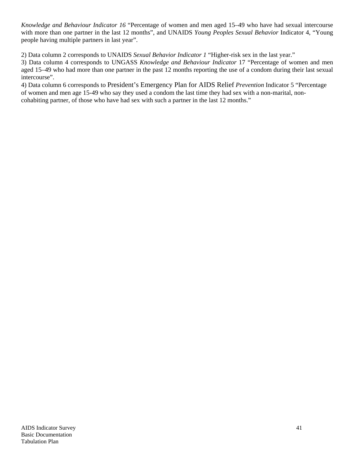*Knowledge and Behaviour Indicator 16* "Percentage of women and men aged 15–49 who have had sexual intercourse with more than one partner in the last 12 months", and UNAIDS *Young Peoples Sexual Behavior* Indicator 4, "Young people having multiple partners in last year".

2) Data column 2 corresponds to UNAIDS *Sexual Behavior Indicator 1* "Higher-risk sex in the last year."

3) Data column 4 corresponds to UNGASS *Knowledge and Behaviour Indicator* 17 "Percentage of women and men aged 15–49 who had more than one partner in the past 12 months reporting the use of a condom during their last sexual intercourse".

4) Data column 6 corresponds to President's Emergency Plan for AIDS Relief *Prevention* Indicator 5 "Percentage of women and men age 15-49 who say they used a condom the last time they had sex with a non-marital, noncohabiting partner, of those who have had sex with such a partner in the last 12 months."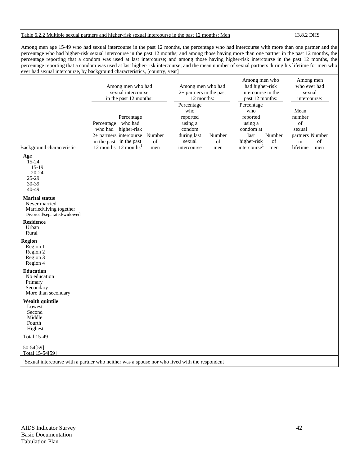## Table 6.2.2 Multiple sexual partners and higher-risk sexual intercourse in the past 12 months: Men 13.8.2 DHS

Among men age 15-49 who had sexual intercourse in the past 12 months, the percentage who had intercourse with more than one partner and the percentage who had higher-risk sexual intercourse in the past 12 months; and among those having more than one partner in the past 12 months, the percentage reporting that a condom was used at last intercourse; and among those having higher-risk intercourse in the past 12 months, the percentage reporting that a condom was used at last higher-risk intercourse; and the mean number of sexual partners during his lifetime for men who ever had sexual intercourse, by background characteristics, [country, year]

|                                                                                                 | Among men who had<br>sexual intercourse<br>in the past 12 months:                                                                                                          | Among men who had<br>$2+$ partners in the past<br>12 months:                                                      | Among men who<br>had higher-risk<br>intercourse in the<br>past 12 months:                                                       | Among men<br>who ever had<br>sexual<br>intercourse:                              |  |  |
|-------------------------------------------------------------------------------------------------|----------------------------------------------------------------------------------------------------------------------------------------------------------------------------|-------------------------------------------------------------------------------------------------------------------|---------------------------------------------------------------------------------------------------------------------------------|----------------------------------------------------------------------------------|--|--|
| Background characteristic                                                                       | Percentage<br>Percentage who had<br>who had higher-risk<br>2+ partners intercourse<br>Number<br>in the past in the past<br>of<br>12 months $12$ months <sup>1</sup><br>men | Percentage<br>who<br>reported<br>using a<br>condom<br>during last<br>Number<br>of<br>sexual<br>intercourse<br>men | Percentage<br>who<br>reported<br>using a<br>condom at<br>last<br>Number<br>higher-risk<br>of<br>intercourse <sup>1</sup><br>men | Mean<br>number<br>of<br>sexual<br>partners Number<br>of<br>in<br>lifetime<br>men |  |  |
| Age<br>$15 - 24$<br>$15-19$<br>$20 - 24$<br>25-29<br>30-39<br>40-49                             |                                                                                                                                                                            |                                                                                                                   |                                                                                                                                 |                                                                                  |  |  |
| <b>Marital status</b><br>Never married<br>Married/living together<br>Divorced/separated/widowed |                                                                                                                                                                            |                                                                                                                   |                                                                                                                                 |                                                                                  |  |  |
| <b>Residence</b><br>Urban<br>Rural                                                              |                                                                                                                                                                            |                                                                                                                   |                                                                                                                                 |                                                                                  |  |  |
| Region<br>Region 1<br>Region 2<br>Region 3<br>Region 4                                          |                                                                                                                                                                            |                                                                                                                   |                                                                                                                                 |                                                                                  |  |  |
| <b>Education</b><br>No education<br>Primary<br>Secondary<br>More than secondary                 |                                                                                                                                                                            |                                                                                                                   |                                                                                                                                 |                                                                                  |  |  |
| <b>Wealth quintile</b><br>Lowest<br>Second<br>Middle<br>Fourth<br>Highest                       |                                                                                                                                                                            |                                                                                                                   |                                                                                                                                 |                                                                                  |  |  |
| <b>Total 15-49</b>                                                                              |                                                                                                                                                                            |                                                                                                                   |                                                                                                                                 |                                                                                  |  |  |
| 50-54[59]<br>Total 15-54[59]                                                                    |                                                                                                                                                                            |                                                                                                                   |                                                                                                                                 |                                                                                  |  |  |
|                                                                                                 | <sup>1</sup> Sexual intercourse with a partner who neither was a spouse nor who lived with the respondent                                                                  |                                                                                                                   |                                                                                                                                 |                                                                                  |  |  |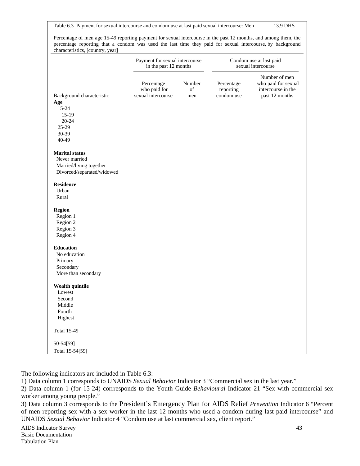Table 6.3 Payment for sexual intercourse and condom use at last paid sexual intercourse: Men 13.9 DHS

|                            | Payment for sexual intercourse<br>in the past 12 months |                     |                                       | Condom use at last paid<br>sexual intercourse                                |
|----------------------------|---------------------------------------------------------|---------------------|---------------------------------------|------------------------------------------------------------------------------|
| Background characteristic  | Percentage<br>who paid for<br>sexual intercourse        | Number<br>of<br>men | Percentage<br>reporting<br>condom use | Number of men<br>who paid for sexual<br>intercourse in the<br>past 12 months |
| Age                        |                                                         |                     |                                       |                                                                              |
| $15-24$                    |                                                         |                     |                                       |                                                                              |
| $15-19$                    |                                                         |                     |                                       |                                                                              |
| 20-24                      |                                                         |                     |                                       |                                                                              |
| 25-29<br>30-39             |                                                         |                     |                                       |                                                                              |
| 40-49                      |                                                         |                     |                                       |                                                                              |
| <b>Marital status</b>      |                                                         |                     |                                       |                                                                              |
| Never married              |                                                         |                     |                                       |                                                                              |
| Married/living together    |                                                         |                     |                                       |                                                                              |
| Divorced/separated/widowed |                                                         |                     |                                       |                                                                              |
| <b>Residence</b>           |                                                         |                     |                                       |                                                                              |
| Urban                      |                                                         |                     |                                       |                                                                              |
| Rural                      |                                                         |                     |                                       |                                                                              |
| <b>Region</b>              |                                                         |                     |                                       |                                                                              |
| Region 1                   |                                                         |                     |                                       |                                                                              |
| Region 2                   |                                                         |                     |                                       |                                                                              |
| Region 3                   |                                                         |                     |                                       |                                                                              |
| Region 4                   |                                                         |                     |                                       |                                                                              |
| <b>Education</b>           |                                                         |                     |                                       |                                                                              |
| No education               |                                                         |                     |                                       |                                                                              |
| Primary                    |                                                         |                     |                                       |                                                                              |
| Secondary                  |                                                         |                     |                                       |                                                                              |
| More than secondary        |                                                         |                     |                                       |                                                                              |
| Wealth quintile            |                                                         |                     |                                       |                                                                              |
| Lowest                     |                                                         |                     |                                       |                                                                              |
| Second                     |                                                         |                     |                                       |                                                                              |
| Middle<br>Fourth           |                                                         |                     |                                       |                                                                              |
| Highest                    |                                                         |                     |                                       |                                                                              |
| <b>Total 15-49</b>         |                                                         |                     |                                       |                                                                              |
| 50-54[59]                  |                                                         |                     |                                       |                                                                              |
| Total 15-54[59]            |                                                         |                     |                                       |                                                                              |

The following indicators are included in Table 6.3:

1) Data column 1 corresponds to UNAIDS *Sexual Behavior* Indicator 3 "Commercial sex in the last year."

2) Data column 1 (for 15-24) corrresponds to the Youth Guide *Behavioural* Indicator 21 "Sex with commercial sex worker among young people."

3) Data column 3 corresponds to the President's Emergency Plan for AIDS Relief *Prevention* Indicator 6 "Percent of men reporting sex with a sex worker in the last 12 months who used a condom during last paid intercourse" and UNAIDS *Sexual Behavior* Indicator 4 "Condom use at last commercial sex, client report."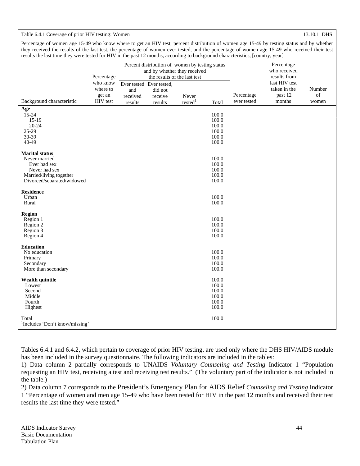## Table 6.4.1 Coverage of prior HIV testing: Women 13.10.1 DHS

Percentage of women age 15-49 who know where to get an HIV test, percent distribution of women age 15-49 by testing status and by whether they received the results of the last test, the percentage of women ever tested, and the percentage of women age 15-49 who received their test results the last time they were tested for HIV in the past 12 months, according to background characteristics, [country, year]

|                                            |            |                          |                                                              | -0 --      |       |             | ر بر-                        |        |
|--------------------------------------------|------------|--------------------------|--------------------------------------------------------------|------------|-------|-------------|------------------------------|--------|
|                                            |            |                          | Percent distribution of women by testing status              |            |       |             | Percentage                   |        |
|                                            | Percentage |                          | and by whether they received<br>the results of the last test |            |       |             | who received<br>results from |        |
|                                            | who know   | Ever tested Ever tested, |                                                              |            |       |             | last HIV test                |        |
|                                            | where to   | and                      | did not                                                      |            |       |             | taken in the                 | Number |
|                                            | get an     | received                 | receive                                                      | Never      |       | Percentage  | past 12                      | of     |
| Background characteristic                  | HIV test   | results                  | results                                                      | tested $1$ | Total | ever tested | months                       | women  |
| Age                                        |            |                          |                                                              |            |       |             |                              |        |
| 15-24                                      |            |                          |                                                              |            | 100.0 |             |                              |        |
| $15-19$                                    |            |                          |                                                              |            | 100.0 |             |                              |        |
| $20 - 24$                                  |            |                          |                                                              |            | 100.0 |             |                              |        |
| 25-29                                      |            |                          |                                                              |            | 100.0 |             |                              |        |
| 30-39                                      |            |                          |                                                              |            | 100.0 |             |                              |        |
| 40-49                                      |            |                          |                                                              |            | 100.0 |             |                              |        |
| <b>Marital status</b>                      |            |                          |                                                              |            |       |             |                              |        |
| Never married                              |            |                          |                                                              |            | 100.0 |             |                              |        |
| Ever had sex                               |            |                          |                                                              |            | 100.0 |             |                              |        |
| Never had sex                              |            |                          |                                                              |            | 100.0 |             |                              |        |
| Married/living together                    |            |                          |                                                              |            | 100.0 |             |                              |        |
|                                            |            |                          |                                                              |            |       |             |                              |        |
| Divorced/separated/widowed                 |            |                          |                                                              |            | 100.0 |             |                              |        |
| <b>Residence</b>                           |            |                          |                                                              |            |       |             |                              |        |
| Urban                                      |            |                          |                                                              |            | 100.0 |             |                              |        |
| Rural                                      |            |                          |                                                              |            | 100.0 |             |                              |        |
| Region                                     |            |                          |                                                              |            |       |             |                              |        |
| Region 1                                   |            |                          |                                                              |            | 100.0 |             |                              |        |
| Region 2                                   |            |                          |                                                              |            | 100.0 |             |                              |        |
| Region 3                                   |            |                          |                                                              |            | 100.0 |             |                              |        |
| Region 4                                   |            |                          |                                                              |            | 100.0 |             |                              |        |
|                                            |            |                          |                                                              |            |       |             |                              |        |
| <b>Education</b>                           |            |                          |                                                              |            |       |             |                              |        |
| No education                               |            |                          |                                                              |            | 100.0 |             |                              |        |
| Primary                                    |            |                          |                                                              |            | 100.0 |             |                              |        |
| Secondary                                  |            |                          |                                                              |            | 100.0 |             |                              |        |
| More than secondary                        |            |                          |                                                              |            | 100.0 |             |                              |        |
| <b>Wealth quintile</b>                     |            |                          |                                                              |            | 100.0 |             |                              |        |
| Lowest                                     |            |                          |                                                              |            | 100.0 |             |                              |        |
| Second                                     |            |                          |                                                              |            | 100.0 |             |                              |        |
| Middle                                     |            |                          |                                                              |            | 100.0 |             |                              |        |
| Fourth                                     |            |                          |                                                              |            | 100.0 |             |                              |        |
| Highest                                    |            |                          |                                                              |            | 100.0 |             |                              |        |
|                                            |            |                          |                                                              |            |       |             |                              |        |
| Total                                      |            |                          |                                                              |            | 100.0 |             |                              |        |
| <sup>1</sup> Includes 'Don't know/missing' |            |                          |                                                              |            |       |             |                              |        |

Tables 6.4.1 and 6.4.2, which pertain to coverage of prior HIV testing, are used only where the DHS HIV/AIDS module has been included in the survey questionnaire. The following indicators are included in the tables:

1) Data column 2 partially corresponds to UNAIDS *Voluntary Counseling and Testing* Indicator 1 "Population requesting an HIV test, receiving a test and receiving test results." (The voluntary part of the indicator is not included in the table.)

2) Data column 7 corresponds to the President's Emergency Plan for AIDS Relief *Counseling and Testing* Indicator 1 "Percentage of women and men age 15-49 who have been tested for HIV in the past 12 months and received their test results the last time they were tested."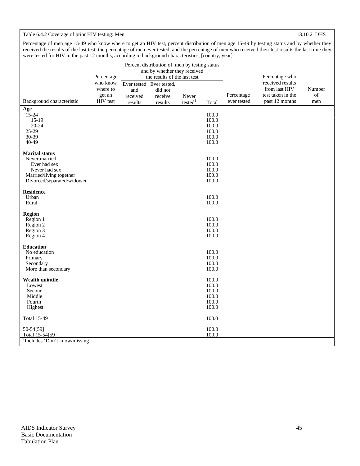## Table 6.4.2 Coverage of prior HIV testing: Men 13.10.2 DHS

Percentage of men age 15-49 who know where to get an HIV test, percent distribution of men age 15-49 by testing status and by whether they received the results of the last test, the percentage of men ever tested, and the percentage of men who received their test results the last time they were tested for HIV in the past 12 months, according to background characteristics, [country, year]

|                                            | Percentage           |                     | Percent distribution of men by testing status<br>and by whether they received<br>the results of the last test |                              | J <i>,</i> J   |                           | Percentage who                      |                                                                                                           |
|--------------------------------------------|----------------------|---------------------|---------------------------------------------------------------------------------------------------------------|------------------------------|----------------|---------------------------|-------------------------------------|-----------------------------------------------------------------------------------------------------------|
|                                            | who know<br>where to | and                 | Ever tested Ever tested,<br>did not                                                                           |                              |                |                           | received results<br>from last HIV   | Number                                                                                                    |
| Background characteristic                  | get an<br>HIV test   | received<br>results | receive<br>results                                                                                            | Never<br>tested <sup>1</sup> | Total          | Percentage<br>ever tested | test taken in the<br>past 12 months | $% \left( \left( \mathcal{A},\mathcal{A}\right) \right) =\left( \mathcal{A},\mathcal{A}\right)$ of<br>men |
| Age                                        |                      |                     |                                                                                                               |                              |                |                           |                                     |                                                                                                           |
| 15-24                                      |                      |                     |                                                                                                               |                              | 100.0          |                           |                                     |                                                                                                           |
| $15-19$<br>$20 - 24$                       |                      |                     |                                                                                                               |                              | 100.0<br>100.0 |                           |                                     |                                                                                                           |
| 25-29                                      |                      |                     |                                                                                                               |                              | 100.0          |                           |                                     |                                                                                                           |
| 30-39                                      |                      |                     |                                                                                                               |                              | 100.0          |                           |                                     |                                                                                                           |
| 40-49                                      |                      |                     |                                                                                                               |                              | 100.0          |                           |                                     |                                                                                                           |
| <b>Marital status</b>                      |                      |                     |                                                                                                               |                              |                |                           |                                     |                                                                                                           |
| Never married                              |                      |                     |                                                                                                               |                              | 100.0          |                           |                                     |                                                                                                           |
| Ever had sex                               |                      |                     |                                                                                                               |                              | 100.0          |                           |                                     |                                                                                                           |
| Never had sex<br>Married/living together   |                      |                     |                                                                                                               |                              | 100.0<br>100.0 |                           |                                     |                                                                                                           |
| Divorced/separated/widowed                 |                      |                     |                                                                                                               |                              | 100.0          |                           |                                     |                                                                                                           |
| <b>Residence</b>                           |                      |                     |                                                                                                               |                              |                |                           |                                     |                                                                                                           |
| Urban                                      |                      |                     |                                                                                                               |                              | 100.0          |                           |                                     |                                                                                                           |
| Rural                                      |                      |                     |                                                                                                               |                              | 100.0          |                           |                                     |                                                                                                           |
| Region                                     |                      |                     |                                                                                                               |                              |                |                           |                                     |                                                                                                           |
| Region 1                                   |                      |                     |                                                                                                               |                              | 100.0          |                           |                                     |                                                                                                           |
| Region 2                                   |                      |                     |                                                                                                               |                              | 100.0          |                           |                                     |                                                                                                           |
| Region 3                                   |                      |                     |                                                                                                               |                              | 100.0          |                           |                                     |                                                                                                           |
| Region 4                                   |                      |                     |                                                                                                               |                              | 100.0          |                           |                                     |                                                                                                           |
| <b>Education</b>                           |                      |                     |                                                                                                               |                              |                |                           |                                     |                                                                                                           |
| No education                               |                      |                     |                                                                                                               |                              | 100.0          |                           |                                     |                                                                                                           |
| Primary                                    |                      |                     |                                                                                                               |                              | 100.0          |                           |                                     |                                                                                                           |
| Secondary<br>More than secondary           |                      |                     |                                                                                                               |                              | 100.0<br>100.0 |                           |                                     |                                                                                                           |
|                                            |                      |                     |                                                                                                               |                              |                |                           |                                     |                                                                                                           |
| Wealth quintile                            |                      |                     |                                                                                                               |                              | 100.0          |                           |                                     |                                                                                                           |
| Lowest<br>Second                           |                      |                     |                                                                                                               |                              | 100.0<br>100.0 |                           |                                     |                                                                                                           |
| Middle                                     |                      |                     |                                                                                                               |                              | 100.0          |                           |                                     |                                                                                                           |
| Fourth                                     |                      |                     |                                                                                                               |                              | 100.0          |                           |                                     |                                                                                                           |
| Highest                                    |                      |                     |                                                                                                               |                              | 100.0          |                           |                                     |                                                                                                           |
| <b>Total 15-49</b>                         |                      |                     |                                                                                                               |                              | 100.0          |                           |                                     |                                                                                                           |
| 50-54[59]                                  |                      |                     |                                                                                                               |                              | 100.0          |                           |                                     |                                                                                                           |
| Total 15-54[59]                            |                      |                     |                                                                                                               |                              | 100.0          |                           |                                     |                                                                                                           |
| <sup>1</sup> Includes 'Don't know/missing' |                      |                     |                                                                                                               |                              |                |                           |                                     |                                                                                                           |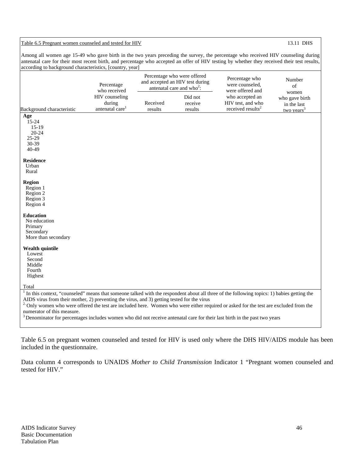## Table 6.5 Pregnant women counseled and tested for HIV 13.11 DHS

Among all women age 15-49 who gave birth in the two years preceding the survey, the percentage who received HIV counseling during antenatal care for their most recent birth, and percentage who accepted an offer of HIV testing by whether they received their test results, according to background characteristics, [country, year]

| Background characteristic                                                                                                                                                                                                                                                                                                                                                                                                                                                                                                                                         | Percentage<br>who received<br>HIV counseling<br>during<br>antenatal care <sup>1</sup> | Received<br>results | Percentage who were offered<br>and accepted an HIV test during<br>antenatal care and who <sup>2</sup> :<br>Did not<br>receive<br>results | Percentage who<br>were counseled,<br>were offered and<br>who accepted an<br>HIV test, and who<br>received results <sup>2</sup> | Number<br>of<br>women<br>who gave birth<br>in the last |
|-------------------------------------------------------------------------------------------------------------------------------------------------------------------------------------------------------------------------------------------------------------------------------------------------------------------------------------------------------------------------------------------------------------------------------------------------------------------------------------------------------------------------------------------------------------------|---------------------------------------------------------------------------------------|---------------------|------------------------------------------------------------------------------------------------------------------------------------------|--------------------------------------------------------------------------------------------------------------------------------|--------------------------------------------------------|
|                                                                                                                                                                                                                                                                                                                                                                                                                                                                                                                                                                   |                                                                                       |                     |                                                                                                                                          |                                                                                                                                | two years <sup>3</sup>                                 |
| Age<br>$15-24$<br>$15-19$<br>$20 - 24$<br>$25-29$<br>30-39<br>40-49                                                                                                                                                                                                                                                                                                                                                                                                                                                                                               |                                                                                       |                     |                                                                                                                                          |                                                                                                                                |                                                        |
| <b>Residence</b><br>Urban<br>Rural                                                                                                                                                                                                                                                                                                                                                                                                                                                                                                                                |                                                                                       |                     |                                                                                                                                          |                                                                                                                                |                                                        |
| <b>Region</b><br>Region 1<br>Region 2<br>Region 3<br>Region 4                                                                                                                                                                                                                                                                                                                                                                                                                                                                                                     |                                                                                       |                     |                                                                                                                                          |                                                                                                                                |                                                        |
| <b>Education</b><br>No education<br>Primary<br>Secondary<br>More than secondary                                                                                                                                                                                                                                                                                                                                                                                                                                                                                   |                                                                                       |                     |                                                                                                                                          |                                                                                                                                |                                                        |
| <b>Wealth quintile</b><br>Lowest<br>Second<br>Middle<br>Fourth<br>Highest                                                                                                                                                                                                                                                                                                                                                                                                                                                                                         |                                                                                       |                     |                                                                                                                                          |                                                                                                                                |                                                        |
| Total                                                                                                                                                                                                                                                                                                                                                                                                                                                                                                                                                             |                                                                                       |                     |                                                                                                                                          |                                                                                                                                |                                                        |
| In this context, "counseled" means that someone talked with the respondent about all three of the following topics: 1) babies getting the<br>AIDS virus from their mother, 2) preventing the virus, and 3) getting tested for the virus<br><sup>2</sup> Only women who were offered the test are included here. Women who were either required or asked for the test are excluded from the<br>numerator of this measure.<br><sup>3</sup> Denominator for percentages includes women who did not receive antenatal care for their last birth in the past two years |                                                                                       |                     |                                                                                                                                          |                                                                                                                                |                                                        |

Table 6.5 on pregnant women counseled and tested for HIV is used only where the DHS HIV/AIDS module has been included in the questionnaire.

Data column 4 corresponds to UNAIDS *Mother to Child Transmission* Indicator 1 "Pregnant women counseled and tested for HIV."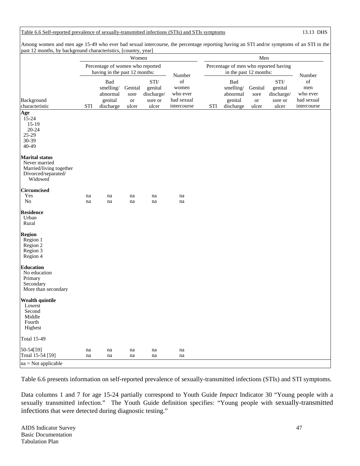Table 6.6 Self-reported prevalence of sexually-transmitted infections (STIs) and STIs symptoms 13.13 DHS

Among women and men age 15-49 who ever had sexual intercourse, the percentage reporting having an STI and/or symptoms of an STI in the past 12 months, by background characteristics, [country, year]

|                                                                                                     |                           | Percentage of women who reported<br>having in the past 12 months:<br>Bad | Women                                 |                                                                   |                                                      |            | Percentage of men who reported having                | Men                                   |                                                            |                                                    |
|-----------------------------------------------------------------------------------------------------|---------------------------|--------------------------------------------------------------------------|---------------------------------------|-------------------------------------------------------------------|------------------------------------------------------|------------|------------------------------------------------------|---------------------------------------|------------------------------------------------------------|----------------------------------------------------|
|                                                                                                     |                           |                                                                          |                                       |                                                                   | Number                                               |            |                                                      | in the past 12 months:                |                                                            | Number                                             |
| Background<br>characteristic                                                                        | <b>STI</b>                | smelling/<br>abnormal<br>genital<br>discharge                            | Genital<br>sore<br><b>or</b><br>ulcer | $\mbox{STl}/\mbox{}$<br>genital<br>discharge/<br>sore or<br>ulcer | of<br>women<br>who ever<br>had sexual<br>intercourse | <b>STI</b> | Bad<br>smelling/<br>abnormal<br>genital<br>discharge | Genital<br>sore<br><b>or</b><br>ulcer | $\mbox{STI}/$<br>genital<br>discharge/<br>sore or<br>ulcer | of<br>men<br>who ever<br>had sexual<br>intercourse |
| Age<br>15-24<br>$15-19$<br>$20 - 24$<br>25-29<br>30-39<br>40-49                                     |                           |                                                                          |                                       |                                                                   |                                                      |            |                                                      |                                       |                                                            |                                                    |
| <b>Marital status</b><br>Never married<br>Married/living together<br>Divorced/separated/<br>Widowed |                           |                                                                          |                                       |                                                                   |                                                      |            |                                                      |                                       |                                                            |                                                    |
| <b>Circumcised</b><br>Yes<br>No                                                                     | na<br>na                  | na<br>na                                                                 | na<br>na                              | na<br>na                                                          | na<br>na                                             |            |                                                      |                                       |                                                            |                                                    |
| <b>Residence</b><br>Urban<br>Rural                                                                  |                           |                                                                          |                                       |                                                                   |                                                      |            |                                                      |                                       |                                                            |                                                    |
| <b>Region</b><br>Region 1<br>Region 2<br>Region 3<br>Region 4                                       |                           |                                                                          |                                       |                                                                   |                                                      |            |                                                      |                                       |                                                            |                                                    |
| <b>Education</b><br>No education<br>Primary<br>Secondary<br>More than secondary                     |                           |                                                                          |                                       |                                                                   |                                                      |            |                                                      |                                       |                                                            |                                                    |
| Wealth quintile<br>Lowest<br>Second<br>Middle<br>Fourth<br>Highest                                  |                           |                                                                          |                                       |                                                                   |                                                      |            |                                                      |                                       |                                                            |                                                    |
| <b>Total 15-49</b>                                                                                  |                           |                                                                          |                                       |                                                                   |                                                      |            |                                                      |                                       |                                                            |                                                    |
| 50-54[59]<br>Total 15-54 [59]<br>$na = Not applicable$                                              | $\operatorname{na}$<br>na | na<br>na                                                                 | na<br>na                              | na<br>na                                                          | na<br>na                                             |            |                                                      |                                       |                                                            |                                                    |

Table 6.6 presents information on self-reported prevalence of sexually-transmitted infections (STIs) and STI symptoms.

Data columns 1 and 7 for age 15-24 partially correspond to Youth Guide *Impact* Indicator 30 "Young people with a sexually transmitted infection." The Youth Guide definition specifies: "Young people with sexually-transmitted infections that were detected during diagnostic testing."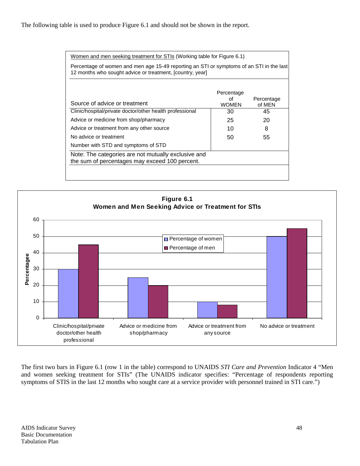| Women and men seeking treatment for STIs (Working table for Figure 6.1)                                                                               |                                  |                      |  |  |  |  |  |  |
|-------------------------------------------------------------------------------------------------------------------------------------------------------|----------------------------------|----------------------|--|--|--|--|--|--|
| Percentage of women and men age 15-49 reporting an STI or symptoms of an STI in the last<br>12 months who sought advice or treatment, [country, year] |                                  |                      |  |  |  |  |  |  |
| Source of advice or treatment                                                                                                                         | Percentage<br>Ωf<br><b>WOMEN</b> | Percentage<br>of MEN |  |  |  |  |  |  |
| Clinic/hospital/private doctor/other health professional                                                                                              | 30                               | 45                   |  |  |  |  |  |  |
| Advice or medicine from shop/pharmacy                                                                                                                 | 25                               | 20                   |  |  |  |  |  |  |
| Advice or treatment from any other source                                                                                                             | 10                               | 8                    |  |  |  |  |  |  |
| No advice or treatment                                                                                                                                | 50                               | 55                   |  |  |  |  |  |  |
| Number with STD and symptoms of STD                                                                                                                   |                                  |                      |  |  |  |  |  |  |
| Note: The categories are not mutually exclusive and<br>the sum of percentages may exceed 100 percent.                                                 |                                  |                      |  |  |  |  |  |  |



The first two bars in Figure 6.1 (row 1 in the table) correspond to UNAIDS *STI Care and Prevention* Indicator 4 "Men and women seeking treatment for STIs" (The UNAIDS indicator specifies: "Percentage of respondents reporting symptoms of STIS in the last 12 months who sought care at a service provider with personnel trained in STI care.")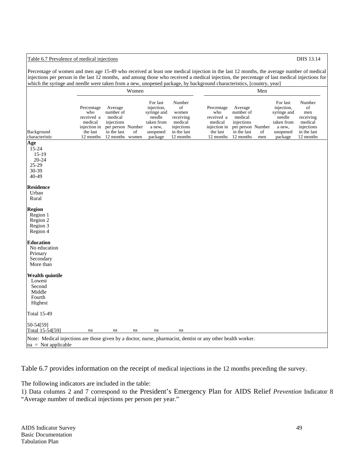## Table 6.7 Prevalence of medical injections **DHS** 13.14

Percentage of women and men age 15-49 who received at least one medical injection in the last 12 months, the average number of medical injections per person in the last 12 months, and among those who received a medical injection, the percentage of last medical injections for which the syringe and needle were taken from a new, unopened package, by background characteristics, [country, year]

|                                                            |                                                                                     |                                                                                                      | Women |                                                                                                |                                                                                         | Men                                                                                 |                                                                                                |           |                                                                                                |                                                                                       |  |  |
|------------------------------------------------------------|-------------------------------------------------------------------------------------|------------------------------------------------------------------------------------------------------|-------|------------------------------------------------------------------------------------------------|-----------------------------------------------------------------------------------------|-------------------------------------------------------------------------------------|------------------------------------------------------------------------------------------------|-----------|------------------------------------------------------------------------------------------------|---------------------------------------------------------------------------------------|--|--|
| Background<br>characteristic                               | Percentage<br>who<br>received a<br>medical<br>injection in<br>the last<br>12 months | Average<br>number of<br>medical<br>injections<br>per person Number<br>in the last<br>12 months women | οf    | For last<br>injection,<br>syringe and<br>needle<br>taken from<br>a new,<br>unopened<br>package | Number<br>of<br>women<br>receiving<br>medical<br>injections<br>in the last<br>12 months | Percentage<br>who<br>received a<br>medical<br>injection in<br>the last<br>12 months | Average<br>number of<br>medical<br>injections<br>per person Number<br>in the last<br>12 months | οf<br>men | For last<br>injection,<br>syringe and<br>needle<br>taken from<br>a new,<br>unopened<br>package | Number<br>of<br>men<br>receiving<br>medical<br>injections<br>in the last<br>12 months |  |  |
| Age                                                        |                                                                                     |                                                                                                      |       |                                                                                                |                                                                                         |                                                                                     |                                                                                                |           |                                                                                                |                                                                                       |  |  |
| 15-24<br>$15-19$<br>$20 - 24$<br>$25-29$<br>30-39<br>40-49 |                                                                                     |                                                                                                      |       |                                                                                                |                                                                                         |                                                                                     |                                                                                                |           |                                                                                                |                                                                                       |  |  |
|                                                            |                                                                                     |                                                                                                      |       |                                                                                                |                                                                                         |                                                                                     |                                                                                                |           |                                                                                                |                                                                                       |  |  |
| <b>Residence</b><br>Urban                                  |                                                                                     |                                                                                                      |       |                                                                                                |                                                                                         |                                                                                     |                                                                                                |           |                                                                                                |                                                                                       |  |  |
| Rural                                                      |                                                                                     |                                                                                                      |       |                                                                                                |                                                                                         |                                                                                     |                                                                                                |           |                                                                                                |                                                                                       |  |  |
|                                                            |                                                                                     |                                                                                                      |       |                                                                                                |                                                                                         |                                                                                     |                                                                                                |           |                                                                                                |                                                                                       |  |  |
| <b>Region</b>                                              |                                                                                     |                                                                                                      |       |                                                                                                |                                                                                         |                                                                                     |                                                                                                |           |                                                                                                |                                                                                       |  |  |
| Region 1<br>Region 2                                       |                                                                                     |                                                                                                      |       |                                                                                                |                                                                                         |                                                                                     |                                                                                                |           |                                                                                                |                                                                                       |  |  |
| Region 3                                                   |                                                                                     |                                                                                                      |       |                                                                                                |                                                                                         |                                                                                     |                                                                                                |           |                                                                                                |                                                                                       |  |  |
| Region 4                                                   |                                                                                     |                                                                                                      |       |                                                                                                |                                                                                         |                                                                                     |                                                                                                |           |                                                                                                |                                                                                       |  |  |
| <b>Education</b>                                           |                                                                                     |                                                                                                      |       |                                                                                                |                                                                                         |                                                                                     |                                                                                                |           |                                                                                                |                                                                                       |  |  |
| No education                                               |                                                                                     |                                                                                                      |       |                                                                                                |                                                                                         |                                                                                     |                                                                                                |           |                                                                                                |                                                                                       |  |  |
| Primary                                                    |                                                                                     |                                                                                                      |       |                                                                                                |                                                                                         |                                                                                     |                                                                                                |           |                                                                                                |                                                                                       |  |  |
| Secondary                                                  |                                                                                     |                                                                                                      |       |                                                                                                |                                                                                         |                                                                                     |                                                                                                |           |                                                                                                |                                                                                       |  |  |
| More than                                                  |                                                                                     |                                                                                                      |       |                                                                                                |                                                                                         |                                                                                     |                                                                                                |           |                                                                                                |                                                                                       |  |  |
| <b>Wealth quintile</b>                                     |                                                                                     |                                                                                                      |       |                                                                                                |                                                                                         |                                                                                     |                                                                                                |           |                                                                                                |                                                                                       |  |  |
| Lowest                                                     |                                                                                     |                                                                                                      |       |                                                                                                |                                                                                         |                                                                                     |                                                                                                |           |                                                                                                |                                                                                       |  |  |
| Second                                                     |                                                                                     |                                                                                                      |       |                                                                                                |                                                                                         |                                                                                     |                                                                                                |           |                                                                                                |                                                                                       |  |  |
| Middle                                                     |                                                                                     |                                                                                                      |       |                                                                                                |                                                                                         |                                                                                     |                                                                                                |           |                                                                                                |                                                                                       |  |  |
| Fourth                                                     |                                                                                     |                                                                                                      |       |                                                                                                |                                                                                         |                                                                                     |                                                                                                |           |                                                                                                |                                                                                       |  |  |
| Highest                                                    |                                                                                     |                                                                                                      |       |                                                                                                |                                                                                         |                                                                                     |                                                                                                |           |                                                                                                |                                                                                       |  |  |
| <b>Total 15-49</b>                                         |                                                                                     |                                                                                                      |       |                                                                                                |                                                                                         |                                                                                     |                                                                                                |           |                                                                                                |                                                                                       |  |  |
| 50-54[59]                                                  |                                                                                     |                                                                                                      |       |                                                                                                |                                                                                         |                                                                                     |                                                                                                |           |                                                                                                |                                                                                       |  |  |
| Total 15-54[59]                                            | na                                                                                  | na                                                                                                   | na    | na                                                                                             | na                                                                                      |                                                                                     |                                                                                                |           |                                                                                                |                                                                                       |  |  |

Table 6.7 provides information on the receipt of medical injections in the 12 months preceding the survey.

The following indicators are included in the table:

1) Data columns 2 and 7 correspond to the President's Emergency Plan for AIDS Relief *Prevention* Indicator 8 "Average number of medical injections per person per year."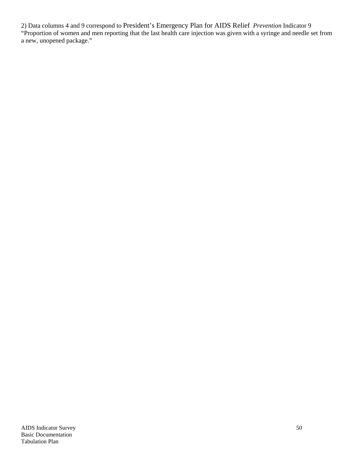2) Data columns 4 and 9 correspond to President's Emergency Plan for AIDS Relief *Prevention* Indicator 9 "Proportion of women and men reporting that the last health care injection was given with a syringe and needle set from a new, unopened package."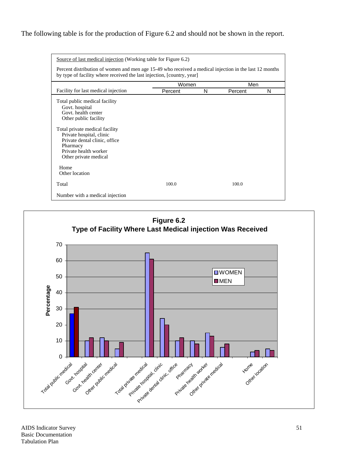## The following table is for the production of Figure 6.2 and should not be shown in the report.

| Source of last medical injection (Working table for Figure 6.2)                                                                                                                                                                                              |              |   |         |   |  |  |  |  |  |  |  |
|--------------------------------------------------------------------------------------------------------------------------------------------------------------------------------------------------------------------------------------------------------------|--------------|---|---------|---|--|--|--|--|--|--|--|
| Percent distribution of women and men age 15-49 who received a medical injection in the last 12 months<br>by type of facility where received the last injection, [country, year]                                                                             |              |   |         |   |  |  |  |  |  |  |  |
|                                                                                                                                                                                                                                                              | Men<br>Women |   |         |   |  |  |  |  |  |  |  |
| Facility for last medical injection                                                                                                                                                                                                                          | Percent      | N | Percent | N |  |  |  |  |  |  |  |
| Total public medical facility<br>Govt. hospital<br>Govt, health center<br>Other public facility<br>Total private medical facility<br>Private hospital, clinic<br>Private dental clinic, office<br>Pharmacy<br>Private health worker<br>Other private medical |              |   |         |   |  |  |  |  |  |  |  |
| Home<br>Other location                                                                                                                                                                                                                                       |              |   |         |   |  |  |  |  |  |  |  |
| Total                                                                                                                                                                                                                                                        | 100.0        |   | 100.0   |   |  |  |  |  |  |  |  |
| Number with a medical injection                                                                                                                                                                                                                              |              |   |         |   |  |  |  |  |  |  |  |

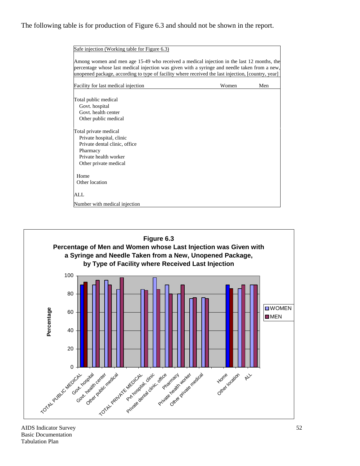## The following table is for production of Figure 6.3 and should not be shown in the report.

| Safe injection (Working table for Figure 6.3)                                                                                                                                                                                                                                                    |       |     |
|--------------------------------------------------------------------------------------------------------------------------------------------------------------------------------------------------------------------------------------------------------------------------------------------------|-------|-----|
| Among women and men age 15-49 who received a medical injection in the last 12 months, the<br>percentage whose last medical injection was given with a syringe and needle taken from a new,<br>unopened package, according to type of facility where received the last injection, [country, year] |       |     |
| Facility for last medical injection                                                                                                                                                                                                                                                              | Women | Men |
| Total public medical<br>Govt. hospital<br>Govt, health center<br>Other public medical                                                                                                                                                                                                            |       |     |
| Total private medical<br>Private hospital, clinic<br>Private dental clinic, office<br>Pharmacy<br>Private health worker<br>Other private medical                                                                                                                                                 |       |     |
| Home<br>Other location                                                                                                                                                                                                                                                                           |       |     |
| ALL.                                                                                                                                                                                                                                                                                             |       |     |
| Number with medical injection                                                                                                                                                                                                                                                                    |       |     |

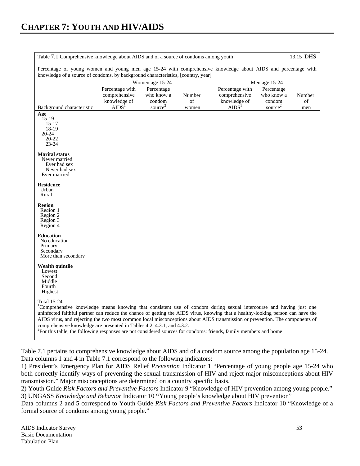| 13.15 DHS<br>Table 7.1 Comprehensive knowledge about AIDS and of a source of condoms among youth                                                                                                                                                                                                                                                                                                                                                                                                                                                                                                                           |                                                  |                                    |               |                                                  |                                    |              |  |  |  |
|----------------------------------------------------------------------------------------------------------------------------------------------------------------------------------------------------------------------------------------------------------------------------------------------------------------------------------------------------------------------------------------------------------------------------------------------------------------------------------------------------------------------------------------------------------------------------------------------------------------------------|--------------------------------------------------|------------------------------------|---------------|--------------------------------------------------|------------------------------------|--------------|--|--|--|
| Percentage of young women and young men age 15-24 with comprehensive knowledge about AIDS and percentage with<br>knowledge of a source of condoms, by background characteristics, [country, year]                                                                                                                                                                                                                                                                                                                                                                                                                          |                                                  |                                    |               |                                                  |                                    |              |  |  |  |
|                                                                                                                                                                                                                                                                                                                                                                                                                                                                                                                                                                                                                            | Women age 15-24                                  |                                    | Men age 15-24 |                                                  |                                    |              |  |  |  |
|                                                                                                                                                                                                                                                                                                                                                                                                                                                                                                                                                                                                                            | Percentage with<br>comprehensive<br>knowledge of | Percentage<br>who know a<br>condom | Number<br>of  | Percentage with<br>comprehensive<br>knowledge of | Percentage<br>who know a<br>condom | Number<br>of |  |  |  |
| Background characteristic                                                                                                                                                                                                                                                                                                                                                                                                                                                                                                                                                                                                  | AIDS <sup>1</sup>                                | source <sup>2</sup>                | women         | AIDS <sup>1</sup>                                | source <sup>2</sup>                | men          |  |  |  |
| Age<br>$15-19$<br>$15 - 17$<br>18-19<br>$20 - 24$<br>20-22<br>$23 - 24$                                                                                                                                                                                                                                                                                                                                                                                                                                                                                                                                                    |                                                  |                                    |               |                                                  |                                    |              |  |  |  |
| <b>Marital status</b><br>Never married<br>Ever had sex<br>Never had sex<br>Ever married                                                                                                                                                                                                                                                                                                                                                                                                                                                                                                                                    |                                                  |                                    |               |                                                  |                                    |              |  |  |  |
| <b>Residence</b><br>Urban<br>Rural                                                                                                                                                                                                                                                                                                                                                                                                                                                                                                                                                                                         |                                                  |                                    |               |                                                  |                                    |              |  |  |  |
| <b>Region</b><br>Region 1<br>Region 2<br>Region 3<br>Region 4                                                                                                                                                                                                                                                                                                                                                                                                                                                                                                                                                              |                                                  |                                    |               |                                                  |                                    |              |  |  |  |
| <b>Education</b><br>No education<br>Primary<br>Secondary<br>More than secondary                                                                                                                                                                                                                                                                                                                                                                                                                                                                                                                                            |                                                  |                                    |               |                                                  |                                    |              |  |  |  |
| <b>Wealth quintile</b><br>Lowest<br>Second<br>Middle<br>Fourth<br>Highest                                                                                                                                                                                                                                                                                                                                                                                                                                                                                                                                                  |                                                  |                                    |               |                                                  |                                    |              |  |  |  |
| Total 15-24<br><sup>1</sup> Comprehensive knowledge means knowing that consistent use of condom during sexual intercourse and having just one<br>uninfected faithful partner can reduce the chance of getting the AIDS virus, knowing that a healthy-looking person can have the<br>AIDS virus, and rejecting the two most common local misconceptions about AIDS transmission or prevention. The components of<br>comprehensive knowledge are presented in Tables 4.2, 4.3.1, and 4.3.2.<br><sup>2</sup> For this table, the following responses are not considered sources for condoms: friends, family members and home |                                                  |                                    |               |                                                  |                                    |              |  |  |  |

Table 7.1 pertains to comprehensive knowledge about AIDS and of a condom source among the population age 15-24. Data columns 1 and 4 in Table 7.1 correspond to the following indicators:

1) President's Emergency Plan for AIDS Relief *Prevention* Indicator 1 "Percentage of young people age 15-24 who both correctly identify ways of preventing the sexual transmission of HIV and reject major misconceptions about HIV transmission." Major misconceptions are determined on a country specific basis.

2) Youth Guide *Risk Factors and Preventive Factors* Indicator 9 "Knowledge of HIV prevention among young people." 3) UNGASS *Knowledge and Behavior* Indicator 10 **"**Young people's knowledge about HIV prevention"

Data columns 2 and 5 correspond to Youth Guide *Risk Factors and Preventive Factors* Indicator 10 "Knowledge of a formal source of condoms among young people."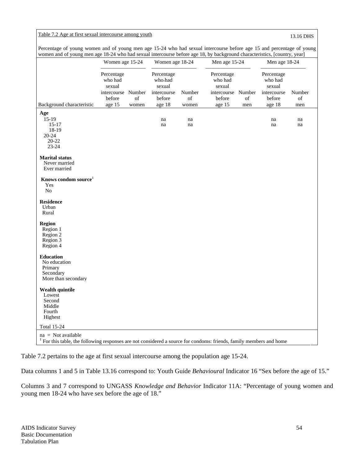## Table 7.2 Age at first sexual intercourse among youth 13.16 DHS

|                                                                                                                                           | Women age 15-24                                                           |             | Women age 18-24                                                    |                       | Men age 15-24                                                             |           | Men age 18-24                                                      |                     |
|-------------------------------------------------------------------------------------------------------------------------------------------|---------------------------------------------------------------------------|-------------|--------------------------------------------------------------------|-----------------------|---------------------------------------------------------------------------|-----------|--------------------------------------------------------------------|---------------------|
| Background characteristic                                                                                                                 | Percentage<br>who had<br>sexual<br>intercourse Number<br>before<br>age 15 | of<br>women | Percentage<br>who had<br>sexual<br>intercourse<br>before<br>age 18 | Number<br>of<br>women | Percentage<br>who had<br>sexual<br>intercourse Number<br>before<br>age 15 | of<br>men | Percentage<br>who had<br>sexual<br>intercourse<br>before<br>age 18 | Number<br>of<br>men |
| Age                                                                                                                                       |                                                                           |             |                                                                    |                       |                                                                           |           |                                                                    |                     |
| $15-19$<br>$15 - 17$<br>18-19<br>$20 - 24$<br>$20 - 22$<br>$23 - 24$                                                                      |                                                                           |             | na<br>na                                                           | na<br>na              |                                                                           |           | na<br>na                                                           | na<br>na            |
| <b>Marital status</b><br>Never married<br>Ever married                                                                                    |                                                                           |             |                                                                    |                       |                                                                           |           |                                                                    |                     |
| Knows condom source <sup>1</sup><br>Yes<br>N <sub>o</sub>                                                                                 |                                                                           |             |                                                                    |                       |                                                                           |           |                                                                    |                     |
| <b>Residence</b><br>Urban<br>Rural                                                                                                        |                                                                           |             |                                                                    |                       |                                                                           |           |                                                                    |                     |
| <b>Region</b><br>Region 1<br>Region 2<br>Region 3<br>Region 4                                                                             |                                                                           |             |                                                                    |                       |                                                                           |           |                                                                    |                     |
| <b>Education</b><br>No education<br>Primary<br>Secondary<br>More than secondary                                                           |                                                                           |             |                                                                    |                       |                                                                           |           |                                                                    |                     |
| Wealth quintile<br>Lowest<br>Second<br>Middle<br>Fourth<br>Highest                                                                        |                                                                           |             |                                                                    |                       |                                                                           |           |                                                                    |                     |
| <b>Total 15-24</b>                                                                                                                        |                                                                           |             |                                                                    |                       |                                                                           |           |                                                                    |                     |
| $na = Not available$<br>For this table, the following responses are not considered a source for condoms: friends, family members and home |                                                                           |             |                                                                    |                       |                                                                           |           |                                                                    |                     |

Percentage of young women and of young men age 15-24 who had sexual intercourse before age 15 and percentage of young women and of young men age 18-24 who had sexual intercourse before age 18, by background characteristics, [country, year]

Table 7.2 pertains to the age at first sexual intercourse among the population age 15-24.

Data columns 1 and 5 in Table 13.16 correspond to: Youth Guide *Behavioural* Indicator 16 "Sex before the age of 15."

Columns 3 and 7 correspond to UNGASS *Knowledge and Behavior* Indicator 11A: "Percentage of young women and young men 18-24 who have sex before the age of 18."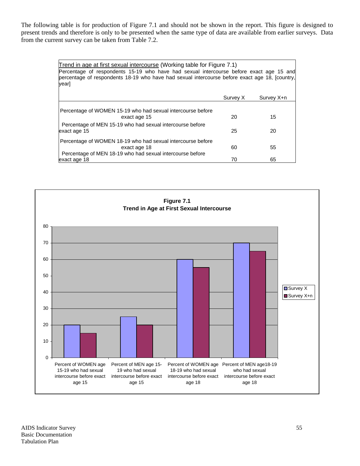The following table is for production of Figure 7.1 and should not be shown in the report. This figure is designed to present trends and therefore is only to be presented when the same type of data are available from earlier surveys. Data from the current survey can be taken from Table 7.2.

| Trend in age at first sexual intercourse (Working table for Figure 7.1)<br>Percentage of respondents 15-19 who have had sexual intercourse before exact age 15 and<br>percentage of respondents 18-19 who have had sexual intercourse before exact age 18, [country,]<br>year] |          |            |  |  |  |  |  |  |  |
|--------------------------------------------------------------------------------------------------------------------------------------------------------------------------------------------------------------------------------------------------------------------------------|----------|------------|--|--|--|--|--|--|--|
|                                                                                                                                                                                                                                                                                | Survey X | Survey X+n |  |  |  |  |  |  |  |
| Percentage of WOMEN 15-19 who had sexual intercourse before<br>exact age 15                                                                                                                                                                                                    | 20       | 15         |  |  |  |  |  |  |  |
| Percentage of MEN 15-19 who had sexual intercourse before<br>exact age 15                                                                                                                                                                                                      | 25       | 20         |  |  |  |  |  |  |  |
| Percentage of WOMEN 18-19 who had sexual intercourse before<br>exact age 18<br>Percentage of MEN 18-19 who had sexual intercourse before                                                                                                                                       | 60       | 55         |  |  |  |  |  |  |  |
| exact age 18                                                                                                                                                                                                                                                                   | 70       | 65         |  |  |  |  |  |  |  |

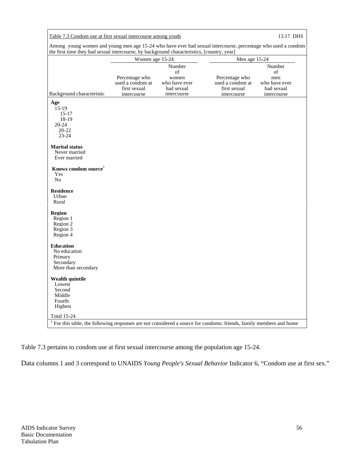## Table 7.3 Condom use at first sexual intercourse among youth 13.17 DHS

Among young women and young men age 15-24 who have ever had sexual intercourse, percentage who used a condom the first time they had sexual intercourse, by background characteristics, [country, year]

|                                                                                                                       | Women age 15-24                                    |                                                      | Men age 15-24                                      |                                                    |
|-----------------------------------------------------------------------------------------------------------------------|----------------------------------------------------|------------------------------------------------------|----------------------------------------------------|----------------------------------------------------|
|                                                                                                                       | Percentage who<br>used a condom at<br>first sexual | Number<br>of<br>women<br>who have ever<br>had sexual | Percentage who<br>used a condom at<br>first sexual | Number<br>οf<br>men<br>who have ever<br>had sexual |
| Background characteristic                                                                                             | intercourse                                        | intercourse                                          | intercourse                                        | intercourse                                        |
| Age<br>$15-19$                                                                                                        |                                                    |                                                      |                                                    |                                                    |
| $15 - 17$                                                                                                             |                                                    |                                                      |                                                    |                                                    |
| 18-19                                                                                                                 |                                                    |                                                      |                                                    |                                                    |
| $20 - 24$                                                                                                             |                                                    |                                                      |                                                    |                                                    |
| 20-22                                                                                                                 |                                                    |                                                      |                                                    |                                                    |
| $23 - 24$                                                                                                             |                                                    |                                                      |                                                    |                                                    |
| <b>Marital status</b><br>Never married                                                                                |                                                    |                                                      |                                                    |                                                    |
| Ever married                                                                                                          |                                                    |                                                      |                                                    |                                                    |
| Knows condom source <sup>1</sup><br>Yes                                                                               |                                                    |                                                      |                                                    |                                                    |
| N <sub>o</sub>                                                                                                        |                                                    |                                                      |                                                    |                                                    |
| <b>Residence</b><br>Urban                                                                                             |                                                    |                                                      |                                                    |                                                    |
| Rural                                                                                                                 |                                                    |                                                      |                                                    |                                                    |
| <b>Region</b>                                                                                                         |                                                    |                                                      |                                                    |                                                    |
| Region 1                                                                                                              |                                                    |                                                      |                                                    |                                                    |
| Region 2                                                                                                              |                                                    |                                                      |                                                    |                                                    |
| Region 3                                                                                                              |                                                    |                                                      |                                                    |                                                    |
| Region 4                                                                                                              |                                                    |                                                      |                                                    |                                                    |
|                                                                                                                       |                                                    |                                                      |                                                    |                                                    |
| <b>Education</b>                                                                                                      |                                                    |                                                      |                                                    |                                                    |
| No education                                                                                                          |                                                    |                                                      |                                                    |                                                    |
| Primary                                                                                                               |                                                    |                                                      |                                                    |                                                    |
| Secondary                                                                                                             |                                                    |                                                      |                                                    |                                                    |
| More than secondary                                                                                                   |                                                    |                                                      |                                                    |                                                    |
| <b>Wealth quintile</b>                                                                                                |                                                    |                                                      |                                                    |                                                    |
| Lowest                                                                                                                |                                                    |                                                      |                                                    |                                                    |
| Second                                                                                                                |                                                    |                                                      |                                                    |                                                    |
| Middle                                                                                                                |                                                    |                                                      |                                                    |                                                    |
| Fourth                                                                                                                |                                                    |                                                      |                                                    |                                                    |
| Highest                                                                                                               |                                                    |                                                      |                                                    |                                                    |
| <b>Total 15-24</b>                                                                                                    |                                                    |                                                      |                                                    |                                                    |
| $1$ For this table, the following responses are not considered a source for condoms: friends, family members and home |                                                    |                                                      |                                                    |                                                    |

Table 7.3 pertains to condom use at first sexual intercourse among the population age 15-24.

Data columns 1 and 3 correspond to UNAIDS *Young People's Sexual Behavior* Indicator 6, "Condom use at first sex."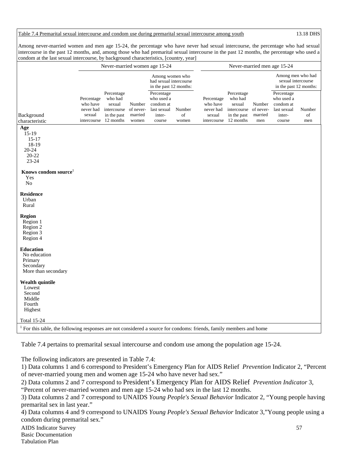Table 7.4 Premarital sexual intercourse and condom use during premarital sexual intercourse among youth 13.18 DHS

Among never-married women and men age 15-24, the percentage who have never had sexual intercourse, the percentage who had sexual intercourse in the past 12 months, and, among those who had premarital sexual intercourse in the past 12 months, the percentage who used a condom at the last sexual intercourse, by background characteristics, [country, year]

|                                                                                                                       |                                               | Never-married women age 15-24                                                          |                                         |                                                                          |                       | Never-married men age 15-24                                  |                                                                            |                                       |                                                                          |                     |  |  |
|-----------------------------------------------------------------------------------------------------------------------|-----------------------------------------------|----------------------------------------------------------------------------------------|-----------------------------------------|--------------------------------------------------------------------------|-----------------------|--------------------------------------------------------------|----------------------------------------------------------------------------|---------------------------------------|--------------------------------------------------------------------------|---------------------|--|--|
|                                                                                                                       |                                               |                                                                                        |                                         | Among women who<br>had sexual intercourse<br>in the past 12 months:      |                       |                                                              |                                                                            |                                       | Among men who had<br>sexual intercourse<br>in the past 12 months:        |                     |  |  |
| Background<br>characteristic                                                                                          | Percentage<br>who have<br>never had<br>sexual | Percentage<br>who had<br>sexual<br>intercourse<br>in the past<br>intercourse 12 months | Number<br>of never-<br>married<br>women | Percentage<br>who used a<br>condom at<br>last sexual<br>inter-<br>course | Number<br>of<br>women | Percentage<br>who have<br>never had<br>sexual<br>intercourse | Percentage<br>who had<br>sexual<br>intercourse<br>in the past<br>12 months | Number<br>of never-<br>married<br>men | Percentage<br>who used a<br>condom at<br>last sexual<br>inter-<br>course | Number<br>of<br>men |  |  |
| Age<br>$15-19$<br>$15-17$<br>18-19<br>20-24<br>$20 - 22$<br>23-24                                                     |                                               |                                                                                        |                                         |                                                                          |                       |                                                              |                                                                            |                                       |                                                                          |                     |  |  |
| Knows condom source <sup>1</sup><br>Yes<br>N <sub>o</sub>                                                             |                                               |                                                                                        |                                         |                                                                          |                       |                                                              |                                                                            |                                       |                                                                          |                     |  |  |
| <b>Residence</b><br>Urban<br>Rural                                                                                    |                                               |                                                                                        |                                         |                                                                          |                       |                                                              |                                                                            |                                       |                                                                          |                     |  |  |
| <b>Region</b><br>Region 1<br>Region 2<br>Region 3<br>Region 4                                                         |                                               |                                                                                        |                                         |                                                                          |                       |                                                              |                                                                            |                                       |                                                                          |                     |  |  |
| <b>Education</b><br>No education<br>Primary<br>Secondary<br>More than secondary                                       |                                               |                                                                                        |                                         |                                                                          |                       |                                                              |                                                                            |                                       |                                                                          |                     |  |  |
| <b>Wealth quintile</b><br>Lowest<br>Second<br>Middle<br>Fourth<br>Highest                                             |                                               |                                                                                        |                                         |                                                                          |                       |                                                              |                                                                            |                                       |                                                                          |                     |  |  |
| Total 15-24                                                                                                           |                                               |                                                                                        |                                         |                                                                          |                       |                                                              |                                                                            |                                       |                                                                          |                     |  |  |
| $1$ For this table, the following responses are not considered a source for condoms: friends, family members and home |                                               |                                                                                        |                                         |                                                                          |                       |                                                              |                                                                            |                                       |                                                                          |                     |  |  |

Table 7.4 pertains to premarital sexual intercourse and condom use among the population age 15-24.

The following indicators are presented in Table 7.4:

1) Data columns 1 and 6 correspond to President's Emergency Plan for AIDS Relief *Prevention* Indicator 2, "Percent of never-married young men and women age 15-24 who have never had sex."

2) Data columns 2 and 7 correspond to President's Emergency Plan for AIDS Relief *Prevention Indicator* 3,

"Percent of never-married women and men age 15-24 who had sex in the last 12 months.

3) Data columns 2 and 7 correspond to UNAIDS *Young People's Sexual Behavior* Indicator 2, "Young people having premarital sex in last year."

4) Data columns 4 and 9 correspond to UNAIDS *Young People's Sexual Behavior* Indicator 3,"Young people using a condom during premarital sex."

AIDS Indicator Survey 57 Basic Documentation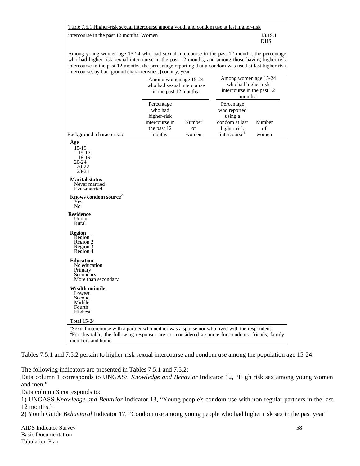| Table 7.5.1 Higher-risk sexual intercourse among youth and condom use at last higher-risk |            |
|-------------------------------------------------------------------------------------------|------------|
| intercourse in the past 12 months: Women                                                  | 13.19.1    |
|                                                                                           | <b>DHS</b> |

Among young women age 15-24 who had sexual intercourse in the past 12 months, the percentage who had higher-risk sexual intercourse in the past 12 months, and among those having higher-risk intercourse in the past 12 months, the percentage reporting that a condom was used at last higher-risk intercourse, by background characteristics, [country, year]

| intercourse, by background characteristics, [country, year]                                                                                                                                                                                      |                                                                                              |                       |                                                                                                    |                       |
|--------------------------------------------------------------------------------------------------------------------------------------------------------------------------------------------------------------------------------------------------|----------------------------------------------------------------------------------------------|-----------------------|----------------------------------------------------------------------------------------------------|-----------------------|
|                                                                                                                                                                                                                                                  | Among women age 15-24<br>who had sexual intercourse<br>in the past 12 months:                |                       | Among women age 15-24<br>who had higher-risk<br>intercourse in the past 12<br>months:              |                       |
| Background characteristic                                                                                                                                                                                                                        | Percentage<br>who had<br>higher-risk<br>intercourse in<br>the past 12<br>months <sup>1</sup> | Number<br>of<br>women | Percentage<br>who reported<br>using a<br>condom at last<br>higher-risk<br>intercourse <sup>1</sup> | Number<br>of<br>women |
| Age<br>15-19<br>$15 - 17$<br>18-19<br>20-24<br>20-22<br>$23 - 24$                                                                                                                                                                                |                                                                                              |                       |                                                                                                    |                       |
| <b>Marital status</b><br>Never married<br>Ever-married                                                                                                                                                                                           |                                                                                              |                       |                                                                                                    |                       |
| Knows condom source <sup>2</sup><br>Yes<br>N <sub>0</sub>                                                                                                                                                                                        |                                                                                              |                       |                                                                                                    |                       |
| <b>Residence</b><br>Urban<br>Rural                                                                                                                                                                                                               |                                                                                              |                       |                                                                                                    |                       |
| <b>Region</b><br>Region 1<br>Region 2<br>Region 3<br>Region 4                                                                                                                                                                                    |                                                                                              |                       |                                                                                                    |                       |
| <b>Education</b><br>No education<br>Primary<br>Secondary<br>More than secondary                                                                                                                                                                  |                                                                                              |                       |                                                                                                    |                       |
| <b>Wealth quintile</b><br>Lowest<br>Second<br>Middle<br>Fourth<br>Highest                                                                                                                                                                        |                                                                                              |                       |                                                                                                    |                       |
| <b>Total 15-24</b><br><sup>1</sup> Sexual intercourse with a partner who neither was a spouse nor who lived with the respondent<br><sup>2</sup> For this table, the following responses are not considered a source for condoms: friends, family |                                                                                              |                       |                                                                                                    |                       |
| members and home                                                                                                                                                                                                                                 |                                                                                              |                       |                                                                                                    |                       |

Tables 7.5.1 and 7.5.2 pertain to higher-risk sexual intercourse and condom use among the population age 15-24.

The following indicators are presented in Tables 7.5.1 and 7.5.2:

Data column 1 corresponds to UNGASS *Knowledge and Behavior* Indicator 12, "High risk sex among young women and men."

Data column 3 corresponds to:

1) UNGASS *Knowledge and Behavior* Indicator 13, "Young people's condom use with non-regular partners in the last 12 months."

2) Youth Guide *Behavioral* Indicator 17, "Condom use among young people who had higher risk sex in the past year"

AIDS Indicator Survey 58 Basic Documentation Tabulation Plan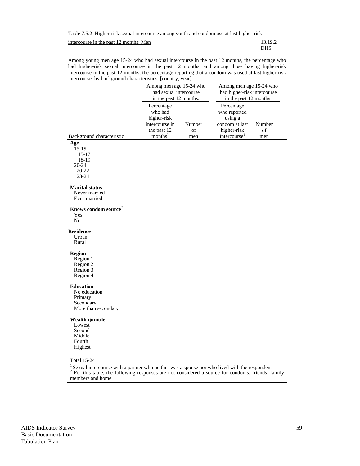Table 7.5.2 Higher-risk sexual intercourse among youth and condom use at last higher-risk

intercourse in the past 12 months: Men 13.19.2

DHS

Among young men age 15-24 who had sexual intercourse in the past 12 months, the percentage who had higher-risk sexual intercourse in the past 12 months, and among those having higher-risk intercourse in the past 12 months, the percentage reporting that a condom was used at last higher-risk intercourse, by background characteristics, [country, year]

|                                                                                                                                                                                                                                           | Among men age 15-24 who<br>had sexual intercourse<br>in the past 12 months:                  |                     | Among men age 15-24 who<br>had higher-risk intercourse<br>in the past 12 months:                   |                     |  |  |
|-------------------------------------------------------------------------------------------------------------------------------------------------------------------------------------------------------------------------------------------|----------------------------------------------------------------------------------------------|---------------------|----------------------------------------------------------------------------------------------------|---------------------|--|--|
| Background characteristic                                                                                                                                                                                                                 | Percentage<br>who had<br>higher-risk<br>intercourse in<br>the past 12<br>months <sup>1</sup> | Number<br>of<br>men | Percentage<br>who reported<br>using a<br>condom at last<br>higher-risk<br>intercourse <sup>1</sup> | Number<br>of<br>men |  |  |
| Age<br>15-19<br>$15 - 17$<br>18-19<br>20-24<br>$20 - 22$<br>$23 - 24$                                                                                                                                                                     |                                                                                              |                     |                                                                                                    |                     |  |  |
| <b>Marital status</b><br>Never married<br>Ever-married                                                                                                                                                                                    |                                                                                              |                     |                                                                                                    |                     |  |  |
| Knows condom source <sup>2</sup><br>Yes<br>N <sub>o</sub>                                                                                                                                                                                 |                                                                                              |                     |                                                                                                    |                     |  |  |
| <b>Residence</b><br>Urban<br>Rural                                                                                                                                                                                                        |                                                                                              |                     |                                                                                                    |                     |  |  |
| <b>Region</b><br>Region 1<br>Region 2<br>Region 3<br>Region 4                                                                                                                                                                             |                                                                                              |                     |                                                                                                    |                     |  |  |
| <b>Education</b><br>No education<br>Primary<br>Secondary<br>More than secondary                                                                                                                                                           |                                                                                              |                     |                                                                                                    |                     |  |  |
| <b>Wealth quintile</b><br>Lowest<br>Second<br>Middle<br>Fourth<br>Highest                                                                                                                                                                 |                                                                                              |                     |                                                                                                    |                     |  |  |
| <b>Total 15-24</b>                                                                                                                                                                                                                        |                                                                                              |                     |                                                                                                    |                     |  |  |
| $\frac{1}{2}$ Sexual intercourse with a partner who neither was a spouse nor who lived with the respondent<br>$\overline{\mathbf{c}}$<br>For this table, the following responses are not considered a source for condoms: friends, family |                                                                                              |                     |                                                                                                    |                     |  |  |

members and home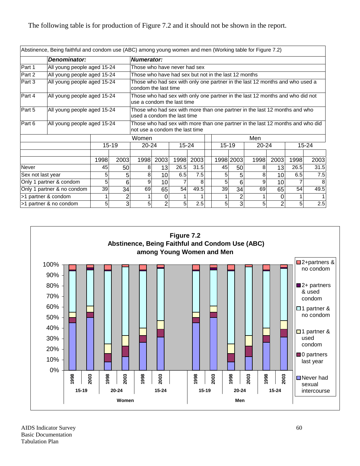|                   | Abstinence, Being faithful and condom use (ABC) among young women and men (Working table for Figure 7.2) |      |       |                                                                                                                  |                                                                                                      |           |      |    |           |           |           |      |           |      |
|-------------------|----------------------------------------------------------------------------------------------------------|------|-------|------------------------------------------------------------------------------------------------------------------|------------------------------------------------------------------------------------------------------|-----------|------|----|-----------|-----------|-----------|------|-----------|------|
|                   | Denominator:                                                                                             |      |       | <b>Numerator:</b>                                                                                                |                                                                                                      |           |      |    |           |           |           |      |           |      |
| Part 1            | All young people aged 15-24                                                                              |      |       | Those who have never had sex                                                                                     |                                                                                                      |           |      |    |           |           |           |      |           |      |
| Part 2            | All young people aged 15-24                                                                              |      |       | Those who have had sex but not in the last 12 months                                                             |                                                                                                      |           |      |    |           |           |           |      |           |      |
| Part 3            | All young people aged 15-24                                                                              |      |       |                                                                                                                  | Those who had sex with only one partner in the last 12 months and who used a<br>condom the last time |           |      |    |           |           |           |      |           |      |
| Part 4            | All young people aged 15-24                                                                              |      |       | Those who had sex with only one partner in the last 12 months and who did not<br>use a condom the last time      |                                                                                                      |           |      |    |           |           |           |      |           |      |
| Part 5            | All young people aged 15-24                                                                              |      |       | Those who had sex with more than one partner in the last 12 months and who<br>used a condom the last time        |                                                                                                      |           |      |    |           |           |           |      |           |      |
| Part 6            | All young people aged 15-24                                                                              |      |       | Those who had sex with more than one partner in the last 12 months and who did<br>not use a condom the last time |                                                                                                      |           |      |    |           |           |           |      |           |      |
|                   |                                                                                                          |      |       |                                                                                                                  | Men<br>Women                                                                                         |           |      |    |           |           |           |      |           |      |
|                   |                                                                                                          |      | 15-19 | $20 - 24$                                                                                                        |                                                                                                      | $15 - 24$ |      |    | $15 - 19$ |           | $20 - 24$ |      | $15 - 24$ |      |
|                   |                                                                                                          |      |       |                                                                                                                  |                                                                                                      |           |      |    |           |           |           |      |           |      |
|                   |                                                                                                          | 1998 | 2003  | 1998                                                                                                             | 2003                                                                                                 | 1998      | 2003 |    |           | 1998 2003 | 1998      | 2003 | 1998      | 2003 |
| Never             |                                                                                                          | 45   | 50    | 8                                                                                                                | 13                                                                                                   | 26.5      | 31.5 |    | 45        | 50        | 8         | 13   | 26.5      | 31.5 |
| Sex not last year |                                                                                                          | 5    | 5     | 8                                                                                                                | 10                                                                                                   | 6.5       | 7.5  |    | 5         | 5         | 8         | 10   | 6.5       | 7.5  |
|                   | Only 1 partner & condom                                                                                  | 5    | 6     | 9                                                                                                                | 10                                                                                                   |           | 8    |    | 5         | 6         | 9         | 10   |           |      |
|                   | Only 1 partner & no condom                                                                               | 69   | 65    | 54                                                                                                               | 49.5                                                                                                 |           | 39   | 34 | 69        | 65        | 54        | 49.5 |           |      |
|                   | >1 partner & condom                                                                                      |      | 2     |                                                                                                                  | 0                                                                                                    |           |      |    |           | 2         |           | 0    |           |      |
|                   | >1 partner & no condom                                                                                   | 5    | 3     | 5                                                                                                                | 2                                                                                                    | 5         | 2.5  |    | 5         | 3         | 5         | 2    | 5         | 2.5  |

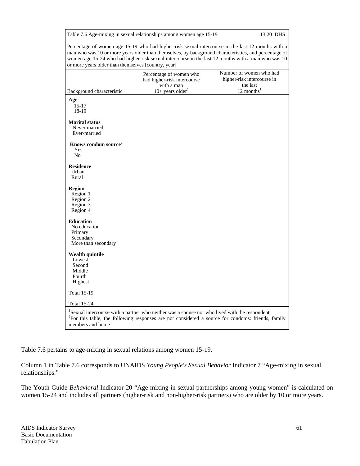13.20 DHS

Percentage of women age 15-19 who had higher-risk sexual intercourse in the last 12 months with a man who was 10 or more years older than themselves, by background characteristics, and percentage of women age 15-24 who had higher-risk sexual intercourse in the last 12 months with a man who was 10 or more years older than themselves [country, year]

|                                                                                 | Percentage of women who<br>had higher-risk intercourse<br>with a man                                      | Number of women who had<br>higher-risk intercourse in<br>the last                                             |
|---------------------------------------------------------------------------------|-----------------------------------------------------------------------------------------------------------|---------------------------------------------------------------------------------------------------------------|
| Background characteristic                                                       | $10+$ years older <sup>1</sup>                                                                            | $12$ months <sup>1</sup>                                                                                      |
| Age<br>$15 - 17$<br>18-19                                                       |                                                                                                           |                                                                                                               |
| <b>Marital status</b><br>Never married<br>Ever-married                          |                                                                                                           |                                                                                                               |
| Knows condom source <sup>2</sup><br>Yes<br>No                                   |                                                                                                           |                                                                                                               |
| <b>Residence</b><br>Urban<br>Rural                                              |                                                                                                           |                                                                                                               |
| <b>Region</b><br>Region 1<br>Region 2<br>Region 3<br>Region 4                   |                                                                                                           |                                                                                                               |
| <b>Education</b><br>No education<br>Primary<br>Secondary<br>More than secondary |                                                                                                           |                                                                                                               |
| <b>Wealth quintile</b><br>Lowest<br>Second<br>Middle<br>Fourth<br>Highest       |                                                                                                           |                                                                                                               |
| <b>Total 15-19</b>                                                              |                                                                                                           |                                                                                                               |
| <b>Total 15-24</b>                                                              |                                                                                                           |                                                                                                               |
| members and home                                                                | <sup>1</sup> Sexual intercourse with a partner who neither was a spouse nor who lived with the respondent | <sup>2</sup> For this table, the following responses are not considered a source for condoms: friends, family |

Table 7.6 pertains to age-mixing in sexual relations among women 15-19.

Column 1 in Table 7.6 corresponds to UNAIDS *Young People's Sexual Behavior* Indicator 7 "Age-mixing in sexual relationships."

The Youth Guide *Behavioral* Indicator 20 "Age-mixing in sexual partnerships among young women" is calculated on women 15-24 and includes all partners (higher-risk and non-higher-risk partners) who are older by 10 or more years.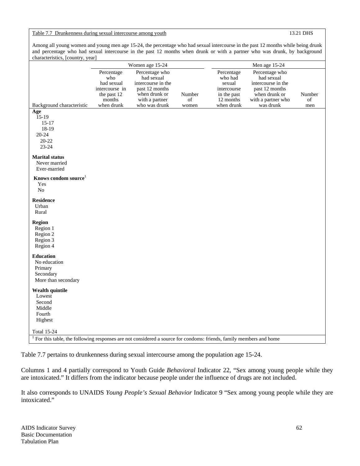Table 7.7 Drunkenness during sexual intercourse among youth 13.21 DHS

Among all young women and young men age 15-24, the percentage who had sexual intercourse in the past 12 months while being drunk and percentage who had sexual intercourse in the past 12 months when drunk or with a partner who was drunk, by background characteristics, [country, year]

|                                                                                                                       | Women age 15-24                                                            |                                                                                                         |              | Men age 15-24                                                              |                                                                                                             |              |  |  |
|-----------------------------------------------------------------------------------------------------------------------|----------------------------------------------------------------------------|---------------------------------------------------------------------------------------------------------|--------------|----------------------------------------------------------------------------|-------------------------------------------------------------------------------------------------------------|--------------|--|--|
|                                                                                                                       | Percentage<br>who<br>had sexual<br>intercourse in<br>the past 12<br>months | Percentage who<br>had sexual<br>intercourse in the<br>past 12 months<br>when drunk or<br>with a partner | Number<br>of | Percentage<br>who had<br>sexual<br>intercourse<br>in the past<br>12 months | Percentage who<br>had sexual<br>intercourse in the<br>past 12 months<br>when drunk or<br>with a partner who | Number<br>of |  |  |
| Background characteristic                                                                                             | when drunk                                                                 | who was drunk                                                                                           | women        | when drunk                                                                 | was drunk                                                                                                   | men          |  |  |
| Age<br>$15-19$<br>$15 - 17$<br>18-19<br>20-24<br>$20 - 22$<br>23-24                                                   |                                                                            |                                                                                                         |              |                                                                            |                                                                                                             |              |  |  |
| <b>Marital</b> status<br>Never married<br>Ever-married                                                                |                                                                            |                                                                                                         |              |                                                                            |                                                                                                             |              |  |  |
| Knows condom source <sup>1</sup><br>Yes<br>N <sub>o</sub>                                                             |                                                                            |                                                                                                         |              |                                                                            |                                                                                                             |              |  |  |
| <b>Residence</b><br>Urban<br>Rural                                                                                    |                                                                            |                                                                                                         |              |                                                                            |                                                                                                             |              |  |  |
| Region<br>Region 1<br>Region 2<br>Region 3<br>Region 4                                                                |                                                                            |                                                                                                         |              |                                                                            |                                                                                                             |              |  |  |
| <b>Education</b><br>No education<br>Primary<br>Secondary<br>More than secondary                                       |                                                                            |                                                                                                         |              |                                                                            |                                                                                                             |              |  |  |
| <b>Wealth quintile</b><br>Lowest<br>Second<br>Middle                                                                  |                                                                            |                                                                                                         |              |                                                                            |                                                                                                             |              |  |  |
| Fourth<br>Highest<br><b>Total 15-24</b>                                                                               |                                                                            |                                                                                                         |              |                                                                            |                                                                                                             |              |  |  |
| $1$ For this table, the following responses are not considered a source for condoms: friends, family members and home |                                                                            |                                                                                                         |              |                                                                            |                                                                                                             |              |  |  |

Table 7.7 pertains to drunkenness during sexual intercourse among the population age 15-24.

Columns 1 and 4 partially correspond to Youth Guide *Behavioral* Indicator 22, "Sex among young people while they are intoxicated." It differs from the indicator because people under the influence of drugs are not included.

It also corresponds to UNAIDS *Young People's Sexual Behavior* Indicator 9 "Sex among young people while they are intoxicated."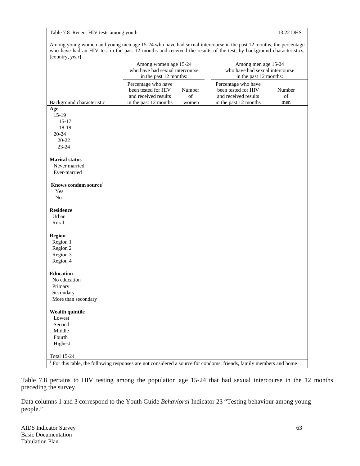## Table 7.8 Recent HIV tests among youth 13.22 DHS

Among young women and young men age 15-24 who have had sexual intercourse in the past 12 months, the percentage who have had an HIV test in the past 12 months and received the results of the test, by background characteristics, [country, year]

|                                                                                                                                | Among women age 15-24<br>who have had sexual intercourse<br>in the past 12 months:          |                       | Among men age 15-24<br>who have had sexual intercourse<br>in the past 12 months:            |                     |  |
|--------------------------------------------------------------------------------------------------------------------------------|---------------------------------------------------------------------------------------------|-----------------------|---------------------------------------------------------------------------------------------|---------------------|--|
| Background characteristic                                                                                                      | Percentage who have<br>been tested for HIV<br>and received results<br>in the past 12 months | Number<br>of<br>women | Percentage who have<br>been tested for HIV<br>and received results<br>in the past 12 months | Number<br>of<br>men |  |
| Age                                                                                                                            |                                                                                             |                       |                                                                                             |                     |  |
| $15-19$                                                                                                                        |                                                                                             |                       |                                                                                             |                     |  |
| $15 - 17$                                                                                                                      |                                                                                             |                       |                                                                                             |                     |  |
| 18-19                                                                                                                          |                                                                                             |                       |                                                                                             |                     |  |
| $20 - 24$                                                                                                                      |                                                                                             |                       |                                                                                             |                     |  |
| 20-22                                                                                                                          |                                                                                             |                       |                                                                                             |                     |  |
| 23-24                                                                                                                          |                                                                                             |                       |                                                                                             |                     |  |
| <b>Marital</b> status                                                                                                          |                                                                                             |                       |                                                                                             |                     |  |
| Never married                                                                                                                  |                                                                                             |                       |                                                                                             |                     |  |
| Ever-married                                                                                                                   |                                                                                             |                       |                                                                                             |                     |  |
| Knows condom source <sup>1</sup>                                                                                               |                                                                                             |                       |                                                                                             |                     |  |
| Yes                                                                                                                            |                                                                                             |                       |                                                                                             |                     |  |
| No                                                                                                                             |                                                                                             |                       |                                                                                             |                     |  |
| <b>Residence</b>                                                                                                               |                                                                                             |                       |                                                                                             |                     |  |
| Urban                                                                                                                          |                                                                                             |                       |                                                                                             |                     |  |
| Rural                                                                                                                          |                                                                                             |                       |                                                                                             |                     |  |
| <b>Region</b>                                                                                                                  |                                                                                             |                       |                                                                                             |                     |  |
| Region 1                                                                                                                       |                                                                                             |                       |                                                                                             |                     |  |
| Region 2                                                                                                                       |                                                                                             |                       |                                                                                             |                     |  |
| Region 3                                                                                                                       |                                                                                             |                       |                                                                                             |                     |  |
| Region 4                                                                                                                       |                                                                                             |                       |                                                                                             |                     |  |
| <b>Education</b>                                                                                                               |                                                                                             |                       |                                                                                             |                     |  |
| No education                                                                                                                   |                                                                                             |                       |                                                                                             |                     |  |
| Primary                                                                                                                        |                                                                                             |                       |                                                                                             |                     |  |
| Secondary                                                                                                                      |                                                                                             |                       |                                                                                             |                     |  |
| More than secondary                                                                                                            |                                                                                             |                       |                                                                                             |                     |  |
| <b>Wealth quintile</b>                                                                                                         |                                                                                             |                       |                                                                                             |                     |  |
| Lowest                                                                                                                         |                                                                                             |                       |                                                                                             |                     |  |
| Second                                                                                                                         |                                                                                             |                       |                                                                                             |                     |  |
| Middle                                                                                                                         |                                                                                             |                       |                                                                                             |                     |  |
| Fourth                                                                                                                         |                                                                                             |                       |                                                                                             |                     |  |
| Highest                                                                                                                        |                                                                                             |                       |                                                                                             |                     |  |
| <b>Total 15-24</b>                                                                                                             |                                                                                             |                       |                                                                                             |                     |  |
| <sup>1</sup> For this table, the following responses are not considered a source for condoms: friends, family members and home |                                                                                             |                       |                                                                                             |                     |  |

Table 7.8 pertains to HIV testing among the population age 15-24 that had sexual intercourse in the 12 months preceding the survey.

Data columns 1 and 3 correspond to the Youth Guide *Behavioral* Indicator 23 "Testing behaviour among young people."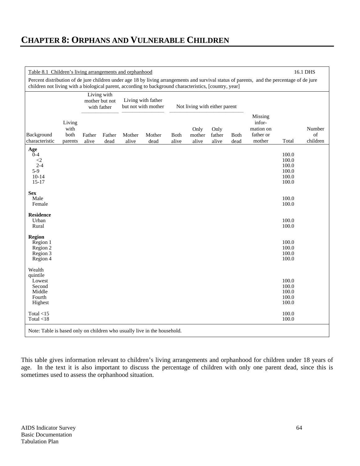# **CHAPTER 8: ORPHANS AND VULNERABLE CHILDREN**

| 16.1 DHS<br>Table 8.1 Children's living arrangements and orphanhood    |                                                                                                                                                                                                                                                      |                 |                                              |                 |                                           |                      |                               |                         |              |                                                       |                                                    |                          |
|------------------------------------------------------------------------|------------------------------------------------------------------------------------------------------------------------------------------------------------------------------------------------------------------------------------------------------|-----------------|----------------------------------------------|-----------------|-------------------------------------------|----------------------|-------------------------------|-------------------------|--------------|-------------------------------------------------------|----------------------------------------------------|--------------------------|
|                                                                        | Percent distribution of de jure children under age 18 by living arrangements and survival status of parents, and the percentage of de jure<br>children not living with a biological parent, according to background characteristics, [country, year] |                 |                                              |                 |                                           |                      |                               |                         |              |                                                       |                                                    |                          |
|                                                                        |                                                                                                                                                                                                                                                      |                 | Living with<br>mother but not<br>with father |                 | Living with father<br>but not with mother |                      | Not living with either parent |                         |              |                                                       |                                                    |                          |
| Background<br>characteristic                                           | Living<br>with<br>both<br>parents                                                                                                                                                                                                                    | Father<br>alive | Father<br>dead                               | Mother<br>alive | Mother<br>dead                            | <b>Both</b><br>alive | Only<br>mother<br>alive       | Only<br>father<br>alive | Both<br>dead | Missing<br>infor-<br>mation on<br>father or<br>mother | Total                                              | Number<br>of<br>children |
| Age<br>$0 - 4$<br>$\leq$<br>$2 - 4$<br>$5-9$<br>$10 - 14$<br>$15 - 17$ |                                                                                                                                                                                                                                                      |                 |                                              |                 |                                           |                      |                               |                         |              |                                                       | 100.0<br>100.0<br>100.0<br>100.0<br>100.0<br>100.0 |                          |
| <b>Sex</b><br>Male<br>Female                                           |                                                                                                                                                                                                                                                      |                 |                                              |                 |                                           |                      |                               |                         |              |                                                       | 100.0<br>100.0                                     |                          |
| <b>Residence</b><br>Urban<br>Rural                                     |                                                                                                                                                                                                                                                      |                 |                                              |                 |                                           |                      |                               |                         |              |                                                       | 100.0<br>100.0                                     |                          |
| <b>Region</b><br>Region 1<br>Region 2<br>Region 3<br>Region 4          |                                                                                                                                                                                                                                                      |                 |                                              |                 |                                           |                      |                               |                         |              |                                                       | 100.0<br>100.0<br>100.0<br>100.0                   |                          |
| Wealth<br>quintile<br>Lowest<br>Second<br>Middle<br>Fourth<br>Highest  |                                                                                                                                                                                                                                                      |                 |                                              |                 |                                           |                      |                               |                         |              |                                                       | 100.0<br>100.0<br>100.0<br>100.0<br>100.0          |                          |
| Total $<$ 15<br>Total $<18$                                            |                                                                                                                                                                                                                                                      |                 |                                              |                 |                                           |                      |                               |                         |              |                                                       | 100.0<br>$100.0\,$                                 |                          |
|                                                                        | Note: Table is based only on children who usually live in the household.                                                                                                                                                                             |                 |                                              |                 |                                           |                      |                               |                         |              |                                                       |                                                    |                          |

This table gives information relevant to children's living arrangements and orphanhood for children under 18 years of age. In the text it is also important to discuss the percentage of children with only one parent dead, since this is sometimes used to assess the orphanhood situation.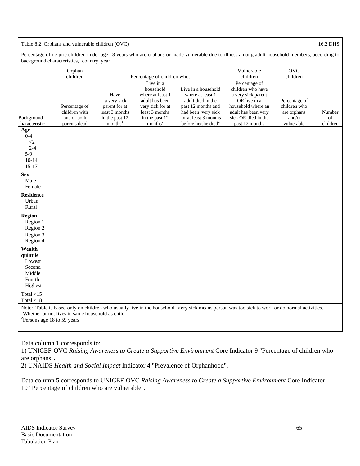## Table 8.2 Orphans and vulnerable children (OVC) 16.2 DHS 16.2 DHS

Percentage of de jure children under age 18 years who are orphans or made vulnerable due to illness among adult household members, according to background characteristics, [country, year]

|                                                                         | Orphan<br>children                                            |                                                                                                 | Percentage of children who:                                                                                                                 |                                                                                                                                                                      | Vulnerable<br>children                                                                                                                                         | <b>OVC</b><br>children                                               |                          |
|-------------------------------------------------------------------------|---------------------------------------------------------------|-------------------------------------------------------------------------------------------------|---------------------------------------------------------------------------------------------------------------------------------------------|----------------------------------------------------------------------------------------------------------------------------------------------------------------------|----------------------------------------------------------------------------------------------------------------------------------------------------------------|----------------------------------------------------------------------|--------------------------|
| Background<br>characteristic                                            | Percentage of<br>children with<br>one or both<br>parents dead | Have<br>a very sick<br>parent for at<br>least 3 months<br>in the past 12<br>months <sup>1</sup> | Live in a<br>household<br>where at least 1<br>adult has been<br>very sick for at<br>least 3 months<br>in the past 12<br>months <sup>2</sup> | Live in a household<br>where at least 1<br>adult died in the<br>past 12 months and<br>had been very sick<br>for at least 3 months<br>before he/she died <sup>2</sup> | Percentage of<br>children who have<br>a very sick parent<br>OR live in a<br>household where an<br>adult has been very<br>sick OR died in the<br>past 12 months | Percentage of<br>children who<br>are orphans<br>and/or<br>vulnerable | Number<br>of<br>children |
| Age<br>$0 - 4$<br>$\langle 2$<br>$2 - 4$<br>$5-9$<br>$10-14$<br>$15-17$ |                                                               |                                                                                                 |                                                                                                                                             |                                                                                                                                                                      |                                                                                                                                                                |                                                                      |                          |
| <b>Sex</b><br>Male<br>Female                                            |                                                               |                                                                                                 |                                                                                                                                             |                                                                                                                                                                      |                                                                                                                                                                |                                                                      |                          |
| <b>Residence</b><br>Urban<br>Rural                                      |                                                               |                                                                                                 |                                                                                                                                             |                                                                                                                                                                      |                                                                                                                                                                |                                                                      |                          |
| Region<br>Region 1<br>Region 2<br>Region 3<br>Region 4                  |                                                               |                                                                                                 |                                                                                                                                             |                                                                                                                                                                      |                                                                                                                                                                |                                                                      |                          |
| Wealth<br>quintile<br>Lowest<br>Second<br>Middle<br>Fourth<br>Highest   |                                                               |                                                                                                 |                                                                                                                                             |                                                                                                                                                                      |                                                                                                                                                                |                                                                      |                          |
| Total $<15$<br>Total $<18$                                              |                                                               |                                                                                                 |                                                                                                                                             |                                                                                                                                                                      |                                                                                                                                                                |                                                                      |                          |
| <sup>2</sup> Persons age 18 to 59 years                                 | <sup>1</sup> Whether or not lives in same household as child  |                                                                                                 |                                                                                                                                             |                                                                                                                                                                      | Note: Table is based only on children who usually live in the household. Very sick means person was too sick to work or do normal activities.                  |                                                                      |                          |

Data column 1 corresponds to:

1) UNICEF-OVC *Raising Awareness to Create a Supportive Environment* Core Indicator 9 "Percentage of children who are orphans".

2) UNAIDS *Health and Social Impact* Indicator 4 "Prevalence of Orphanhood".

Data column 5 corresponds to UNICEF-OVC *Raising Awareness to Create a Supportive Environment* Core Indicator 10 "Percentage of children who are vulnerable".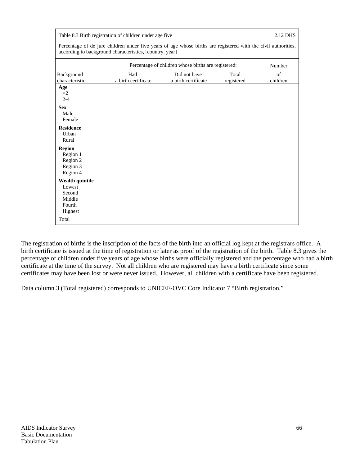| Table 8.3 Birth registration of children under age five            | 2.12 DHS                                                                                                                                                                   |                                                     |                     |                |
|--------------------------------------------------------------------|----------------------------------------------------------------------------------------------------------------------------------------------------------------------------|-----------------------------------------------------|---------------------|----------------|
|                                                                    | Percentage of de jure children under five years of age whose births are registered with the civil authorities,<br>according to background characteristics, [country, year] |                                                     |                     |                |
|                                                                    |                                                                                                                                                                            | Percentage of children whose births are registered: |                     | Number         |
| Background<br>characteristic                                       | Had<br>a birth certificate                                                                                                                                                 | Did not have<br>a birth certificate                 | Total<br>registered | of<br>children |
| Age<br>$\langle 2 \rangle$<br>$2 - 4$                              |                                                                                                                                                                            |                                                     |                     |                |
| <b>Sex</b><br>Male<br>Female                                       |                                                                                                                                                                            |                                                     |                     |                |
| <b>Residence</b><br>Urban<br>Rural                                 |                                                                                                                                                                            |                                                     |                     |                |
| <b>Region</b><br>Region 1<br>Region 2<br>Region 3<br>Region 4      |                                                                                                                                                                            |                                                     |                     |                |
| Wealth quintile<br>Lowest<br>Second<br>Middle<br>Fourth<br>Highest |                                                                                                                                                                            |                                                     |                     |                |
| Total                                                              |                                                                                                                                                                            |                                                     |                     |                |

The registration of births is the inscription of the facts of the birth into an official log kept at the registrars office. A birth certificate is issued at the time of registration or later as proof of the registration of the birth. Table 8.3 gives the percentage of children under five years of age whose births were officially registered and the percentage who had a birth certificate at the time of the survey. Not all children who are registered may have a birth certificate since some certificates may have been lost or were never issued. However, all children with a certificate have been registered.

Data column 3 (Total registered) corresponds to UNICEF-OVC Core Indicator 7 "Birth registration."

г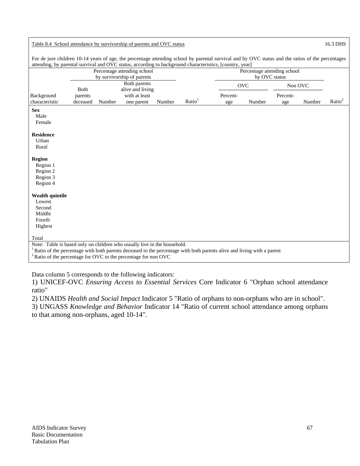| Table 8.4 School attendance by survivorship of parents and OVC status                                                                                                                                                                                                               |                     |        |                                                           |        |                    | 16.3 DHS        |                                              |                 |        |                    |
|-------------------------------------------------------------------------------------------------------------------------------------------------------------------------------------------------------------------------------------------------------------------------------------|---------------------|--------|-----------------------------------------------------------|--------|--------------------|-----------------|----------------------------------------------|-----------------|--------|--------------------|
| For de jure children 10-14 years of age, the percentage attending school by parental survival and by OVC status and the ratios of the percentages<br>attending, by parental survival and OVC status, according to background characteristics, [country, year]                       |                     |        |                                                           |        |                    |                 |                                              |                 |        |                    |
|                                                                                                                                                                                                                                                                                     |                     |        | Percentage attending school<br>by survivorship of parents |        |                    |                 | Percentage attending school<br>by OVC status |                 |        |                    |
|                                                                                                                                                                                                                                                                                     | Both                |        | Both parents<br>alive and living                          |        |                    |                 | <b>OVC</b>                                   | Non OVC         |        |                    |
| Background<br>characteristic                                                                                                                                                                                                                                                        | parents<br>deceased | Number | with at least<br>one parent                               | Number | Ratio <sup>1</sup> | Percent-<br>age | Number                                       | Percent-<br>age | Number | Ratio <sup>2</sup> |
| <b>Sex</b><br>Male<br>Female                                                                                                                                                                                                                                                        |                     |        |                                                           |        |                    |                 |                                              |                 |        |                    |
| <b>Residence</b><br>Urban<br>Rural                                                                                                                                                                                                                                                  |                     |        |                                                           |        |                    |                 |                                              |                 |        |                    |
| <b>Region</b><br>Region 1<br>Region 2<br>Region 3<br>Region 4                                                                                                                                                                                                                       |                     |        |                                                           |        |                    |                 |                                              |                 |        |                    |
| <b>Wealth quintile</b><br>Lowest<br>Second<br>Middle<br>Fourth<br>Highest                                                                                                                                                                                                           |                     |        |                                                           |        |                    |                 |                                              |                 |        |                    |
| Total                                                                                                                                                                                                                                                                               |                     |        |                                                           |        |                    |                 |                                              |                 |        |                    |
| Note: Table is based only on children who usually live in the household.<br><sup>1</sup> Ratio of the percentage with both parents deceased to the percentage with both parents alive and living with a parent<br>$2$ Ratio of the percentage for OVC to the percentage for non OVC |                     |        |                                                           |        |                    |                 |                                              |                 |        |                    |

Data column 5 corresponds to the following indicators:

1) UNICEF-OVC *Ensuring Access to Essential Services* Core Indicator 6 "Orphan school attendance ratio"

2) UNAIDS *Health and Social Impact* Indicator 5 "Ratio of orphans to non-orphans who are in school".

3) UNGASS *Knowledge and Behavior* Indicator 14 "Ratio of current school attendance among orphans to that among non-orphans, aged 10-14".

 $\sqrt{ }$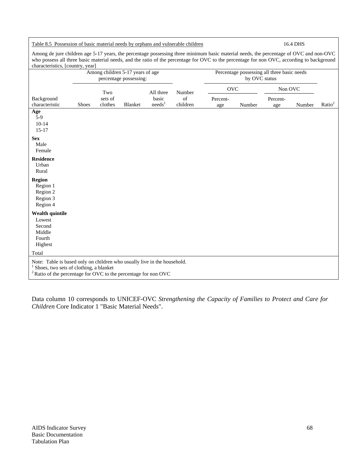Table 8.5 Possession of basic material needs by orphans and vulnerable children 16.4 DHS Among de jure children age 5-17 years, the percentage possessing three minimum basic material needs, the percentage of OVC and non-OVC who possess all three basic material needs, and the ratio of the percentage for OVC to the percentage for non OVC, according to background characteristics, [country, year] Among children 5-17 years of age percentage possessing: Percentage possessing all three basic needs by OVC status OVC –––––––––––––– Non OVC –––––––––––––– Background characteristic Shoes Two sets of<br>clothes Blanket All three basic  $needs<sup>1</sup>$ Number of children Percentage Number Percentage Number Ratio<sup>2</sup> **Age**  5-9 10-14 15-17 **Sex**  Male Female **Residence**  Urban Rural **Region**  Region 1 Region 2 Region 3 Region 4 **Wealth quintile**  Lowest Second Middle Fourth Highest Total Note: Table is based only on children who usually live in the household. 1  $<sup>1</sup>$  Shoes, two sets of clothing, a blanket</sup> <sup>2</sup> Ratio of the percentage for OVC to the percentage for non OVC

Data column 10 corresponds to UNICEF-OVC *Strengthening the Capacity of Families to Protect and Care for Children* Core Indicator 1 "Basic Material Needs".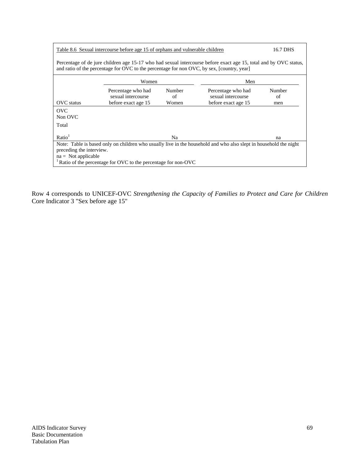| Table 8.6 Sexual intercourse before age 15 of orphans and vulnerable children                                                                                                                                   | 16.7 DHS            |        |                     |        |  |  |  |
|-----------------------------------------------------------------------------------------------------------------------------------------------------------------------------------------------------------------|---------------------|--------|---------------------|--------|--|--|--|
| Percentage of de jure children age 15-17 who had sexual intercourse before exact age 15, total and by OVC status,<br>and ratio of the percentage for OVC to the percentage for non OVC, by sex, [country, year] |                     |        |                     |        |  |  |  |
|                                                                                                                                                                                                                 | Women<br>Men        |        |                     |        |  |  |  |
|                                                                                                                                                                                                                 | Percentage who had  | Number | Percentage who had  | Number |  |  |  |
|                                                                                                                                                                                                                 | sexual intercourse  | of     | sexual intercourse  | of     |  |  |  |
| OVC status                                                                                                                                                                                                      | before exact age 15 | Women  | before exact age 15 | men    |  |  |  |
| <b>OVC</b>                                                                                                                                                                                                      |                     |        |                     |        |  |  |  |
| Non OVC                                                                                                                                                                                                         |                     |        |                     |        |  |  |  |
| Total                                                                                                                                                                                                           |                     |        |                     |        |  |  |  |
| Ratio <sup>1</sup>                                                                                                                                                                                              |                     | Na     |                     | na     |  |  |  |
| Note: Table is based only on children who usually live in the household and who also slept in household the night                                                                                               |                     |        |                     |        |  |  |  |
| preceding the interview.                                                                                                                                                                                        |                     |        |                     |        |  |  |  |
| $na = Not applicable$                                                                                                                                                                                           |                     |        |                     |        |  |  |  |
| Ratio of the percentage for OVC to the percentage for non-OVC                                                                                                                                                   |                     |        |                     |        |  |  |  |

Row 4 corresponds to UNICEF-OVC *Strengthening the Capacity of Families to Protect and Care for Children* Core Indicator 3 "Sex before age 15"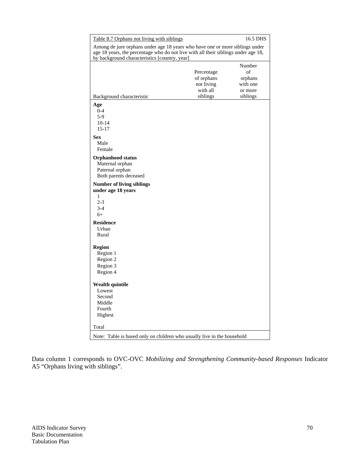| Table 8.7 Orphans not living with siblings                                                                                                                                                                          |                                                                | 16.5 DHS                                                   |
|---------------------------------------------------------------------------------------------------------------------------------------------------------------------------------------------------------------------|----------------------------------------------------------------|------------------------------------------------------------|
| Among de jure orphans under age 18 years who have one or more siblings under<br>age 18 years, the percentage who do not live with all their siblings under age 18,<br>by background characteristics [country, year] |                                                                |                                                            |
| Background characteristic                                                                                                                                                                                           | Percentage<br>of orphans<br>not living<br>with all<br>siblings | Number<br>of<br>orphans<br>with one<br>or more<br>siblings |
| Age<br>$0 - 4$<br>$5-9$<br>$10 - 14$<br>$15 - 17$<br><b>Sex</b><br>Male<br>Female                                                                                                                                   |                                                                |                                                            |
| <b>Orphanhood status</b><br>Maternal orphan<br>Paternal orphan<br>Both parents deceased                                                                                                                             |                                                                |                                                            |
| <b>Number of living siblings</b><br>under age 18 years<br>1<br>$2 - 3$<br>$3-4$<br>$6+$                                                                                                                             |                                                                |                                                            |
| <b>Residence</b><br>Urban<br>Rural                                                                                                                                                                                  |                                                                |                                                            |
| <b>Region</b><br>Region 1<br>Region 2<br>Region 3<br>Region 4                                                                                                                                                       |                                                                |                                                            |
| <b>Wealth quintile</b><br>Lowest<br>Second<br>Middle<br>Fourth<br>Highest                                                                                                                                           |                                                                |                                                            |
| Total<br>Note: Table is based only on children who usually live in the household                                                                                                                                    |                                                                |                                                            |

Data column 1 corresponds to OVC-OVC *Mobilizing and Strengthening Community-based Responses* Indicator A5 "Orphans living with siblings".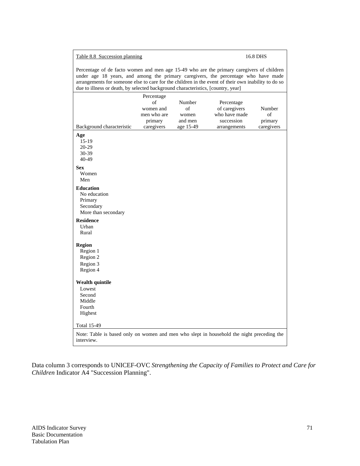## Table 8.8 Succession planning 16.8 DHS

Percentage of de facto women and men age 15-49 who are the primary caregivers of children under age 18 years, and among the primary caregivers, the percentage who have made arrangements for someone else to care for the children in the event of their own inability to do so due to illness or death, by selected background characteristics, [country, year]

| Background characteristic<br>Age<br>$15-19$                                                                                   | Percentage<br>of<br>women and<br>men who are<br>primary<br>caregivers | Number<br>of<br>women<br>and men<br>age 15-49 | Percentage<br>of caregivers<br>who have made<br>succession<br>arrangements | Number<br>$\sigma$ f<br>primary<br>caregivers |
|-------------------------------------------------------------------------------------------------------------------------------|-----------------------------------------------------------------------|-----------------------------------------------|----------------------------------------------------------------------------|-----------------------------------------------|
| 20-29<br>30-39<br>40-49                                                                                                       |                                                                       |                                               |                                                                            |                                               |
| <b>Sex</b><br>Women<br>Men                                                                                                    |                                                                       |                                               |                                                                            |                                               |
| <b>Education</b><br>No education<br>Primary<br>Secondary<br>More than secondary                                               |                                                                       |                                               |                                                                            |                                               |
| <b>Residence</b><br>Urban<br>Rural                                                                                            |                                                                       |                                               |                                                                            |                                               |
| <b>Region</b><br>Region 1<br>Region 2<br>Region 3<br>Region 4                                                                 |                                                                       |                                               |                                                                            |                                               |
| <b>Wealth quintile</b><br>Lowest<br>Second<br>Middle<br>Fourth<br>Highest                                                     |                                                                       |                                               |                                                                            |                                               |
| <b>Total 15-49</b><br>Note: Table is based only on women and men who slept in household the night preceding the<br>interview. |                                                                       |                                               |                                                                            |                                               |

Data column 3 corresponds to UNICEF-OVC *Strengthening the Capacity of Families to Protect and Care for Children* Indicator A4 "Succession Planning".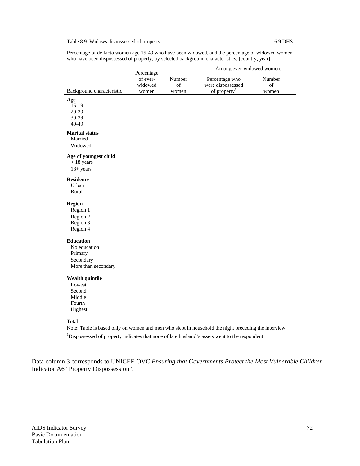| Percentage of de facto women age 15-49 who have been widowed, and the percentage of widowed women<br>who have been dispossessed of property, by selected background characteristics, [country, year]<br>Among ever-widowed women:<br>Percentage<br>of ever-<br>Number<br>Percentage who<br>Number<br>widowed<br>of<br>were dispossessed<br>of<br>of property $1$<br>Background characteristic<br>women<br>women<br>women<br>Age<br>$15-19$<br>$20-29$<br>30-39<br>40-49<br><b>Marital status</b><br>Married<br>Widowed<br>Age of youngest child<br>$<$ 18 years<br>$18 + years$<br><b>Residence</b><br>Urban<br>Rural<br><b>Region</b><br>Region 1<br>Region 2<br>Region 3<br>Region 4<br><b>Education</b><br>No education<br>Primary<br>Secondary<br>More than secondary<br><b>Wealth quintile</b><br>Lowest<br>Second<br>Middle<br>Fourth<br>Highest<br>Total<br>Note: Table is based only on women and men who slept in household the night preceding the interview.<br><sup>1</sup> Dispossessed of property indicates that none of late husband's assets went to the respondent | Table 8.9 Widows dispossessed of property |  |  | 16.9 DHS |  |  |  |
|--------------------------------------------------------------------------------------------------------------------------------------------------------------------------------------------------------------------------------------------------------------------------------------------------------------------------------------------------------------------------------------------------------------------------------------------------------------------------------------------------------------------------------------------------------------------------------------------------------------------------------------------------------------------------------------------------------------------------------------------------------------------------------------------------------------------------------------------------------------------------------------------------------------------------------------------------------------------------------------------------------------------------------------------------------------------------------------|-------------------------------------------|--|--|----------|--|--|--|
|                                                                                                                                                                                                                                                                                                                                                                                                                                                                                                                                                                                                                                                                                                                                                                                                                                                                                                                                                                                                                                                                                      |                                           |  |  |          |  |  |  |
|                                                                                                                                                                                                                                                                                                                                                                                                                                                                                                                                                                                                                                                                                                                                                                                                                                                                                                                                                                                                                                                                                      |                                           |  |  |          |  |  |  |
|                                                                                                                                                                                                                                                                                                                                                                                                                                                                                                                                                                                                                                                                                                                                                                                                                                                                                                                                                                                                                                                                                      |                                           |  |  |          |  |  |  |
|                                                                                                                                                                                                                                                                                                                                                                                                                                                                                                                                                                                                                                                                                                                                                                                                                                                                                                                                                                                                                                                                                      |                                           |  |  |          |  |  |  |
|                                                                                                                                                                                                                                                                                                                                                                                                                                                                                                                                                                                                                                                                                                                                                                                                                                                                                                                                                                                                                                                                                      |                                           |  |  |          |  |  |  |
|                                                                                                                                                                                                                                                                                                                                                                                                                                                                                                                                                                                                                                                                                                                                                                                                                                                                                                                                                                                                                                                                                      |                                           |  |  |          |  |  |  |
|                                                                                                                                                                                                                                                                                                                                                                                                                                                                                                                                                                                                                                                                                                                                                                                                                                                                                                                                                                                                                                                                                      |                                           |  |  |          |  |  |  |
|                                                                                                                                                                                                                                                                                                                                                                                                                                                                                                                                                                                                                                                                                                                                                                                                                                                                                                                                                                                                                                                                                      |                                           |  |  |          |  |  |  |
|                                                                                                                                                                                                                                                                                                                                                                                                                                                                                                                                                                                                                                                                                                                                                                                                                                                                                                                                                                                                                                                                                      |                                           |  |  |          |  |  |  |
|                                                                                                                                                                                                                                                                                                                                                                                                                                                                                                                                                                                                                                                                                                                                                                                                                                                                                                                                                                                                                                                                                      |                                           |  |  |          |  |  |  |
|                                                                                                                                                                                                                                                                                                                                                                                                                                                                                                                                                                                                                                                                                                                                                                                                                                                                                                                                                                                                                                                                                      |                                           |  |  |          |  |  |  |

Data column 3 corresponds to UNICEF-OVC *Ensuring that Governments Protect the Most Vulnerable Children* Indicator A6 "Property Dispossession".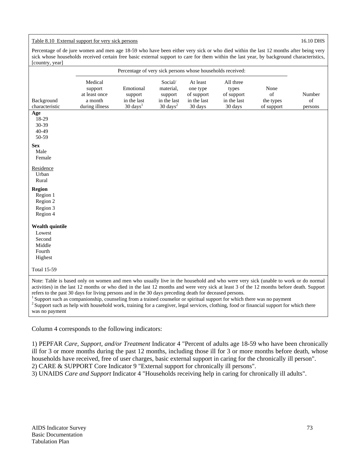## Table 8.10 External support for very sick persons 16.10 DHS

Percentage of de jure women and men age 18-59 who have been either very sick or who died within the last 12 months after being very sick whose households received certain free basic external support to care for them within the last year, by background characteristics, [country, year]

|                                                                                                                                                                                                                                                                                                                                                                                                                                                                                                                                                                                                                                                                                                         |                                                                  | Percentage of very sick persons whose households received: |                                                                       |                                                              |                                                            |                                       |                         |
|---------------------------------------------------------------------------------------------------------------------------------------------------------------------------------------------------------------------------------------------------------------------------------------------------------------------------------------------------------------------------------------------------------------------------------------------------------------------------------------------------------------------------------------------------------------------------------------------------------------------------------------------------------------------------------------------------------|------------------------------------------------------------------|------------------------------------------------------------|-----------------------------------------------------------------------|--------------------------------------------------------------|------------------------------------------------------------|---------------------------------------|-------------------------|
| Background<br>characteristic                                                                                                                                                                                                                                                                                                                                                                                                                                                                                                                                                                                                                                                                            | Medical<br>support<br>at least once<br>a month<br>during illness | Emotional<br>support<br>in the last<br>$30 \text{ days}^1$ | Social/<br>material.<br>support<br>in the last<br>$30 \text{ days}^2$ | At least<br>one type<br>of support<br>in the last<br>30 days | All three<br>types<br>of support<br>in the last<br>30 days | None<br>of<br>the types<br>of support | Number<br>of<br>persons |
| Age<br>18-29<br>30-39<br>40-49<br>50-59                                                                                                                                                                                                                                                                                                                                                                                                                                                                                                                                                                                                                                                                 |                                                                  |                                                            |                                                                       |                                                              |                                                            |                                       |                         |
| <b>Sex</b><br>Male<br>Female                                                                                                                                                                                                                                                                                                                                                                                                                                                                                                                                                                                                                                                                            |                                                                  |                                                            |                                                                       |                                                              |                                                            |                                       |                         |
| Residence<br>Urban<br>Rural                                                                                                                                                                                                                                                                                                                                                                                                                                                                                                                                                                                                                                                                             |                                                                  |                                                            |                                                                       |                                                              |                                                            |                                       |                         |
| <b>Region</b><br>Region 1<br>Region 2<br>Region 3<br>Region 4                                                                                                                                                                                                                                                                                                                                                                                                                                                                                                                                                                                                                                           |                                                                  |                                                            |                                                                       |                                                              |                                                            |                                       |                         |
| <b>Wealth quintile</b><br>Lowest<br>Second<br>Middle<br>Fourth<br>Highest                                                                                                                                                                                                                                                                                                                                                                                                                                                                                                                                                                                                                               |                                                                  |                                                            |                                                                       |                                                              |                                                            |                                       |                         |
| <b>Total 15-59</b>                                                                                                                                                                                                                                                                                                                                                                                                                                                                                                                                                                                                                                                                                      |                                                                  |                                                            |                                                                       |                                                              |                                                            |                                       |                         |
| Note: Table is based only on women and men who usually live in the household and who were very sick (unable to work or do normal<br>activities) in the last 12 months or who died in the last 12 months and were very sick at least 3 of the 12 months before death. Support<br>refers to the past 30 days for living persons and in the 30 days preceding death for deceased persons.<br><sup>1</sup> Support such as companionship, counseling from a trained counselor or spiritual support for which there was no payment<br><sup>2</sup> Support such as help with household work, training for a caregiver, legal services, clothing, food or financial support for which there<br>was no payment |                                                                  |                                                            |                                                                       |                                                              |                                                            |                                       |                         |

Column 4 corresponds to the following indicators:

1) PEPFAR *Care, Support, and/or Treatment* Indicator 4 "Percent of adults age 18-59 who have been chronically ill for 3 or more months during the past 12 months, including those ill for 3 or more months before death, whose households have received, free of user charges, basic external support in caring for the chronically ill person". 2) CARE & SUPPORT Core Indicator 9 "External support for chronically ill persons".

3) UNAIDS *Care and Support* Indicator 4 "Households receiving help in caring for chronically ill adults".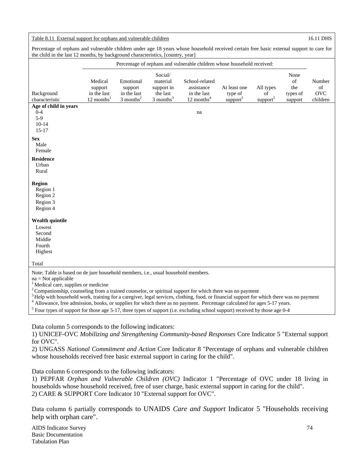### Table 8.11 External support for orphans and vulnerable children 16.11 DHS

Percentage of orphans and vulnerable children under age 18 years whose household received certain free basic external support to care for the child in the last 12 months, by background characteristics, [country, year]

|                                                                                                                                                      |                                                               |                                                                |                                                                          | Percentage of orphans and vulnerable children whose household received: |                                                 |                                         |                                          |                                        |
|------------------------------------------------------------------------------------------------------------------------------------------------------|---------------------------------------------------------------|----------------------------------------------------------------|--------------------------------------------------------------------------|-------------------------------------------------------------------------|-------------------------------------------------|-----------------------------------------|------------------------------------------|----------------------------------------|
| Background<br>characteristic                                                                                                                         | Medical<br>support<br>in the last<br>$12$ months <sup>1</sup> | Emotional<br>support<br>in the last<br>$3$ months <sup>2</sup> | Social/<br>material<br>support in<br>the last<br>$3$ months <sup>3</sup> | School-related<br>assistance<br>in the last<br>12 months $4$            | At least one<br>type of<br>support <sup>5</sup> | All types<br>of<br>support <sup>5</sup> | None<br>of<br>the<br>types of<br>support | Number<br>of<br><b>OVC</b><br>children |
| Age of child in years                                                                                                                                |                                                               |                                                                |                                                                          |                                                                         |                                                 |                                         |                                          |                                        |
| $0 - 4$<br>$5-9$                                                                                                                                     |                                                               |                                                                |                                                                          | na                                                                      |                                                 |                                         |                                          |                                        |
| $10 - 14$                                                                                                                                            |                                                               |                                                                |                                                                          |                                                                         |                                                 |                                         |                                          |                                        |
| $15-17$                                                                                                                                              |                                                               |                                                                |                                                                          |                                                                         |                                                 |                                         |                                          |                                        |
| <b>Sex</b>                                                                                                                                           |                                                               |                                                                |                                                                          |                                                                         |                                                 |                                         |                                          |                                        |
| Male                                                                                                                                                 |                                                               |                                                                |                                                                          |                                                                         |                                                 |                                         |                                          |                                        |
| Female                                                                                                                                               |                                                               |                                                                |                                                                          |                                                                         |                                                 |                                         |                                          |                                        |
| <b>Residence</b>                                                                                                                                     |                                                               |                                                                |                                                                          |                                                                         |                                                 |                                         |                                          |                                        |
| Urban                                                                                                                                                |                                                               |                                                                |                                                                          |                                                                         |                                                 |                                         |                                          |                                        |
| Rural                                                                                                                                                |                                                               |                                                                |                                                                          |                                                                         |                                                 |                                         |                                          |                                        |
| <b>Region</b>                                                                                                                                        |                                                               |                                                                |                                                                          |                                                                         |                                                 |                                         |                                          |                                        |
| Region 1                                                                                                                                             |                                                               |                                                                |                                                                          |                                                                         |                                                 |                                         |                                          |                                        |
| Region 2                                                                                                                                             |                                                               |                                                                |                                                                          |                                                                         |                                                 |                                         |                                          |                                        |
| Region 3                                                                                                                                             |                                                               |                                                                |                                                                          |                                                                         |                                                 |                                         |                                          |                                        |
| Region 4                                                                                                                                             |                                                               |                                                                |                                                                          |                                                                         |                                                 |                                         |                                          |                                        |
| <b>Wealth quintile</b>                                                                                                                               |                                                               |                                                                |                                                                          |                                                                         |                                                 |                                         |                                          |                                        |
| Lowest                                                                                                                                               |                                                               |                                                                |                                                                          |                                                                         |                                                 |                                         |                                          |                                        |
| Second                                                                                                                                               |                                                               |                                                                |                                                                          |                                                                         |                                                 |                                         |                                          |                                        |
| Middle                                                                                                                                               |                                                               |                                                                |                                                                          |                                                                         |                                                 |                                         |                                          |                                        |
| Fourth                                                                                                                                               |                                                               |                                                                |                                                                          |                                                                         |                                                 |                                         |                                          |                                        |
| Highest                                                                                                                                              |                                                               |                                                                |                                                                          |                                                                         |                                                 |                                         |                                          |                                        |
| Total                                                                                                                                                |                                                               |                                                                |                                                                          |                                                                         |                                                 |                                         |                                          |                                        |
| Note: Table is based on de jure household members, i.e., usual household members.                                                                    |                                                               |                                                                |                                                                          |                                                                         |                                                 |                                         |                                          |                                        |
| $na = Not applicable$                                                                                                                                |                                                               |                                                                |                                                                          |                                                                         |                                                 |                                         |                                          |                                        |
| <sup>1</sup> Medical care, supplies or medicine                                                                                                      |                                                               |                                                                |                                                                          |                                                                         |                                                 |                                         |                                          |                                        |
| $2^2$ Companionship, counseling from a trained counselor, or spiritual support for which there was no payment                                        |                                                               |                                                                |                                                                          |                                                                         |                                                 |                                         |                                          |                                        |
| <sup>3</sup> Help with household work, training for a caregiver, legal services, clothing, food, or financial support for which there was no payment |                                                               |                                                                |                                                                          |                                                                         |                                                 |                                         |                                          |                                        |
| $\frac{4}{3}$ Allowanes, free edmission, hecks, or symplics for which there as no normant. Dependence soleulated for ease 5, 17 years.               |                                                               |                                                                |                                                                          |                                                                         |                                                 |                                         |                                          |                                        |

<sup>4</sup> Allowance, free admission, books, or supplies for which there as no payment. Percentage calculated for ages 5-17 years.  $\frac{5}{2}$  Four times of support for those age 5.17 three times of support (i.e. avaluating school  $5$  Four types of support for those age 5-17, three types of support (i.e. excluding school support) received by those age 0-4

Data column 5 corresponds to the following indicators:

1) UNICEF-OVC *Mobilizing and Strengthening Community-based Responses* Core Indicator 5 "External support for OVC".

2) UNGASS *National Commitment and Action* Core Indicator 8 "Percentage of orphans and vulnerable children whose households received free basic external support in caring for the child".

Data column 6 corresponds to the following indicators:

1) PEPFAR *Orphan and Vulnerable Children (OVC)* Indicator 1 "Percentage of OVC under 18 living in households whose household received, free of user charge, basic external support in caring for the child". 2) CARE & SUPPORT Core Indicator 10 "External support for OVC".

Data column 6 partially corresponds to UNAIDS *Care and Support* Indicator 5 "Households receiving help with orphan care".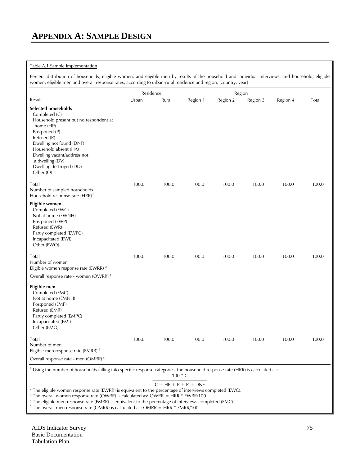## Table A.1 Sample implementation

Percent distribution of households, eligible women, and eligible men by results of the household and individual interviews, and household, eligible women, eligible men and overall response rates, according to urban-rural residence and region, [country, year]

| $\check{ }$                                                                                                                                                                                                                                                                       | Residence |                        |          | Region   |          |          |       |  |
|-----------------------------------------------------------------------------------------------------------------------------------------------------------------------------------------------------------------------------------------------------------------------------------|-----------|------------------------|----------|----------|----------|----------|-------|--|
| Result                                                                                                                                                                                                                                                                            | Urban     | Rural                  | Region 1 | Region 2 | Region 3 | Region 4 | Total |  |
| <b>Selected households</b><br>Completed (C)<br>Household present but no respondent at<br>home (HP)<br>Postponed (P)<br>Refused (R)<br>Dwelling not found (DNF)<br>Household absent (HA)<br>Dwelling vacant/address not<br>a dwelling (DV)<br>Dwelling destroyed (DD)<br>Other (O) |           |                        |          |          |          |          |       |  |
| Total<br>Number of sampled households<br>Household response rate (HRR) <sup>1</sup>                                                                                                                                                                                               | 100.0     | 100.0                  | 100.0    | 100.0    | 100.0    | 100.0    | 100.0 |  |
| Eligible women<br>Completed (EWC)<br>Not at home (EWNH)<br>Postponed (EWP)<br>Refused (EWR)<br>Partly completed (EWPC)<br>Incapacitated (EWI)<br>Other (EWO)                                                                                                                      |           |                        |          |          |          |          |       |  |
| Total<br>Number of women<br>Eligible women response rate (EWRR) <sup>2</sup>                                                                                                                                                                                                      | 100.0     | 100.0                  | 100.0    | 100.0    | 100.0    | 100.0    | 100.0 |  |
| Overall response rate - women (OWRR) <sup>3</sup>                                                                                                                                                                                                                                 |           |                        |          |          |          |          |       |  |
| Eligible men<br>Completed (EMC)<br>Not at home (EMNH)<br>Postponed (EMP)<br>Refused (EMR)<br>Partly completed (EMPC)<br>Incapacitated (EMI)<br>Other (EMO)                                                                                                                        |           |                        |          |          |          |          |       |  |
| Total<br>Number of men<br>Eligible men response rate (EMRR) <sup>2</sup>                                                                                                                                                                                                          | 100.0     | 100.0                  | 100.0    | 100.0    | 100.0    | 100.0    | 100.0 |  |
| Overall response rate - men (OMRR) <sup>5</sup>                                                                                                                                                                                                                                   |           |                        |          |          |          |          |       |  |
| <sup>1</sup> Using the number of households falling into specific response categories, the household response rate (HRR) is calculated as:                                                                                                                                        |           | $100 * C$              |          |          |          |          |       |  |
| <sup>2</sup> The eligible women response rate (EWRR) is equivalent to the percentage of interviews completed (EWC).<br><sup>3</sup> The overall we men response rate (OWPP) is calculated as: OWPR = HPP $*$ FWPP/100                                                             |           | $C + HP + P + R + DNF$ |          |          |          |          |       |  |

 $^3$  The overall women response rate (OWRR) is calculated as: OWRR = HRR \* EWRR/100<br><sup>4</sup> The eligible men response rate (EMRR) is equivalent to the percentage of interviews com

The eligible men response rate (EMRR) is equivalent to the percentage of interviews completed (EMC).

<sup>5</sup> The overall men response rate (OMRR) is calculated as: OMRR =  $HRR * EMRR/100$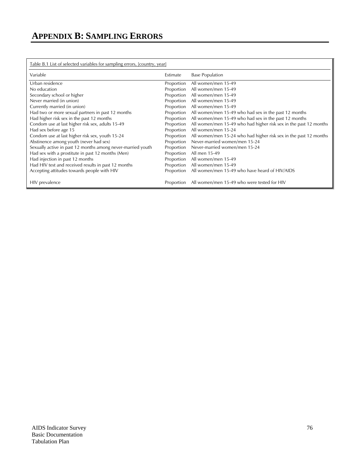# Table B.1 List of selected variables for sampling errors, [country, year]

| Variable                                                    | Estimate   | <b>Base Population</b>                                            |
|-------------------------------------------------------------|------------|-------------------------------------------------------------------|
| Urban residence                                             | Proportion | All women/men 15-49                                               |
| No education                                                | Proportion | All women/men 15-49                                               |
| Secondary school or higher                                  | Proportion | All women/men 15-49                                               |
| Never married (in union)                                    | Proportion | All women/men 15-49                                               |
| Currently married (in union)                                | Proportion | All women/men 15-49                                               |
| Had two or more sexual partners in past 12 months           | Proportion | All women/men 15-49 who had sex in the past 12 months             |
| Had higher risk sex in the past 12 months                   | Proportion | All women/men 15-49 who had sex in the past 12 months             |
| Condom use at last higher risk sex, adults 15-49            | Proportion | All women/men 15-49 who had higher risk sex in the past 12 months |
| Had sex before age 15                                       | Proportion | All women/men 15-24                                               |
| Condom use at last higher risk sex, youth 15-24             | Proportion | All women/men 15-24 who had higher risk sex in the past 12 months |
| Abstinence among youth (never had sex)                      | Proportion | Never-married women/men 15-24                                     |
| Sexually active in past 12 months among never-married youth | Proportion | Never-married women/men 15-24                                     |
| Had sex with a prostitute in past 12 months (Men)           | Proportion | All men 15-49                                                     |
| Had injection in past 12 months                             | Proportion | All women/men 15-49                                               |
| Had HIV test and received results in past 12 months         | Proportion | All women/men 15-49                                               |
| Accepting attitudes towards people with HIV                 | Proportion | All women/men 15-49 who have heard of HIV/AIDS                    |
| HIV prevalence                                              | Proportion | All women/men 15-49 who were tested for HIV                       |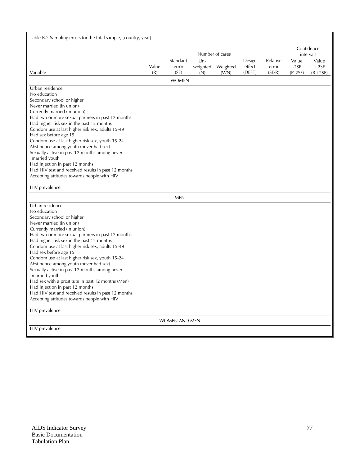| Table B.2 Sampling errors for the total sample, [country, year]                                |       |                      |       |                   |        |                         |           |           |
|------------------------------------------------------------------------------------------------|-------|----------------------|-------|-------------------|--------|-------------------------|-----------|-----------|
|                                                                                                |       |                      |       | Number of cases   |        | Confidence<br>intervals |           |           |
|                                                                                                |       | Standard             | $Un-$ |                   | Design | Relative                | Value     | Value     |
|                                                                                                | Value | error                |       | weighted Weighted | effect | error                   | $-2SE$    | $+2SE$    |
| Variable                                                                                       | (R)   | (SE)                 | (N)   | (WN)              | (DEFT) | (SE/R)                  | $(R-2SE)$ | $(R+2SE)$ |
|                                                                                                |       | <b>WOMEN</b>         |       |                   |        |                         |           |           |
| Urban residence                                                                                |       |                      |       |                   |        |                         |           |           |
| No education<br>Secondary school or higher                                                     |       |                      |       |                   |        |                         |           |           |
| Never married (in union)                                                                       |       |                      |       |                   |        |                         |           |           |
| Currently married (in union)                                                                   |       |                      |       |                   |        |                         |           |           |
| Had two or more sexual partners in past 12 months                                              |       |                      |       |                   |        |                         |           |           |
| Had higher risk sex in the past 12 months                                                      |       |                      |       |                   |        |                         |           |           |
| Condom use at last higher risk sex, adults 15-49                                               |       |                      |       |                   |        |                         |           |           |
| Had sex before age 15                                                                          |       |                      |       |                   |        |                         |           |           |
| Condom use at last higher risk sex, youth 15-24                                                |       |                      |       |                   |        |                         |           |           |
| Abstinence among youth (never had sex)<br>Sexually active in past 12 months among never-       |       |                      |       |                   |        |                         |           |           |
| married youth                                                                                  |       |                      |       |                   |        |                         |           |           |
| Had injection in past 12 months                                                                |       |                      |       |                   |        |                         |           |           |
| Had HIV test and received results in past 12 months                                            |       |                      |       |                   |        |                         |           |           |
| Accepting attitudes towards people with HIV                                                    |       |                      |       |                   |        |                         |           |           |
| HIV prevalence                                                                                 |       |                      |       |                   |        |                         |           |           |
|                                                                                                |       | <b>MEN</b>           |       |                   |        |                         |           |           |
| Urban residence                                                                                |       |                      |       |                   |        |                         |           |           |
| No education                                                                                   |       |                      |       |                   |        |                         |           |           |
| Secondary school or higher                                                                     |       |                      |       |                   |        |                         |           |           |
| Never married (in union)                                                                       |       |                      |       |                   |        |                         |           |           |
| Currently married (in union)                                                                   |       |                      |       |                   |        |                         |           |           |
| Had two or more sexual partners in past 12 months<br>Had higher risk sex in the past 12 months |       |                      |       |                   |        |                         |           |           |
| Condom use at last higher risk sex, adults 15-49                                               |       |                      |       |                   |        |                         |           |           |
| Had sex before age 15                                                                          |       |                      |       |                   |        |                         |           |           |
| Condom use at last higher risk sex, youth 15-24                                                |       |                      |       |                   |        |                         |           |           |
| Abstinence among youth (never had sex)                                                         |       |                      |       |                   |        |                         |           |           |
| Sexually active in past 12 months among never-<br>married youth                                |       |                      |       |                   |        |                         |           |           |
| Had sex with a prostitute in past 12 months (Men)                                              |       |                      |       |                   |        |                         |           |           |
| Had injection in past 12 months                                                                |       |                      |       |                   |        |                         |           |           |
| Had HIV test and received results in past 12 months                                            |       |                      |       |                   |        |                         |           |           |
| Accepting attitudes towards people with HIV                                                    |       |                      |       |                   |        |                         |           |           |
| HIV prevalence                                                                                 |       |                      |       |                   |        |                         |           |           |
|                                                                                                |       | <b>WOMEN AND MEN</b> |       |                   |        |                         |           |           |
| HIV prevalence                                                                                 |       |                      |       |                   |        |                         |           |           |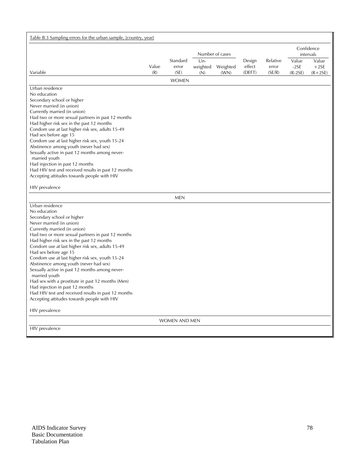| Table B.3 Sampling errors for the urban sample, [country, year]                                |       |                      |       |                   |        |                         |           |           |
|------------------------------------------------------------------------------------------------|-------|----------------------|-------|-------------------|--------|-------------------------|-----------|-----------|
|                                                                                                |       |                      |       | Number of cases   |        | Confidence<br>intervals |           |           |
|                                                                                                |       | Standard             | $Un-$ |                   | Design | Relative                | Value     | Value     |
|                                                                                                | Value | error                |       | weighted Weighted | effect | error                   | $-2SE$    | $+2SE$    |
| Variable                                                                                       | (R)   | (SE)                 | (N)   | (WN)              | (DEFT) | (SE/R)                  | $(R-2SE)$ | $(R+2SE)$ |
|                                                                                                |       | <b>WOMEN</b>         |       |                   |        |                         |           |           |
| Urban residence                                                                                |       |                      |       |                   |        |                         |           |           |
| No education                                                                                   |       |                      |       |                   |        |                         |           |           |
| Secondary school or higher                                                                     |       |                      |       |                   |        |                         |           |           |
| Never married (in union)<br>Currently married (in union)                                       |       |                      |       |                   |        |                         |           |           |
| Had two or more sexual partners in past 12 months                                              |       |                      |       |                   |        |                         |           |           |
| Had higher risk sex in the past 12 months                                                      |       |                      |       |                   |        |                         |           |           |
| Condom use at last higher risk sex, adults 15-49                                               |       |                      |       |                   |        |                         |           |           |
| Had sex before age 15                                                                          |       |                      |       |                   |        |                         |           |           |
| Condom use at last higher risk sex, youth 15-24                                                |       |                      |       |                   |        |                         |           |           |
| Abstinence among youth (never had sex)                                                         |       |                      |       |                   |        |                         |           |           |
| Sexually active in past 12 months among never-                                                 |       |                      |       |                   |        |                         |           |           |
| married youth                                                                                  |       |                      |       |                   |        |                         |           |           |
| Had injection in past 12 months                                                                |       |                      |       |                   |        |                         |           |           |
| Had HIV test and received results in past 12 months                                            |       |                      |       |                   |        |                         |           |           |
| Accepting attitudes towards people with HIV                                                    |       |                      |       |                   |        |                         |           |           |
| HIV prevalence                                                                                 |       |                      |       |                   |        |                         |           |           |
|                                                                                                |       | <b>MEN</b>           |       |                   |        |                         |           |           |
| Urban residence                                                                                |       |                      |       |                   |        |                         |           |           |
| No education                                                                                   |       |                      |       |                   |        |                         |           |           |
| Secondary school or higher                                                                     |       |                      |       |                   |        |                         |           |           |
| Never married (in union)                                                                       |       |                      |       |                   |        |                         |           |           |
| Currently married (in union)                                                                   |       |                      |       |                   |        |                         |           |           |
| Had two or more sexual partners in past 12 months<br>Had higher risk sex in the past 12 months |       |                      |       |                   |        |                         |           |           |
| Condom use at last higher risk sex, adults 15-49                                               |       |                      |       |                   |        |                         |           |           |
| Had sex before age 15                                                                          |       |                      |       |                   |        |                         |           |           |
| Condom use at last higher risk sex, youth 15-24                                                |       |                      |       |                   |        |                         |           |           |
| Abstinence among youth (never had sex)                                                         |       |                      |       |                   |        |                         |           |           |
| Sexually active in past 12 months among never-<br>married youth                                |       |                      |       |                   |        |                         |           |           |
| Had sex with a prostitute in past 12 months (Men)                                              |       |                      |       |                   |        |                         |           |           |
| Had injection in past 12 months                                                                |       |                      |       |                   |        |                         |           |           |
| Had HIV test and received results in past 12 months                                            |       |                      |       |                   |        |                         |           |           |
| Accepting attitudes towards people with HIV                                                    |       |                      |       |                   |        |                         |           |           |
| HIV prevalence                                                                                 |       |                      |       |                   |        |                         |           |           |
|                                                                                                |       | <b>WOMEN AND MEN</b> |       |                   |        |                         |           |           |
| HIV prevalence                                                                                 |       |                      |       |                   |        |                         |           |           |